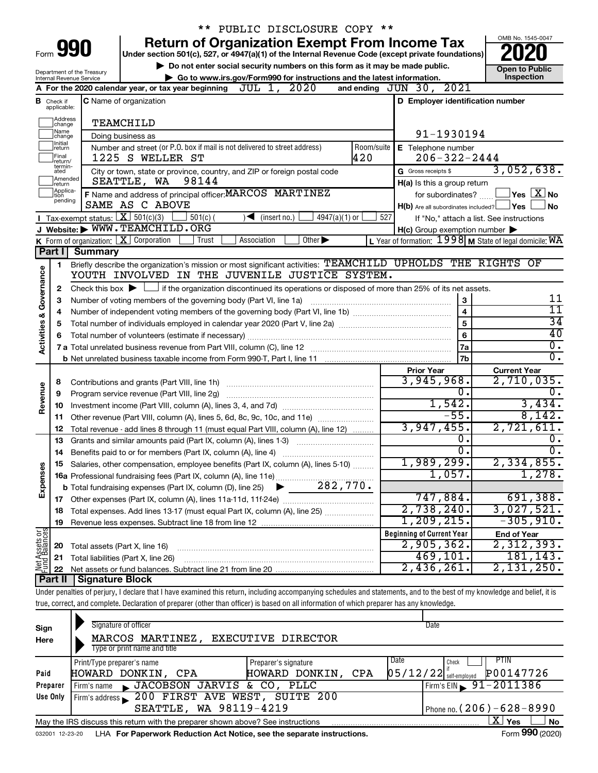|                         |                               |                                                        | ** PUBLIC DISCLOSURE COPY **                                                                                                                                               |                   |                                                     |                                                                        |
|-------------------------|-------------------------------|--------------------------------------------------------|----------------------------------------------------------------------------------------------------------------------------------------------------------------------------|-------------------|-----------------------------------------------------|------------------------------------------------------------------------|
|                         |                               |                                                        | <b>Return of Organization Exempt From Income Tax</b>                                                                                                                       |                   |                                                     | OMB No. 1545-0047                                                      |
|                         |                               | Form <b>990</b>                                        | Under section 501(c), 527, or 4947(a)(1) of the Internal Revenue Code (except private foundations)                                                                         |                   |                                                     |                                                                        |
|                         |                               |                                                        | Do not enter social security numbers on this form as it may be made public.                                                                                                |                   |                                                     | <b>Open to Public</b>                                                  |
|                         |                               | Department of the Treasury<br>Internal Revenue Service | Go to www.irs.gov/Form990 for instructions and the latest information.                                                                                                     |                   | Inspection                                          |                                                                        |
|                         |                               |                                                        | A For the 2020 calendar year, or tax year beginning $JUL$ 1, $2020$                                                                                                        |                   | and ending JUN 30, 2021                             |                                                                        |
|                         |                               |                                                        | <b>C</b> Name of organization                                                                                                                                              |                   | D Employer identification number                    |                                                                        |
|                         | <b>B</b> Check if applicable: |                                                        |                                                                                                                                                                            |                   |                                                     |                                                                        |
|                         | Address<br>change             |                                                        | TEAMCHILD                                                                                                                                                                  |                   |                                                     |                                                                        |
|                         | Name<br> change               |                                                        | Doing business as                                                                                                                                                          |                   | 91-1930194                                          |                                                                        |
|                         | Initial                       |                                                        | Number and street (or P.O. box if mail is not delivered to street address)                                                                                                 | Room/suite        | E Telephone number                                  |                                                                        |
|                         | ∣return<br>Final              |                                                        | 1225 S WELLER ST                                                                                                                                                           | 420               | $206 - 322 - 2444$                                  |                                                                        |
|                         | return/<br>termin-            |                                                        | City or town, state or province, country, and ZIP or foreign postal code                                                                                                   |                   | G Gross receipts \$                                 | 3,052,638.                                                             |
|                         | ated<br>Amended               |                                                        | 98144<br>SEATTLE, WA                                                                                                                                                       |                   |                                                     |                                                                        |
|                         | Ireturn<br>Applica-<br>Ition  |                                                        | F Name and address of principal officer: MARCOS MARTINEZ                                                                                                                   |                   | H(a) Is this a group return                         | $\sqrt{}$ Yes $\left\lfloor \frac{X}{X} \right\rfloor$ No              |
|                         | pending                       |                                                        | SAME AS C ABOVE                                                                                                                                                            |                   | for subordinates?                                   |                                                                        |
|                         |                               | Tax-exempt status: $X \overline{3}$ 501(c)(3)          |                                                                                                                                                                            |                   | $H(b)$ Are all subordinates included? $\Box$ Yes    | No                                                                     |
|                         |                               |                                                        | $501(c)$ (<br>$4947(a)(1)$ or<br>$\sqrt{\frac{1}{1}}$ (insert no.)<br>J Website: WWW.TEAMCHILD.ORG                                                                         | 527               |                                                     | If "No," attach a list. See instructions                               |
|                         |                               |                                                        | Other $\blacktriangleright$                                                                                                                                                |                   | $H(c)$ Group exemption number $\blacktriangleright$ | L Year of formation: $1998$ M State of legal domicile: $\overline{WA}$ |
|                         | Part I                        |                                                        | K Form of organization: $X$ Corporation<br>Trust<br>Association                                                                                                            |                   |                                                     |                                                                        |
|                         |                               | <b>Summary</b>                                         |                                                                                                                                                                            |                   |                                                     |                                                                        |
|                         | 1                             |                                                        | Briefly describe the organization's mission or most significant activities: TEAMCHILD UPHOLDS THE RIGHTS OF                                                                |                   |                                                     |                                                                        |
| Governance              |                               |                                                        | YOUTH INVOLVED IN THE JUVENILE JUSTICE SYSTEM.                                                                                                                             |                   |                                                     |                                                                        |
|                         | 2                             |                                                        | Check this box $\blacktriangleright \Box$ if the organization discontinued its operations or disposed of more than 25% of its net assets.                                  |                   |                                                     |                                                                        |
|                         | З                             |                                                        | Number of voting members of the governing body (Part VI, line 1a)                                                                                                          |                   | 3                                                   | 11                                                                     |
|                         | 4                             |                                                        |                                                                                                                                                                            |                   | 4                                                   | $\overline{11}$                                                        |
|                         | 5                             |                                                        |                                                                                                                                                                            |                   | 5                                                   | $\overline{34}$                                                        |
|                         | 6                             |                                                        |                                                                                                                                                                            |                   | 6                                                   | 40                                                                     |
| <b>Activities &amp;</b> |                               |                                                        |                                                                                                                                                                            |                   | 7a                                                  | $\overline{0}$ .                                                       |
|                         |                               |                                                        |                                                                                                                                                                            |                   | 7b                                                  | 0.                                                                     |
|                         |                               |                                                        |                                                                                                                                                                            |                   | <b>Prior Year</b>                                   | <b>Current Year</b>                                                    |
|                         | 8                             |                                                        |                                                                                                                                                                            |                   | 3,945,968.                                          | 2,710,035.                                                             |
| Revenue                 | 9                             |                                                        | Program service revenue (Part VIII, line 2g)                                                                                                                               |                   | о.                                                  | 0.                                                                     |
|                         | 10                            |                                                        |                                                                                                                                                                            |                   | 1,542.                                              | 3,434.                                                                 |
|                         | 11                            |                                                        | Other revenue (Part VIII, column (A), lines 5, 6d, 8c, 9c, 10c, and 11e)                                                                                                   |                   | $-55.$                                              | 8,142.                                                                 |
|                         | 12                            |                                                        | Total revenue - add lines 8 through 11 (must equal Part VIII, column (A), line 12)                                                                                         |                   | 3,947,455.                                          | 2,721,611.                                                             |
|                         | 13                            |                                                        | Grants and similar amounts paid (Part IX, column (A), lines 1-3)                                                                                                           |                   | 0.                                                  | 0.                                                                     |
|                         | 14                            |                                                        |                                                                                                                                                                            |                   | σ.                                                  | σ.                                                                     |
|                         |                               |                                                        | 15 Salaries, other compensation, employee benefits (Part IX, column (A), lines 5-10)                                                                                       | <u>1,989,299.</u> | 2,334,855.                                          |                                                                        |
| Expenses                |                               |                                                        |                                                                                                                                                                            |                   | 1,057.                                              | 1,278.                                                                 |
|                         |                               |                                                        |                                                                                                                                                                            |                   |                                                     |                                                                        |
|                         |                               |                                                        |                                                                                                                                                                            |                   | 747,884.                                            | 691,388.                                                               |
|                         | 18                            |                                                        | Total expenses. Add lines 13-17 (must equal Part IX, column (A), line 25)                                                                                                  |                   | 2,738,240.                                          | 3,027,521.                                                             |
|                         | 19                            |                                                        |                                                                                                                                                                            |                   | 1,209,215.                                          | $-305,910.$                                                            |
| Net Assets or           |                               |                                                        |                                                                                                                                                                            |                   | <b>Beginning of Current Year</b>                    | <b>End of Year</b>                                                     |
|                         | 20                            | Total assets (Part X, line 16)                         |                                                                                                                                                                            |                   | 2,905,362.                                          | 2,312,393.                                                             |
|                         | 21                            |                                                        | Total liabilities (Part X, line 26)                                                                                                                                        |                   | 469, 101.                                           | 181,143.                                                               |
|                         | 22                            |                                                        |                                                                                                                                                                            |                   | 2,436,261.                                          | 2,131,250.                                                             |
|                         | ∣ Part II                     | <b>Signature Block</b>                                 |                                                                                                                                                                            |                   |                                                     |                                                                        |
|                         |                               |                                                        | Under penalties of perjury, I declare that I have examined this return, including accompanying schedules and statements, and to the best of my knowledge and belief, it is |                   |                                                     |                                                                        |
|                         |                               |                                                        | true, correct, and complete. Declaration of preparer (other than officer) is based on all information of which preparer has any knowledge.                                 |                   |                                                     |                                                                        |
|                         |                               |                                                        |                                                                                                                                                                            |                   |                                                     |                                                                        |
| Sign                    |                               |                                                        | Signature of officer                                                                                                                                                       |                   | Date                                                |                                                                        |
| Here                    |                               |                                                        | MARCOS MARTINEZ, EXECUTIVE DIRECTOR                                                                                                                                        |                   |                                                     |                                                                        |
|                         |                               |                                                        | Type or print name and title                                                                                                                                               |                   |                                                     |                                                                        |
|                         |                               |                                                        |                                                                                                                                                                            |                   |                                                     |                                                                        |

|                                                                                              | Print/Type preparer's name                   | Preparer's signature               | ' Date | <b>PTIN</b><br>Check                                 |  |  |  |  |  |  |  |
|----------------------------------------------------------------------------------------------|----------------------------------------------|------------------------------------|--------|------------------------------------------------------|--|--|--|--|--|--|--|
| Paid                                                                                         | HOWARD DONKIN, CPA                           | HOWARD DONKIN, CPA                 |        | P00147726<br>$05/12/22$ $\frac{17}{3}$ self-employed |  |  |  |  |  |  |  |
| Preparer                                                                                     | Firm's name JACOBSON JARVIS & CO, PLLC       | $I$ Firm's EIN $\geq 91 - 2011386$ |        |                                                      |  |  |  |  |  |  |  |
| Use Only                                                                                     | Firm's address 200 FIRST AVE WEST, SUITE 200 |                                    |        |                                                      |  |  |  |  |  |  |  |
|                                                                                              | SEATTLE, WA 98119-4219                       |                                    |        | Phone no. $(206) - 628 - 8990$                       |  |  |  |  |  |  |  |
| May the IRS discuss this return with the preparer shown above? See instructions<br>No<br>Yes |                                              |                                    |        |                                                      |  |  |  |  |  |  |  |
|                                                                                              |                                              |                                    |        | $\cdots$                                             |  |  |  |  |  |  |  |

032001 12-23-20 **For Paperwork Reduction Act Notice, see the separate instructions.**  LHA Form (2020)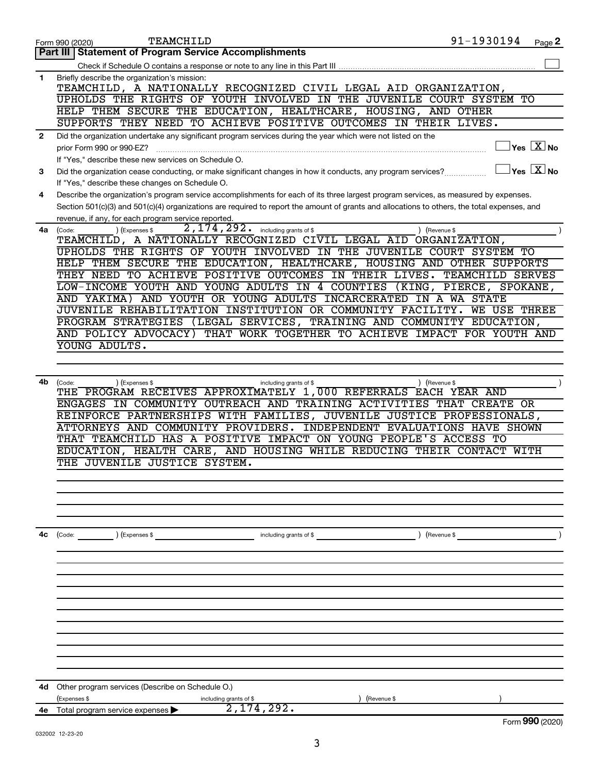|              | TEAMCHILD<br>Form 990 (2020)                                                                                                                 | 91-1930194                                         | Page 2                        |
|--------------|----------------------------------------------------------------------------------------------------------------------------------------------|----------------------------------------------------|-------------------------------|
|              | Part III   Statement of Program Service Accomplishments                                                                                      |                                                    |                               |
|              |                                                                                                                                              |                                                    |                               |
| 1            | Briefly describe the organization's mission:                                                                                                 |                                                    |                               |
|              | TEAMCHILD, A NATIONALLY RECOGNIZED CIVIL LEGAL AID ORGANIZATION,                                                                             |                                                    |                               |
|              | UPHOLDS THE RIGHTS OF YOUTH INVOLVED IN THE JUVENILE COURT SYSTEM TO                                                                         |                                                    |                               |
|              | HELP THEM SECURE THE EDUCATION, HEALTHCARE, HOUSING, AND OTHER                                                                               |                                                    |                               |
|              | SUPPORTS THEY NEED TO ACHIEVE POSITIVE OUTCOMES IN THEIR LIVES.                                                                              |                                                    |                               |
| $\mathbf{2}$ | Did the organization undertake any significant program services during the year which were not listed on the                                 |                                                    |                               |
|              | prior Form 990 or 990-EZ?                                                                                                                    |                                                    | $Yes \quad X \overline{X}$ No |
|              | If "Yes," describe these new services on Schedule O.                                                                                         |                                                    |                               |
| 3            | Did the organization cease conducting, or make significant changes in how it conducts, any program services?                                 |                                                    | Yes $\boxed{X}$ No            |
|              | If "Yes," describe these changes on Schedule O.                                                                                              |                                                    |                               |
| 4            | Describe the organization's program service accomplishments for each of its three largest program services, as measured by expenses.         |                                                    |                               |
|              | Section 501(c)(3) and 501(c)(4) organizations are required to report the amount of grants and allocations to others, the total expenses, and |                                                    |                               |
|              | revenue, if any, for each program service reported.                                                                                          |                                                    |                               |
| 4a           | 2,174,292.<br>including grants of \$<br>(Expenses \$<br>(Code:                                                                               | ) (Revenue \$                                      |                               |
|              | TEAMCHILD, A NATIONALLY RECOGNIZED CIVIL LEGAL AID ORGANIZATION,                                                                             |                                                    |                               |
|              | UPHOLDS THE RIGHTS OF YOUTH INVOLVED IN THE JUVENILE COURT SYSTEM TO                                                                         |                                                    |                               |
|              | HELP THEM SECURE THE EDUCATION, HEALTHCARE, HOUSING AND OTHER SUPPORTS                                                                       |                                                    |                               |
|              | THEY NEED TO ACHIEVE POSITIVE OUTCOMES IN THEIR LIVES. TEAMCHILD SERVES                                                                      |                                                    |                               |
|              | LOW-INCOME YOUTH AND YOUNG ADULTS IN 4 COUNTIES (KING, PIERCE, SPOKANE,                                                                      |                                                    |                               |
|              | AND YOUTH OR YOUNG ADULTS INCARCERATED IN A WA STATE<br>AND YAKIMA)                                                                          |                                                    |                               |
|              | JUVENILE REHABILITATION INSTITUTION OR COMMUNITY FACILITY.                                                                                   | WE USE THREE                                       |                               |
|              | PROGRAM STRATEGIES (LEGAL SERVICES, TRAINING AND COMMUNITY EDUCATION,                                                                        |                                                    |                               |
|              | AND POLICY ADVOCACY)                                                                                                                         | THAT WORK TOGETHER TO ACHIEVE IMPACT FOR YOUTH AND |                               |
|              | YOUNG ADULTS.                                                                                                                                |                                                    |                               |
|              |                                                                                                                                              |                                                    |                               |
|              |                                                                                                                                              |                                                    |                               |
| 4b           | (Code:<br>(Expenses \$<br>including grants of \$<br>THE PROGRAM RECEIVES APPROXIMATELY 1,000 REFERRALS EACH YEAR AND                         | ) (Revenue \$                                      |                               |
|              | ENGAGES IN COMMUNITY OUTREACH AND TRAINING ACTIVITIES THAT CREATE OR                                                                         |                                                    |                               |
|              | REINFORCE PARTNERSHIPS WITH FAMILIES, JUVENILE JUSTICE PROFESSIONALS,                                                                        |                                                    |                               |
|              | ATTORNEYS AND COMMUNITY PROVIDERS.                                                                                                           | INDEPENDENT EVALUATIONS HAVE SHOWN                 |                               |
|              | THAT TEAMCHILD HAS A POSITIVE IMPACT ON YOUNG PEOPLE'S ACCESS TO                                                                             |                                                    |                               |
|              | EDUCATION, HEALTH CARE, AND HOUSING WHILE REDUCING THEIR CONTACT WITH                                                                        |                                                    |                               |
|              | THE JUVENILE JUSTICE SYSTEM.                                                                                                                 |                                                    |                               |
|              |                                                                                                                                              |                                                    |                               |
|              |                                                                                                                                              |                                                    |                               |
|              |                                                                                                                                              |                                                    |                               |
|              |                                                                                                                                              |                                                    |                               |
|              |                                                                                                                                              |                                                    |                               |
| 4c           | $\left(\text{Code:}\right)$<br>) (Expenses \$<br>including grants of \$                                                                      | ) (Revenue \$                                      |                               |
|              |                                                                                                                                              |                                                    |                               |
|              |                                                                                                                                              |                                                    |                               |
|              |                                                                                                                                              |                                                    |                               |
|              |                                                                                                                                              |                                                    |                               |
|              |                                                                                                                                              |                                                    |                               |
|              |                                                                                                                                              |                                                    |                               |
|              |                                                                                                                                              |                                                    |                               |
|              |                                                                                                                                              |                                                    |                               |
|              |                                                                                                                                              |                                                    |                               |
|              |                                                                                                                                              |                                                    |                               |
|              |                                                                                                                                              |                                                    |                               |
|              |                                                                                                                                              |                                                    |                               |
| 4d           | Other program services (Describe on Schedule O.)                                                                                             |                                                    |                               |
|              | (Expenses \$<br>including grants of \$                                                                                                       | Revenue \$                                         |                               |
|              | 2, 174, 292.<br>4e Total program service expenses                                                                                            |                                                    |                               |
|              |                                                                                                                                              |                                                    | Form 990 (2020)               |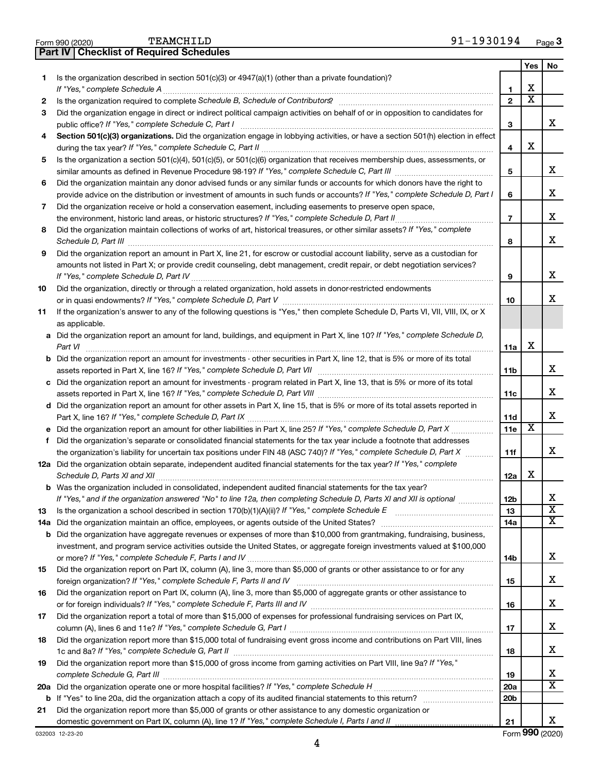| 91-1930194 |  |
|------------|--|
|            |  |

|    |                                                                                                                                                                                                                                                                                                                                                                     |                 | Yes                   | No                      |
|----|---------------------------------------------------------------------------------------------------------------------------------------------------------------------------------------------------------------------------------------------------------------------------------------------------------------------------------------------------------------------|-----------------|-----------------------|-------------------------|
| 1. | Is the organization described in section $501(c)(3)$ or $4947(a)(1)$ (other than a private foundation)?                                                                                                                                                                                                                                                             |                 |                       |                         |
|    |                                                                                                                                                                                                                                                                                                                                                                     | 1               | х                     |                         |
| 2  | Is the organization required to complete Schedule B, Schedule of Contributors? [11] the organization required to complete Schedule B, Schedule of Contributors?                                                                                                                                                                                                     | $\mathbf{2}$    | $\overline{\text{x}}$ |                         |
| 3  | Did the organization engage in direct or indirect political campaign activities on behalf of or in opposition to candidates for                                                                                                                                                                                                                                     |                 |                       |                         |
|    |                                                                                                                                                                                                                                                                                                                                                                     | 3               |                       | x                       |
| 4  | Section 501(c)(3) organizations. Did the organization engage in lobbying activities, or have a section 501(h) election in effect                                                                                                                                                                                                                                    |                 | х                     |                         |
| 5  | Is the organization a section 501(c)(4), 501(c)(5), or 501(c)(6) organization that receives membership dues, assessments, or                                                                                                                                                                                                                                        | 4               |                       |                         |
|    |                                                                                                                                                                                                                                                                                                                                                                     | 5               |                       | x                       |
| 6  | Did the organization maintain any donor advised funds or any similar funds or accounts for which donors have the right to                                                                                                                                                                                                                                           |                 |                       |                         |
|    | provide advice on the distribution or investment of amounts in such funds or accounts? If "Yes," complete Schedule D, Part I                                                                                                                                                                                                                                        | 6               |                       | х                       |
| 7  | Did the organization receive or hold a conservation easement, including easements to preserve open space,                                                                                                                                                                                                                                                           |                 |                       |                         |
|    |                                                                                                                                                                                                                                                                                                                                                                     | 7               |                       | х                       |
| 8  | Did the organization maintain collections of works of art, historical treasures, or other similar assets? If "Yes," complete<br>Schedule D, Part III <b>Marting Communities</b> and the contract of the contract of the contract of the contract of the contract of the contract of the contract of the contract of the contract of the contract of the contract of | 8               |                       | x                       |
| 9  | Did the organization report an amount in Part X, line 21, for escrow or custodial account liability, serve as a custodian for                                                                                                                                                                                                                                       |                 |                       |                         |
|    | amounts not listed in Part X; or provide credit counseling, debt management, credit repair, or debt negotiation services?                                                                                                                                                                                                                                           |                 |                       |                         |
|    |                                                                                                                                                                                                                                                                                                                                                                     | 9               |                       | х                       |
| 10 | Did the organization, directly or through a related organization, hold assets in donor-restricted endowments                                                                                                                                                                                                                                                        |                 |                       |                         |
|    |                                                                                                                                                                                                                                                                                                                                                                     | 10              |                       | х                       |
| 11 | If the organization's answer to any of the following questions is "Yes," then complete Schedule D, Parts VI, VII, VIII, IX, or X<br>as applicable.                                                                                                                                                                                                                  |                 |                       |                         |
|    | a Did the organization report an amount for land, buildings, and equipment in Part X, line 10? If "Yes," complete Schedule D,                                                                                                                                                                                                                                       |                 |                       |                         |
|    | Part VI                                                                                                                                                                                                                                                                                                                                                             | 11a             | х                     |                         |
|    | <b>b</b> Did the organization report an amount for investments - other securities in Part X, line 12, that is 5% or more of its total                                                                                                                                                                                                                               | 11b             |                       | х                       |
|    | c Did the organization report an amount for investments - program related in Part X, line 13, that is 5% or more of its total                                                                                                                                                                                                                                       |                 |                       |                         |
|    |                                                                                                                                                                                                                                                                                                                                                                     | 11c             |                       | x                       |
|    | d Did the organization report an amount for other assets in Part X, line 15, that is 5% or more of its total assets reported in                                                                                                                                                                                                                                     |                 |                       |                         |
|    |                                                                                                                                                                                                                                                                                                                                                                     | 11d             |                       | х                       |
|    |                                                                                                                                                                                                                                                                                                                                                                     | 11e             | X                     |                         |
|    | f Did the organization's separate or consolidated financial statements for the tax year include a footnote that addresses                                                                                                                                                                                                                                           |                 |                       |                         |
|    | the organization's liability for uncertain tax positions under FIN 48 (ASC 740)? If "Yes," complete Schedule D, Part X                                                                                                                                                                                                                                              | 11f             |                       | x                       |
|    | 12a Did the organization obtain separate, independent audited financial statements for the tax year? If "Yes," complete                                                                                                                                                                                                                                             | 12a             | х                     |                         |
|    | <b>b</b> Was the organization included in consolidated, independent audited financial statements for the tax year?                                                                                                                                                                                                                                                  |                 |                       |                         |
|    | If "Yes," and if the organization answered "No" to line 12a, then completing Schedule D, Parts XI and XII is optional                                                                                                                                                                                                                                               | 12b             |                       | X,                      |
| 13 |                                                                                                                                                                                                                                                                                                                                                                     | 13              |                       | $\overline{\text{x}}$   |
|    |                                                                                                                                                                                                                                                                                                                                                                     | 14a             |                       | $\overline{\texttt{x}}$ |
|    | <b>b</b> Did the organization have aggregate revenues or expenses of more than \$10,000 from grantmaking, fundraising, business,                                                                                                                                                                                                                                    |                 |                       |                         |
|    | investment, and program service activities outside the United States, or aggregate foreign investments valued at \$100,000                                                                                                                                                                                                                                          |                 |                       |                         |
|    |                                                                                                                                                                                                                                                                                                                                                                     | 14b             |                       | х                       |
| 15 | Did the organization report on Part IX, column (A), line 3, more than \$5,000 of grants or other assistance to or for any                                                                                                                                                                                                                                           |                 |                       | х                       |
| 16 | Did the organization report on Part IX, column (A), line 3, more than \$5,000 of aggregate grants or other assistance to                                                                                                                                                                                                                                            | 15              |                       |                         |
|    |                                                                                                                                                                                                                                                                                                                                                                     | 16              |                       | x                       |
| 17 | Did the organization report a total of more than \$15,000 of expenses for professional fundraising services on Part IX,                                                                                                                                                                                                                                             |                 |                       |                         |
|    |                                                                                                                                                                                                                                                                                                                                                                     | 17              |                       | х                       |
| 18 | Did the organization report more than \$15,000 total of fundraising event gross income and contributions on Part VIII, lines                                                                                                                                                                                                                                        |                 |                       | X.                      |
| 19 | Did the organization report more than \$15,000 of gross income from gaming activities on Part VIII, line 9a? If "Yes,"                                                                                                                                                                                                                                              | 18              |                       |                         |
|    |                                                                                                                                                                                                                                                                                                                                                                     | 19              |                       | x                       |
|    |                                                                                                                                                                                                                                                                                                                                                                     | 20a             |                       | $\overline{\texttt{x}}$ |
|    |                                                                                                                                                                                                                                                                                                                                                                     | 20 <sub>b</sub> |                       |                         |
| 21 | Did the organization report more than \$5,000 of grants or other assistance to any domestic organization or                                                                                                                                                                                                                                                         |                 |                       |                         |
|    | domestic government on Part IX, column (A), line 1? If "Yes," complete Schedule I, Parts I and II                                                                                                                                                                                                                                                                   | 21              |                       | x<br>Form 990 (2020)    |
|    | 032003 12-23-20                                                                                                                                                                                                                                                                                                                                                     |                 |                       |                         |

**Part IV Checklist of Required Schedules**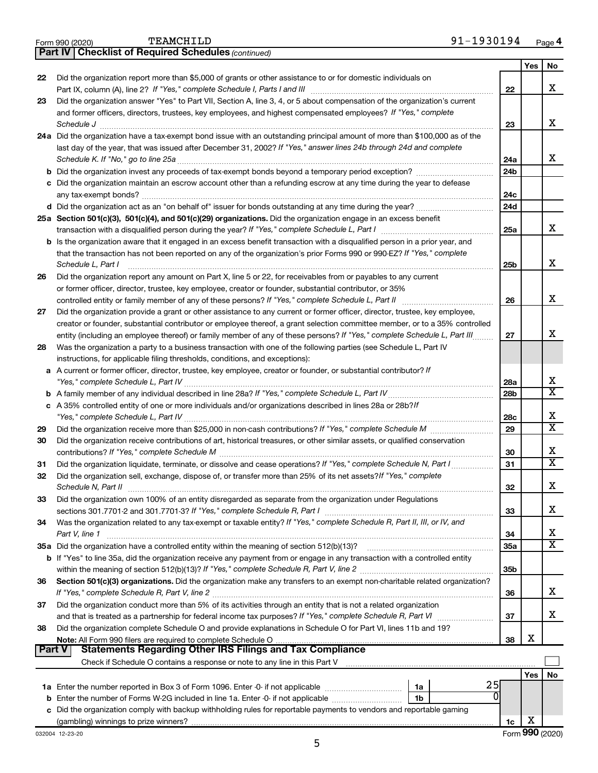|        | 91-1930194<br>TEAMCHILD<br>Form 990 (2020)                                                                                                                      |                 |     | Page 4                  |
|--------|-----------------------------------------------------------------------------------------------------------------------------------------------------------------|-----------------|-----|-------------------------|
|        | <b>Checklist of Required Schedules (continued)</b><br>Part IV                                                                                                   |                 |     |                         |
|        |                                                                                                                                                                 |                 | Yes | No                      |
| 22     | Did the organization report more than \$5,000 of grants or other assistance to or for domestic individuals on                                                   |                 |     |                         |
|        |                                                                                                                                                                 | 22              |     | х                       |
| 23     | Did the organization answer "Yes" to Part VII, Section A, line 3, 4, or 5 about compensation of the organization's current                                      |                 |     |                         |
|        | and former officers, directors, trustees, key employees, and highest compensated employees? If "Yes," complete                                                  |                 |     |                         |
|        | Schedule J <b>Execute Schedule J Execute Schedule J</b>                                                                                                         | 23              |     | x                       |
|        | 24a Did the organization have a tax-exempt bond issue with an outstanding principal amount of more than \$100,000 as of the                                     |                 |     |                         |
|        | last day of the year, that was issued after December 31, 2002? If "Yes," answer lines 24b through 24d and complete                                              |                 |     |                         |
|        |                                                                                                                                                                 | 24a             |     | x                       |
|        |                                                                                                                                                                 | 24 <sub>b</sub> |     |                         |
|        | Did the organization maintain an escrow account other than a refunding escrow at any time during the year to defease                                            |                 |     |                         |
|        |                                                                                                                                                                 | 24c             |     |                         |
|        |                                                                                                                                                                 | 24d             |     |                         |
|        | 25a Section 501(c)(3), 501(c)(4), and 501(c)(29) organizations. Did the organization engage in an excess benefit                                                |                 |     |                         |
|        |                                                                                                                                                                 | 25a             |     | x                       |
|        | <b>b</b> Is the organization aware that it engaged in an excess benefit transaction with a disqualified person in a prior year, and                             |                 |     |                         |
|        | that the transaction has not been reported on any of the organization's prior Forms 990 or 990-EZ? If "Yes," complete                                           |                 |     |                         |
|        |                                                                                                                                                                 | 25b             |     | х                       |
|        | Schedule L, Part I                                                                                                                                              |                 |     |                         |
| 26     | Did the organization report any amount on Part X, line 5 or 22, for receivables from or payables to any current                                                 |                 |     |                         |
|        | or former officer, director, trustee, key employee, creator or founder, substantial contributor, or 35%                                                         |                 |     | x                       |
|        | controlled entity or family member of any of these persons? If "Yes," complete Schedule L, Part II                                                              | 26              |     |                         |
| 27     | Did the organization provide a grant or other assistance to any current or former officer, director, trustee, key employee,                                     |                 |     |                         |
|        | creator or founder, substantial contributor or employee thereof, a grant selection committee member, or to a 35% controlled                                     |                 |     |                         |
|        | entity (including an employee thereof) or family member of any of these persons? If "Yes," complete Schedule L, Part III                                        | 27              |     | x                       |
| 28     | Was the organization a party to a business transaction with one of the following parties (see Schedule L, Part IV                                               |                 |     |                         |
|        | instructions, for applicable filing thresholds, conditions, and exceptions):                                                                                    |                 |     |                         |
| а      | A current or former officer, director, trustee, key employee, creator or founder, or substantial contributor? If                                                |                 |     |                         |
|        |                                                                                                                                                                 | 28a             |     | x                       |
|        |                                                                                                                                                                 | 28b             |     | $\overline{\mathtt{x}}$ |
|        | c A 35% controlled entity of one or more individuals and/or organizations described in lines 28a or 28b?!f                                                      |                 |     |                         |
|        |                                                                                                                                                                 | 28c             |     | х                       |
| 29     |                                                                                                                                                                 | 29              |     | $\overline{\text{X}}$   |
| 30     | Did the organization receive contributions of art, historical treasures, or other similar assets, or qualified conservation                                     |                 |     |                         |
|        |                                                                                                                                                                 | 30              |     | х                       |
| 31     | Did the organization liquidate, terminate, or dissolve and cease operations? If "Yes," complete Schedule N, Part I                                              | 31              |     | $\overline{\mathtt{x}}$ |
| 32     | Did the organization sell, exchange, dispose of, or transfer more than 25% of its net assets? If "Yes," complete                                                |                 |     |                         |
|        | Schedule N, Part II                                                                                                                                             | 32              |     | х                       |
| 33     | Did the organization own 100% of an entity disregarded as separate from the organization under Regulations                                                      |                 |     |                         |
|        |                                                                                                                                                                 | 33              |     | x                       |
| 34     | Was the organization related to any tax-exempt or taxable entity? If "Yes," complete Schedule R, Part II, III, or IV, and                                       |                 |     |                         |
|        | Part V, line 1                                                                                                                                                  | 34              |     | х                       |
|        | 35a Did the organization have a controlled entity within the meaning of section 512(b)(13)?                                                                     | 35a             |     | $\overline{\text{x}}$   |
|        | b If "Yes" to line 35a, did the organization receive any payment from or engage in any transaction with a controlled entity                                     |                 |     |                         |
|        |                                                                                                                                                                 | 35b             |     |                         |
| 36     | Section 501(c)(3) organizations. Did the organization make any transfers to an exempt non-charitable related organization?                                      |                 |     |                         |
|        |                                                                                                                                                                 | 36              |     | x                       |
| 37     | Did the organization conduct more than 5% of its activities through an entity that is not a related organization                                                |                 |     |                         |
|        |                                                                                                                                                                 | 37              |     | x                       |
| 38     | Did the organization complete Schedule O and provide explanations in Schedule O for Part VI, lines 11b and 19?                                                  |                 |     |                         |
|        |                                                                                                                                                                 | 38              | х   |                         |
| Part V | <b>Statements Regarding Other IRS Filings and Tax Compliance</b>                                                                                                |                 |     |                         |
|        | Check if Schedule O contains a response or note to any line in this Part V [11] [12] Check if Schedule O contains a response or note to any line in this Part V |                 |     |                         |
|        |                                                                                                                                                                 |                 | Yes | No                      |
|        | 25<br>1a                                                                                                                                                        |                 |     |                         |
|        | 0<br>Enter the number of Forms W-2G included in line 1a. Enter -0- if not applicable<br>1b                                                                      |                 |     |                         |
|        | c Did the organization comply with backup withholding rules for reportable payments to vendors and reportable gaming                                            |                 |     |                         |
|        |                                                                                                                                                                 | 1c              | х   |                         |
|        | 032004 12-23-20                                                                                                                                                 |                 |     | Form 990 (2020)         |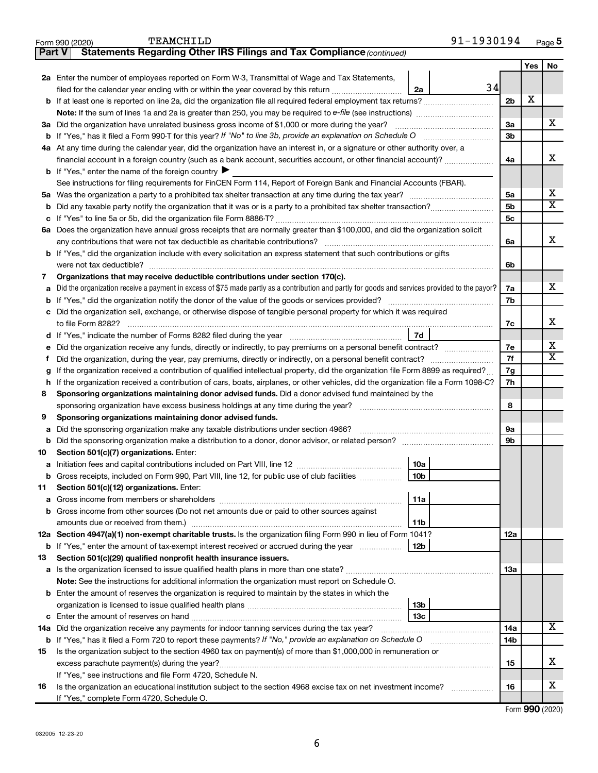| Form 990 (2020) | TEAMCHILD | ົາ<br>, , ,<br>ч ∕і<br>JJU LJ | Page<br>. . |
|-----------------|-----------|-------------------------------|-------------|
|-----------------|-----------|-------------------------------|-------------|

| Part V | Statements Regarding Other IRS Filings and Tax Compliance (continued)                                                                                      |          |                |     |                       |  |  |  |  |  |  |
|--------|------------------------------------------------------------------------------------------------------------------------------------------------------------|----------|----------------|-----|-----------------------|--|--|--|--|--|--|
|        |                                                                                                                                                            |          |                | Yes | No                    |  |  |  |  |  |  |
|        | 2a Enter the number of employees reported on Form W-3, Transmittal of Wage and Tax Statements,                                                             |          |                |     |                       |  |  |  |  |  |  |
|        | filed for the calendar year ending with or within the year covered by this return                                                                          | 34<br>2a |                |     |                       |  |  |  |  |  |  |
| b      |                                                                                                                                                            |          | 2b             | Х   |                       |  |  |  |  |  |  |
|        | Note: If the sum of lines 1a and 2a is greater than 250, you may be required to e-file (see instructions) <i>marroummann</i>                               |          |                |     |                       |  |  |  |  |  |  |
|        | 3a Did the organization have unrelated business gross income of \$1,000 or more during the year?                                                           |          | За             |     | x                     |  |  |  |  |  |  |
| b      |                                                                                                                                                            |          |                |     |                       |  |  |  |  |  |  |
|        | 4a At any time during the calendar year, did the organization have an interest in, or a signature or other authority over, a                               |          |                |     |                       |  |  |  |  |  |  |
|        | financial account in a foreign country (such as a bank account, securities account, or other financial account)?                                           |          |                |     |                       |  |  |  |  |  |  |
|        | <b>b</b> If "Yes," enter the name of the foreign country $\blacktriangleright$                                                                             |          |                |     |                       |  |  |  |  |  |  |
|        | See instructions for filing requirements for FinCEN Form 114, Report of Foreign Bank and Financial Accounts (FBAR).                                        |          |                |     |                       |  |  |  |  |  |  |
| 5a     |                                                                                                                                                            |          | 5a             |     | х                     |  |  |  |  |  |  |
| b      |                                                                                                                                                            |          | 5 <sub>b</sub> |     | $\overline{\text{X}}$ |  |  |  |  |  |  |
|        |                                                                                                                                                            |          | 5c             |     |                       |  |  |  |  |  |  |
|        | 6a Does the organization have annual gross receipts that are normally greater than \$100,000, and did the organization solicit                             |          |                |     |                       |  |  |  |  |  |  |
|        |                                                                                                                                                            |          | 6a             |     | x                     |  |  |  |  |  |  |
| b      | If "Yes," did the organization include with every solicitation an express statement that such contributions or gifts                                       |          |                |     |                       |  |  |  |  |  |  |
|        | were not tax deductible?                                                                                                                                   |          | 6b             |     |                       |  |  |  |  |  |  |
| 7      | Organizations that may receive deductible contributions under section 170(c).                                                                              |          |                |     |                       |  |  |  |  |  |  |
| a      | Did the organization receive a payment in excess of \$75 made partly as a contribution and partly for goods and services provided to the payor?            |          | 7a             |     | х                     |  |  |  |  |  |  |
| b      |                                                                                                                                                            |          | 7b             |     |                       |  |  |  |  |  |  |
|        | Did the organization sell, exchange, or otherwise dispose of tangible personal property for which it was required                                          |          |                |     |                       |  |  |  |  |  |  |
|        |                                                                                                                                                            |          | 7c             |     | х                     |  |  |  |  |  |  |
| d      |                                                                                                                                                            | 7d       |                |     |                       |  |  |  |  |  |  |
|        | Did the organization receive any funds, directly or indirectly, to pay premiums on a personal benefit contract?                                            |          | 7e             |     | х                     |  |  |  |  |  |  |
| f.     |                                                                                                                                                            |          | 7f             |     | $\overline{\text{X}}$ |  |  |  |  |  |  |
| g      | If the organization received a contribution of qualified intellectual property, did the organization file Form 8899 as required?                           |          | 7g             |     |                       |  |  |  |  |  |  |
| h      | If the organization received a contribution of cars, boats, airplanes, or other vehicles, did the organization file a Form 1098-C?                         |          |                |     |                       |  |  |  |  |  |  |
| 8      | Sponsoring organizations maintaining donor advised funds. Did a donor advised fund maintained by the                                                       |          |                |     |                       |  |  |  |  |  |  |
|        | sponsoring organization have excess business holdings at any time during the year? [11111111111111111111111111                                             |          | 8              |     |                       |  |  |  |  |  |  |
| 9      | Sponsoring organizations maintaining donor advised funds.                                                                                                  |          |                |     |                       |  |  |  |  |  |  |
| а      | Did the sponsoring organization make any taxable distributions under section 4966?                                                                         |          | 9а             |     |                       |  |  |  |  |  |  |
| b      |                                                                                                                                                            |          | 9b             |     |                       |  |  |  |  |  |  |
| 10     | Section 501(c)(7) organizations. Enter:                                                                                                                    |          |                |     |                       |  |  |  |  |  |  |
| а      |                                                                                                                                                            | 10a      |                |     |                       |  |  |  |  |  |  |
|        | Gross receipts, included on Form 990, Part VIII, line 12, for public use of club facilities                                                                | 10b      |                |     |                       |  |  |  |  |  |  |
| 11,    | Section 501(c)(12) organizations. Enter:                                                                                                                   |          |                |     |                       |  |  |  |  |  |  |
| а      |                                                                                                                                                            | 11a      |                |     |                       |  |  |  |  |  |  |
| b      | Gross income from other sources (Do not net amounts due or paid to other sources against                                                                   |          |                |     |                       |  |  |  |  |  |  |
|        | amounts due or received from them.)                                                                                                                        | 11b      |                |     |                       |  |  |  |  |  |  |
|        | 12a Section 4947(a)(1) non-exempt charitable trusts. Is the organization filing Form 990 in lieu of Form 1041?                                             |          | 12a            |     |                       |  |  |  |  |  |  |
|        | <b>b</b> If "Yes," enter the amount of tax-exempt interest received or accrued during the year                                                             | 12b      |                |     |                       |  |  |  |  |  |  |
| 13     | Section 501(c)(29) qualified nonprofit health insurance issuers.<br>a Is the organization licensed to issue qualified health plans in more than one state? |          | 13a            |     |                       |  |  |  |  |  |  |
|        | <b>Note:</b> See the instructions for additional information the organization must report on Schedule O.                                                   |          |                |     |                       |  |  |  |  |  |  |
|        | <b>b</b> Enter the amount of reserves the organization is required to maintain by the states in which the                                                  |          |                |     |                       |  |  |  |  |  |  |
|        |                                                                                                                                                            | 13b      |                |     |                       |  |  |  |  |  |  |
|        |                                                                                                                                                            | 13c      |                |     |                       |  |  |  |  |  |  |
| с      | 14a Did the organization receive any payments for indoor tanning services during the tax year?                                                             |          | 14a            |     | x                     |  |  |  |  |  |  |
|        | <b>b</b> If "Yes," has it filed a Form 720 to report these payments? If "No," provide an explanation on Schedule O                                         |          | 14b            |     |                       |  |  |  |  |  |  |
| 15     | Is the organization subject to the section 4960 tax on payment(s) of more than \$1,000,000 in remuneration or                                              |          |                |     |                       |  |  |  |  |  |  |
|        |                                                                                                                                                            |          | 15             |     | х                     |  |  |  |  |  |  |
|        | If "Yes," see instructions and file Form 4720, Schedule N.                                                                                                 |          |                |     |                       |  |  |  |  |  |  |
| 16     | Is the organization an educational institution subject to the section 4968 excise tax on net investment income?                                            |          | 16             |     | x                     |  |  |  |  |  |  |
|        | If "Yes," complete Form 4720, Schedule O.                                                                                                                  |          |                |     |                       |  |  |  |  |  |  |
|        |                                                                                                                                                            |          |                |     |                       |  |  |  |  |  |  |

l,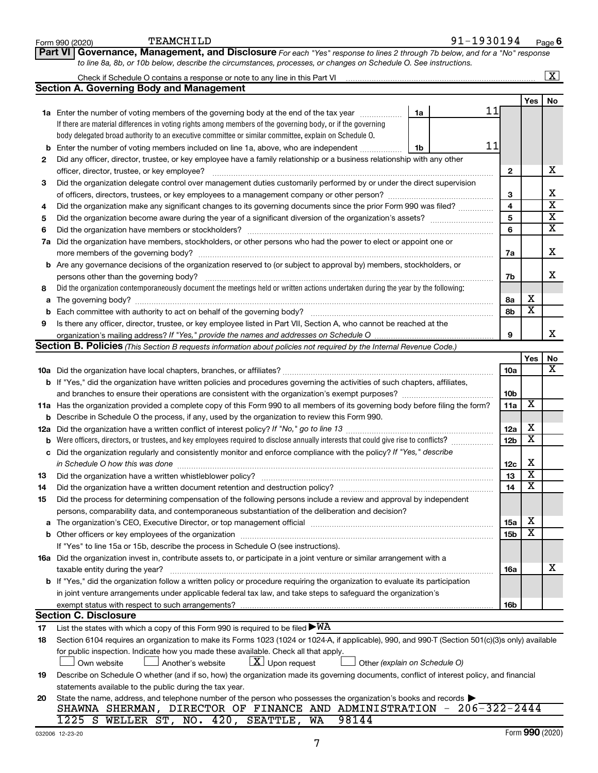|    | TEAMCHILD<br>Form 990 (2020)                                                                                                                                                                                                   | 91-1930194 |                 |                         | Page $6$                |  |  |  |  |  |  |  |
|----|--------------------------------------------------------------------------------------------------------------------------------------------------------------------------------------------------------------------------------|------------|-----------------|-------------------------|-------------------------|--|--|--|--|--|--|--|
|    | Governance, Management, and Disclosure For each "Yes" response to lines 2 through 7b below, and for a "No" response<br><b>Part VI</b>                                                                                          |            |                 |                         |                         |  |  |  |  |  |  |  |
|    | to line 8a, 8b, or 10b below, describe the circumstances, processes, or changes on Schedule O. See instructions.                                                                                                               |            |                 |                         |                         |  |  |  |  |  |  |  |
|    | Check if Schedule O contains a response or note to any line in this Part VI                                                                                                                                                    |            |                 |                         | $\overline{\mathbf{x}}$ |  |  |  |  |  |  |  |
|    | <b>Section A. Governing Body and Management</b>                                                                                                                                                                                |            |                 |                         |                         |  |  |  |  |  |  |  |
|    |                                                                                                                                                                                                                                |            |                 | Yes                     | No                      |  |  |  |  |  |  |  |
|    | <b>1a</b> Enter the number of voting members of the governing body at the end of the tax year<br>1a                                                                                                                            | 11         |                 |                         |                         |  |  |  |  |  |  |  |
|    | If there are material differences in voting rights among members of the governing body, or if the governing                                                                                                                    |            |                 |                         |                         |  |  |  |  |  |  |  |
|    | body delegated broad authority to an executive committee or similar committee, explain on Schedule O.                                                                                                                          |            |                 |                         |                         |  |  |  |  |  |  |  |
| b  | Enter the number of voting members included on line 1a, above, who are independent<br>1b                                                                                                                                       | 11         |                 |                         |                         |  |  |  |  |  |  |  |
| 2  | Did any officer, director, trustee, or key employee have a family relationship or a business relationship with any other                                                                                                       |            |                 |                         |                         |  |  |  |  |  |  |  |
|    | officer, director, trustee, or key employee?                                                                                                                                                                                   |            |                 |                         |                         |  |  |  |  |  |  |  |
| 3  | Did the organization delegate control over management duties customarily performed by or under the direct supervision                                                                                                          |            |                 |                         |                         |  |  |  |  |  |  |  |
|    |                                                                                                                                                                                                                                |            | 3               |                         | х                       |  |  |  |  |  |  |  |
| 4  | Did the organization make any significant changes to its governing documents since the prior Form 990 was filed?                                                                                                               |            | 4               |                         | $\overline{\textbf{x}}$ |  |  |  |  |  |  |  |
| 5  |                                                                                                                                                                                                                                |            | 5               |                         | $\overline{\mathbf{x}}$ |  |  |  |  |  |  |  |
| 6  | Did the organization have members or stockholders?                                                                                                                                                                             |            | 6               |                         | $\overline{\mathbf{x}}$ |  |  |  |  |  |  |  |
| 7a | Did the organization have members, stockholders, or other persons who had the power to elect or appoint one or                                                                                                                 |            |                 |                         |                         |  |  |  |  |  |  |  |
|    | more members of the governing body?                                                                                                                                                                                            |            | 7a              |                         | х                       |  |  |  |  |  |  |  |
|    | <b>b</b> Are any governance decisions of the organization reserved to (or subject to approval by) members, stockholders, or                                                                                                    |            |                 |                         |                         |  |  |  |  |  |  |  |
|    | persons other than the governing body?                                                                                                                                                                                         |            | 7b              |                         | x                       |  |  |  |  |  |  |  |
| 8  | Did the organization contemporaneously document the meetings held or written actions undertaken during the year by the following:                                                                                              |            |                 |                         |                         |  |  |  |  |  |  |  |
| a  | The governing body? [[11] notice in the contract of the contract of the contract of the contract of the contract of the contract of the contract of the contract of the contract of the contract of the contract of the contra |            | 8а              | х                       |                         |  |  |  |  |  |  |  |
| b  | Each committee with authority to act on behalf of the governing body?                                                                                                                                                          |            | 8b              | х                       |                         |  |  |  |  |  |  |  |
| 9  | Is there any officer, director, trustee, or key employee listed in Part VII, Section A, who cannot be reached at the                                                                                                           |            |                 |                         | x                       |  |  |  |  |  |  |  |
|    |                                                                                                                                                                                                                                |            | 9               |                         |                         |  |  |  |  |  |  |  |
|    | Section B. Policies (This Section B requests information about policies not required by the Internal Revenue Code.)                                                                                                            |            |                 | Yes                     | No                      |  |  |  |  |  |  |  |
|    |                                                                                                                                                                                                                                |            | 10a             |                         | х                       |  |  |  |  |  |  |  |
|    | b If "Yes," did the organization have written policies and procedures governing the activities of such chapters, affiliates,                                                                                                   |            |                 |                         |                         |  |  |  |  |  |  |  |
|    |                                                                                                                                                                                                                                |            | 10 <sub>b</sub> |                         |                         |  |  |  |  |  |  |  |
|    | 11a Has the organization provided a complete copy of this Form 990 to all members of its governing body before filing the form?                                                                                                |            | 11a             | X                       |                         |  |  |  |  |  |  |  |
|    | <b>b</b> Describe in Schedule O the process, if any, used by the organization to review this Form 990.                                                                                                                         |            |                 |                         |                         |  |  |  |  |  |  |  |
|    | 12a Did the organization have a written conflict of interest policy? If "No," go to line 13                                                                                                                                    |            | 12a             | х                       |                         |  |  |  |  |  |  |  |
| b  | Were officers, directors, or trustees, and key employees required to disclose annually interests that could give rise to conflicts?                                                                                            |            | 12 <sub>b</sub> | $\overline{\textbf{x}}$ |                         |  |  |  |  |  |  |  |
| c  | Did the organization regularly and consistently monitor and enforce compliance with the policy? If "Yes," describe                                                                                                             |            |                 |                         |                         |  |  |  |  |  |  |  |
|    | in Schedule O how this was done encourance and an according of the state of the state of the state of the state of the state of the state of the state of the state of the state of the state of the state of the state of the |            | 12c             | х                       |                         |  |  |  |  |  |  |  |
| 13 | Did the organization have a written whistleblower policy?                                                                                                                                                                      |            | 13              | $\overline{\textbf{x}}$ |                         |  |  |  |  |  |  |  |
| 14 | Did the organization have a written document retention and destruction policy? [11] manufaction manufaction in                                                                                                                 |            | 14              | $\overline{\mathbf{x}}$ |                         |  |  |  |  |  |  |  |
| 15 | Did the process for determining compensation of the following persons include a review and approval by independent                                                                                                             |            |                 |                         |                         |  |  |  |  |  |  |  |
|    | persons, comparability data, and contemporaneous substantiation of the deliberation and decision?                                                                                                                              |            |                 |                         |                         |  |  |  |  |  |  |  |
| a  | The organization's CEO, Executive Director, or top management official manufactured content content of the organization's CEO, Executive Director, or top management official manufactured content of the original content of  |            | 15a             | х                       |                         |  |  |  |  |  |  |  |
| b  |                                                                                                                                                                                                                                |            | 15 <sub>b</sub> | X                       |                         |  |  |  |  |  |  |  |
|    | If "Yes" to line 15a or 15b, describe the process in Schedule O (see instructions).                                                                                                                                            |            |                 |                         |                         |  |  |  |  |  |  |  |
|    | 16a Did the organization invest in, contribute assets to, or participate in a joint venture or similar arrangement with a                                                                                                      |            |                 |                         |                         |  |  |  |  |  |  |  |
|    | taxable entity during the year?                                                                                                                                                                                                |            | 16a             |                         | x                       |  |  |  |  |  |  |  |
|    | b If "Yes," did the organization follow a written policy or procedure requiring the organization to evaluate its participation                                                                                                 |            |                 |                         |                         |  |  |  |  |  |  |  |
|    | in joint venture arrangements under applicable federal tax law, and take steps to safeguard the organization's                                                                                                                 |            |                 |                         |                         |  |  |  |  |  |  |  |
|    | exempt status with respect to such arrangements?                                                                                                                                                                               |            | 16b             |                         |                         |  |  |  |  |  |  |  |
|    | <b>Section C. Disclosure</b>                                                                                                                                                                                                   |            |                 |                         |                         |  |  |  |  |  |  |  |
| 17 | List the states with which a copy of this Form 990 is required to be filed $\blacktriangleright\text{WA}$                                                                                                                      |            |                 |                         |                         |  |  |  |  |  |  |  |
| 18 | Section 6104 requires an organization to make its Forms 1023 (1024 or 1024-A, if applicable), 990, and 990-T (Section 501(c)(3)s only) available                                                                               |            |                 |                         |                         |  |  |  |  |  |  |  |
|    | for public inspection. Indicate how you made these available. Check all that apply.<br>$\lfloor x \rfloor$ Upon request<br>∫ Another's website<br>Other (explain on Schedule O)                                                |            |                 |                         |                         |  |  |  |  |  |  |  |
|    | Own website<br>Describe on Schedule O whether (and if so, how) the organization made its governing documents, conflict of interest policy, and financial                                                                       |            |                 |                         |                         |  |  |  |  |  |  |  |
| 19 | statements available to the public during the tax year.                                                                                                                                                                        |            |                 |                         |                         |  |  |  |  |  |  |  |
| 20 | State the name, address, and telephone number of the person who possesses the organization's books and records                                                                                                                 |            |                 |                         |                         |  |  |  |  |  |  |  |
|    | SHAWNA SHERMAN, DIRECTOR OF FINANCE AND ADMINISTRATION - 206-322-2444                                                                                                                                                          |            |                 |                         |                         |  |  |  |  |  |  |  |
|    | 1225 S WELLER ST, NO. 420, SEATTLE,<br>98144<br>WA                                                                                                                                                                             |            |                 |                         |                         |  |  |  |  |  |  |  |
|    |                                                                                                                                                                                                                                |            |                 |                         |                         |  |  |  |  |  |  |  |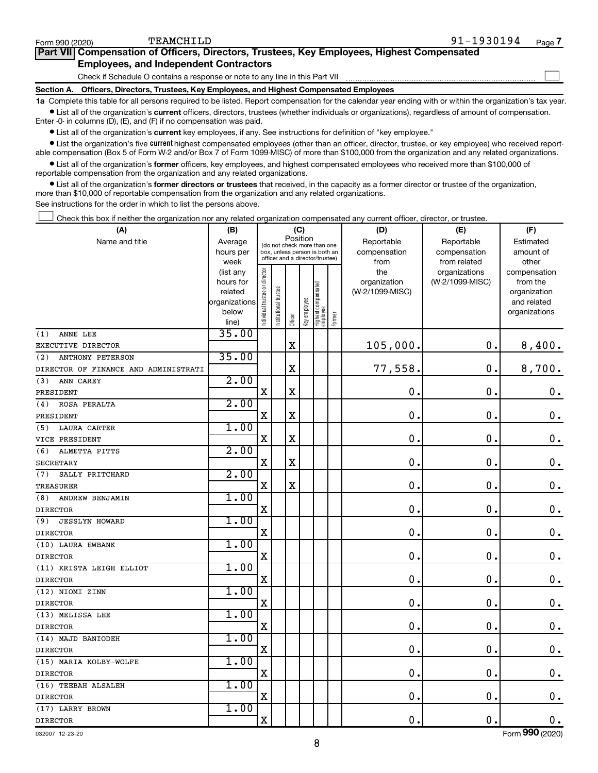$\mathcal{L}^{\text{eff}}$ 

| Part VII Compensation of Officers, Directors, Trustees, Key Employees, Highest Compensated |
|--------------------------------------------------------------------------------------------|
| <b>Employees, and Independent Contractors</b>                                              |

Check if Schedule O contains a response or note to any line in this Part VII

**Section A. Officers, Directors, Trustees, Key Employees, and Highest Compensated Employees**

**1a**  Complete this table for all persons required to be listed. Report compensation for the calendar year ending with or within the organization's tax year.  $\bullet$  List all of the organization's current officers, directors, trustees (whether individuals or organizations), regardless of amount of compensation.

Enter -0- in columns (D), (E), and (F) if no compensation was paid.

**•** List all of the organization's current key employees, if any. See instructions for definition of "key employee."

**•** List the organization's five *current* highest compensated employees (other than an officer, director, trustee, or key employee) who received reportable compensation (Box 5 of Form W-2 and/or Box 7 of Form 1099-MISC) of more than \$100,000 from the organization and any related organizations.

 $\bullet$  List all of the organization's former officers, key employees, and highest compensated employees who received more than \$100,000 of reportable compensation from the organization and any related organizations.

**•** List all of the organization's former directors or trustees that received, in the capacity as a former director or trustee of the organization, more than \$10,000 of reportable compensation from the organization and any related organizations.

See instructions for the order in which to list the persons above.

Check this box if neither the organization nor any related organization compensated any current officer, director, or trustee.  $\sim$ 

| (A)                                  | (B)               |                                |                                                                  | (C)     |              |                                 |        | (D)             | (E)                           | (F)                |
|--------------------------------------|-------------------|--------------------------------|------------------------------------------------------------------|---------|--------------|---------------------------------|--------|-----------------|-------------------------------|--------------------|
| Name and title                       | Average           |                                | Position<br>(do not check more than one                          |         |              |                                 |        | Reportable      | Reportable                    | Estimated          |
|                                      | hours per         |                                | box, unless person is both an<br>officer and a director/trustee) |         |              |                                 |        | compensation    | compensation                  | amount of<br>other |
|                                      | week<br>(list any |                                |                                                                  |         |              |                                 |        | from<br>the     | from related<br>organizations | compensation       |
|                                      | hours for         |                                |                                                                  |         |              |                                 |        | organization    | (W-2/1099-MISC)               | from the           |
|                                      | related           |                                |                                                                  |         |              |                                 |        | (W-2/1099-MISC) |                               | organization       |
|                                      | organizations     |                                |                                                                  |         |              |                                 |        |                 |                               | and related        |
|                                      | below             | Individual trustee or director | Institutional trustee                                            |         | Key employee | Highest compensated<br>employee | Former |                 |                               | organizations      |
|                                      | line)             |                                |                                                                  | Officer |              |                                 |        |                 |                               |                    |
| ANNE LEE<br>(1)                      | 35.00             |                                |                                                                  |         |              |                                 |        |                 |                               |                    |
| EXECUTIVE DIRECTOR                   |                   |                                |                                                                  | $\rm X$ |              |                                 |        | 105,000.        | 0.                            | 8,400.             |
| (2)<br><b>ANTHONY PETERSON</b>       | 35.00             |                                |                                                                  |         |              |                                 |        |                 |                               |                    |
| DIRECTOR OF FINANCE AND ADMINISTRATI |                   |                                |                                                                  | X       |              |                                 |        | 77,558.         | $\mathbf 0$ .                 | 8,700.             |
| ANN CAREY<br>(3)                     | 2.00              |                                |                                                                  |         |              |                                 |        |                 |                               |                    |
| PRESIDENT                            |                   | X                              |                                                                  | $\rm X$ |              |                                 |        | $\mathbf 0$     | $\mathbf 0$                   | $0\cdot$           |
| ROSA PERALTA<br>(4)                  | 2.00              |                                |                                                                  |         |              |                                 |        |                 |                               |                    |
| PRESIDENT                            |                   | $\mathbf X$                    |                                                                  | X       |              |                                 |        | $\mathbf 0$     | $\mathbf 0$                   | $\mathbf 0$ .      |
| <b>LAURA CARTER</b><br>(5)           | 1.00              |                                |                                                                  |         |              |                                 |        |                 |                               |                    |
| VICE PRESIDENT                       |                   | $\mathbf X$                    |                                                                  | $\rm X$ |              |                                 |        | $\mathbf 0$     | $\mathbf 0$                   | $\mathbf 0$ .      |
| (6)<br>ALMETTA PITTS                 | 2.00              |                                |                                                                  |         |              |                                 |        |                 |                               |                    |
| <b>SECRETARY</b>                     |                   | $\rm X$                        |                                                                  | X       |              |                                 |        | $\mathbf 0$     | $\mathbf 0$                   | $\mathbf 0$ .      |
| (7)<br>SALLY PRITCHARD               | 2.00              |                                |                                                                  |         |              |                                 |        |                 |                               |                    |
| <b>TREASURER</b>                     |                   | $\mathbf X$                    |                                                                  | $\rm X$ |              |                                 |        | 0               | $\mathbf 0$                   | $\mathbf 0$ .      |
| (8)<br>ANDREW BENJAMIN               | 1.00              |                                |                                                                  |         |              |                                 |        |                 |                               |                    |
| <b>DIRECTOR</b>                      |                   | $\rm X$                        |                                                                  |         |              |                                 |        | $\mathbf 0$     | $\mathbf 0$                   | $\mathbf 0$ .      |
| (9)<br><b>JESSLYN HOWARD</b>         | 1.00              |                                |                                                                  |         |              |                                 |        |                 |                               |                    |
| <b>DIRECTOR</b>                      |                   | $\mathbf X$                    |                                                                  |         |              |                                 |        | $\mathbf 0$     | $\mathbf 0$                   | $\mathbf 0$ .      |
| (10) LAURA EWBANK                    | 1.00              |                                |                                                                  |         |              |                                 |        |                 |                               |                    |
| <b>DIRECTOR</b>                      |                   | X                              |                                                                  |         |              |                                 |        | $\mathbf 0$     | $\mathbf 0$                   | $\mathbf 0$ .      |
| (11) KRISTA LEIGH ELLIOT             | 1.00              |                                |                                                                  |         |              |                                 |        |                 |                               |                    |
| <b>DIRECTOR</b>                      |                   | $\mathbf X$                    |                                                                  |         |              |                                 |        | 0               | $\mathbf 0$                   | $\mathbf 0$ .      |
| (12) NIOMI ZINN                      | 1.00              |                                |                                                                  |         |              |                                 |        |                 |                               |                    |
| <b>DIRECTOR</b>                      |                   | $\rm X$                        |                                                                  |         |              |                                 |        | $\mathbf 0$     | $\mathbf 0$                   | $\mathbf 0$ .      |
| (13) MELISSA LEE                     | 1.00              |                                |                                                                  |         |              |                                 |        |                 |                               |                    |
| <b>DIRECTOR</b>                      |                   | $\mathbf X$                    |                                                                  |         |              |                                 |        | $\mathbf 0$     | $\mathbf 0$                   | $\mathbf 0$ .      |
| (14) MAJD BANIODEH                   | 1.00              |                                |                                                                  |         |              |                                 |        |                 |                               |                    |
| <b>DIRECTOR</b>                      |                   | $\rm X$                        |                                                                  |         |              |                                 |        | 0               | $\mathbf 0$                   | $\mathbf 0$ .      |
| (15) MARIA KOLBY-WOLFE               | 1.00              |                                |                                                                  |         |              |                                 |        |                 |                               |                    |
| <b>DIRECTOR</b>                      |                   | $\rm X$                        |                                                                  |         |              |                                 |        | $\mathbf 0$     | $\mathbf 0$                   | $\mathbf 0$ .      |
| (16) TEEBAH ALSALEH                  | 1.00              |                                |                                                                  |         |              |                                 |        |                 |                               |                    |
| <b>DIRECTOR</b>                      |                   | $\rm X$                        |                                                                  |         |              |                                 |        | $\mathbf 0$     | $\mathbf 0$                   | $\mathbf 0$ .      |
| (17) LARRY BROWN                     | 1.00              |                                |                                                                  |         |              |                                 |        |                 |                               |                    |
| <b>DIRECTOR</b>                      |                   | $\mathbf X$                    |                                                                  |         |              |                                 |        | 0.              | $\mathbf 0$ .                 | $\mathbf 0$ .      |

Form (2020) **990**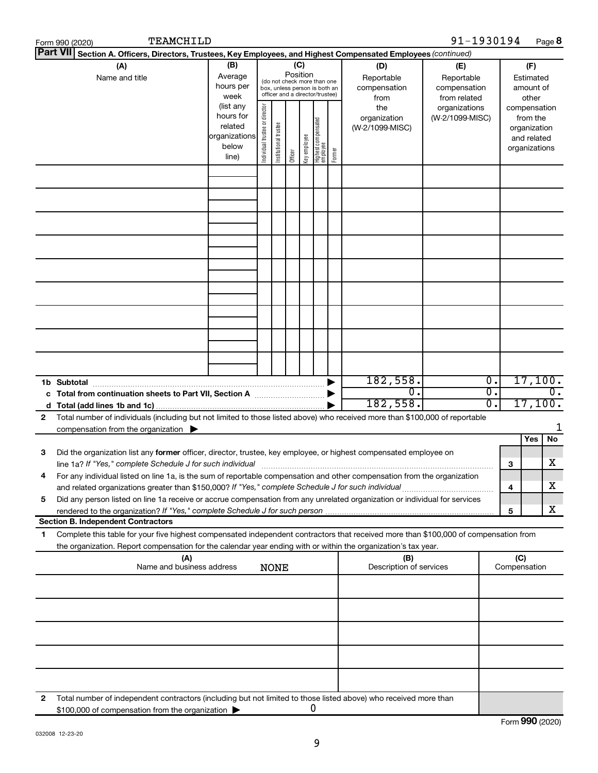|    | TEAMCHILD<br>Form 990 (2020)                                                                                                                                                                                                    |                                                                      |                                |                       |                 |              |                                                                                                 |        |                                           | 91-1930194                                        |                           |                                        |                                                                          | Page 8           |
|----|---------------------------------------------------------------------------------------------------------------------------------------------------------------------------------------------------------------------------------|----------------------------------------------------------------------|--------------------------------|-----------------------|-----------------|--------------|-------------------------------------------------------------------------------------------------|--------|-------------------------------------------|---------------------------------------------------|---------------------------|----------------------------------------|--------------------------------------------------------------------------|------------------|
|    | <b>Part VII</b><br>Section A. Officers, Directors, Trustees, Key Employees, and Highest Compensated Employees (continued)                                                                                                       |                                                                      |                                |                       |                 |              |                                                                                                 |        |                                           |                                                   |                           |                                        |                                                                          |                  |
|    | (B)<br>(A)<br>Average<br>Name and title<br>hours per<br>week                                                                                                                                                                    |                                                                      |                                |                       | (C)<br>Position |              | (do not check more than one<br>box, unless person is both an<br>officer and a director/trustee) |        | (D)<br>Reportable<br>compensation<br>from | (E)<br>Reportable<br>compensation<br>from related |                           | (F)<br>Estimated<br>amount of<br>other |                                                                          |                  |
|    |                                                                                                                                                                                                                                 | (list any<br>hours for<br>related<br>organizations<br>below<br>line) | Individual trustee or director | Institutional trustee | Officer         | Key employee | Highest compensated<br>employee                                                                 | Former | the<br>organization<br>(W-2/1099-MISC)    | organizations<br>(W-2/1099-MISC)                  |                           |                                        | compensation<br>from the<br>organization<br>and related<br>organizations |                  |
|    |                                                                                                                                                                                                                                 |                                                                      |                                |                       |                 |              |                                                                                                 |        |                                           |                                                   |                           |                                        |                                                                          |                  |
|    |                                                                                                                                                                                                                                 |                                                                      |                                |                       |                 |              |                                                                                                 |        |                                           |                                                   |                           |                                        |                                                                          |                  |
|    |                                                                                                                                                                                                                                 |                                                                      |                                |                       |                 |              |                                                                                                 |        |                                           |                                                   |                           |                                        |                                                                          |                  |
|    |                                                                                                                                                                                                                                 |                                                                      |                                |                       |                 |              |                                                                                                 |        |                                           |                                                   |                           |                                        |                                                                          |                  |
|    |                                                                                                                                                                                                                                 |                                                                      |                                |                       |                 |              |                                                                                                 |        |                                           |                                                   |                           |                                        |                                                                          |                  |
|    |                                                                                                                                                                                                                                 |                                                                      |                                |                       |                 |              |                                                                                                 |        |                                           |                                                   |                           |                                        |                                                                          |                  |
|    | 1b Subtotal                                                                                                                                                                                                                     |                                                                      |                                |                       |                 |              |                                                                                                 |        | 182,558.                                  |                                                   | $\overline{0}$ .          |                                        | 17,100.                                                                  |                  |
|    | c Total from continuation sheets to Part VII, Section A manufactured by                                                                                                                                                         |                                                                      |                                |                       |                 |              |                                                                                                 |        | 0.<br>182,558.                            |                                                   | $\overline{0}$ .<br>$0$ . |                                        | 17,100.                                                                  | $\overline{0}$ . |
| 2  | Total number of individuals (including but not limited to those listed above) who received more than \$100,000 of reportable                                                                                                    |                                                                      |                                |                       |                 |              |                                                                                                 |        |                                           |                                                   |                           |                                        |                                                                          |                  |
|    | compensation from the organization $\triangleright$                                                                                                                                                                             |                                                                      |                                |                       |                 |              |                                                                                                 |        |                                           |                                                   |                           |                                        |                                                                          | 1                |
|    | Did the organization list any former officer, director, trustee, key employee, or highest compensated employee on                                                                                                               |                                                                      |                                |                       |                 |              |                                                                                                 |        |                                           |                                                   |                           |                                        | Yes                                                                      | <b>No</b>        |
| 3  | line 1a? If "Yes," complete Schedule J for such individual [11] manufacture manufacture in the set of the set o                                                                                                                 |                                                                      |                                |                       |                 |              |                                                                                                 |        |                                           |                                                   |                           | 3                                      |                                                                          | х                |
|    | For any individual listed on line 1a, is the sum of reportable compensation and other compensation from the organization<br>and related organizations greater than \$150,000? If "Yes," complete Schedule J for such individual |                                                                      |                                |                       |                 |              |                                                                                                 |        |                                           |                                                   |                           | 4                                      |                                                                          | х                |
| 5  | Did any person listed on line 1a receive or accrue compensation from any unrelated organization or individual for services<br>rendered to the organization? If "Yes," complete Schedule J for such person.                      |                                                                      |                                |                       |                 |              |                                                                                                 |        |                                           |                                                   |                           | 5                                      |                                                                          | x                |
|    | <b>Section B. Independent Contractors</b><br>Complete this table for your five highest compensated independent contractors that received more than \$100,000 of compensation from                                               |                                                                      |                                |                       |                 |              |                                                                                                 |        |                                           |                                                   |                           |                                        |                                                                          |                  |
| 1. | the organization. Report compensation for the calendar year ending with or within the organization's tax year.                                                                                                                  |                                                                      |                                |                       |                 |              |                                                                                                 |        |                                           |                                                   |                           |                                        |                                                                          |                  |
|    | (A)<br>Name and business address                                                                                                                                                                                                |                                                                      |                                | <b>NONE</b>           |                 |              |                                                                                                 |        | (B)<br>Description of services            |                                                   |                           | (C)<br>Compensation                    |                                                                          |                  |
|    |                                                                                                                                                                                                                                 |                                                                      |                                |                       |                 |              |                                                                                                 |        |                                           |                                                   |                           |                                        |                                                                          |                  |
|    |                                                                                                                                                                                                                                 |                                                                      |                                |                       |                 |              |                                                                                                 |        |                                           |                                                   |                           |                                        |                                                                          |                  |
|    |                                                                                                                                                                                                                                 |                                                                      |                                |                       |                 |              |                                                                                                 |        |                                           |                                                   |                           |                                        |                                                                          |                  |
|    |                                                                                                                                                                                                                                 |                                                                      |                                |                       |                 |              |                                                                                                 |        |                                           |                                                   |                           |                                        |                                                                          |                  |
| 2  | Total number of independent contractors (including but not limited to those listed above) who received more than<br>\$100,000 of compensation from the organization                                                             |                                                                      |                                |                       |                 |              | 0                                                                                               |        |                                           |                                                   |                           |                                        |                                                                          |                  |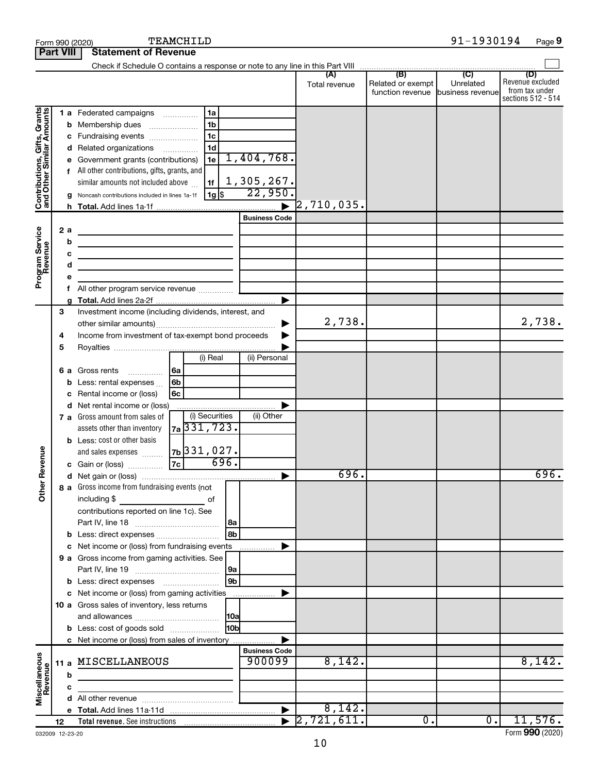|                                                           |                  |   | Form 990 (2020)                                                                                                       | TEAMCHILD                              |                 |                       |                          |                                   | 91-1930194       | Page 9                               |
|-----------------------------------------------------------|------------------|---|-----------------------------------------------------------------------------------------------------------------------|----------------------------------------|-----------------|-----------------------|--------------------------|-----------------------------------|------------------|--------------------------------------|
|                                                           | <b>Part VIII</b> |   | <b>Statement of Revenue</b>                                                                                           |                                        |                 |                       |                          |                                   |                  |                                      |
|                                                           |                  |   |                                                                                                                       |                                        |                 |                       |                          |                                   |                  |                                      |
|                                                           |                  |   |                                                                                                                       |                                        |                 |                       |                          |                                   |                  | (D)                                  |
|                                                           |                  |   |                                                                                                                       |                                        |                 |                       | Total revenue            | Related or exempt                 | Unrelated        | Revenue excluded                     |
|                                                           |                  |   |                                                                                                                       |                                        |                 |                       |                          | function revenue business revenue |                  | from tax under<br>sections 512 - 514 |
|                                                           |                  |   |                                                                                                                       |                                        |                 |                       |                          |                                   |                  |                                      |
|                                                           |                  |   | 1 a Federated campaigns                                                                                               | 1a                                     |                 |                       |                          |                                   |                  |                                      |
| Contributions, Gifts, Grants<br>and Other Similar Amounts |                  | b | Membership dues                                                                                                       | 1 <sub>b</sub>                         |                 |                       |                          |                                   |                  |                                      |
|                                                           |                  | с | Fundraising events                                                                                                    | 1 <sub>c</sub>                         |                 |                       |                          |                                   |                  |                                      |
|                                                           |                  | d | Related organizations                                                                                                 | 1 <sub>d</sub>                         |                 |                       |                          |                                   |                  |                                      |
|                                                           |                  | е | Government grants (contributions)                                                                                     | 1e                                     | 1,404,768.      |                       |                          |                                   |                  |                                      |
|                                                           |                  | f | All other contributions, gifts, grants, and                                                                           |                                        |                 |                       |                          |                                   |                  |                                      |
|                                                           |                  |   | similar amounts not included above                                                                                    | 1f                                     | 1,305,267.      |                       |                          |                                   |                  |                                      |
|                                                           |                  | a | Noncash contributions included in lines 1a-1f                                                                         | $1g$ \$                                |                 | 22,950.               |                          |                                   |                  |                                      |
|                                                           |                  |   |                                                                                                                       |                                        |                 |                       | $\overline{2}$ ,710,035. |                                   |                  |                                      |
|                                                           |                  |   |                                                                                                                       |                                        |                 | <b>Business Code</b>  |                          |                                   |                  |                                      |
|                                                           | 2a               |   |                                                                                                                       |                                        |                 |                       |                          |                                   |                  |                                      |
|                                                           |                  |   |                                                                                                                       |                                        |                 |                       |                          |                                   |                  |                                      |
| Program Service<br>Revenue                                |                  | b | <u> 1980 - Johann Barbara, martin amerikan basal dan berasal dan berasal dalam basal dan berasal dan berasal dan</u>  |                                        |                 |                       |                          |                                   |                  |                                      |
|                                                           |                  | c | the contract of the contract of the contract of the contract of                                                       |                                        |                 |                       |                          |                                   |                  |                                      |
|                                                           |                  | d | <u> 1989 - Johann Barn, mars ann an t-Amhair an t-Amhair an t-Amhair an t-Amhair an t-Amhair an t-Amhair an t-Amh</u> |                                        |                 |                       |                          |                                   |                  |                                      |
|                                                           |                  | е |                                                                                                                       |                                        |                 |                       |                          |                                   |                  |                                      |
|                                                           |                  | f |                                                                                                                       |                                        |                 |                       |                          |                                   |                  |                                      |
|                                                           |                  | g |                                                                                                                       |                                        |                 |                       |                          |                                   |                  |                                      |
|                                                           | 3                |   | Investment income (including dividends, interest, and                                                                 |                                        |                 |                       |                          |                                   |                  |                                      |
|                                                           |                  |   |                                                                                                                       |                                        |                 |                       | 2,738.                   |                                   |                  | 2,738.                               |
|                                                           | 4                |   | Income from investment of tax-exempt bond proceeds                                                                    |                                        |                 |                       |                          |                                   |                  |                                      |
|                                                           | 5                |   |                                                                                                                       |                                        |                 |                       |                          |                                   |                  |                                      |
|                                                           |                  |   |                                                                                                                       | (i) Real                               |                 | (ii) Personal         |                          |                                   |                  |                                      |
|                                                           | 6а               |   | Gross rents                                                                                                           | l 6a                                   |                 |                       |                          |                                   |                  |                                      |
|                                                           |                  | b | Less: rental expenses                                                                                                 | 6 <sub>b</sub>                         |                 |                       |                          |                                   |                  |                                      |
|                                                           |                  |   | Rental income or (loss)                                                                                               | 6c                                     |                 |                       |                          |                                   |                  |                                      |
|                                                           |                  | с |                                                                                                                       |                                        |                 |                       |                          |                                   |                  |                                      |
|                                                           |                  | d | Net rental income or (loss)                                                                                           | (i) Securities                         |                 |                       |                          |                                   |                  |                                      |
|                                                           |                  |   | 7 a Gross amount from sales of                                                                                        |                                        |                 | (ii) Other            |                          |                                   |                  |                                      |
|                                                           |                  |   | assets other than inventory                                                                                           | 7a 331, 723.                           |                 |                       |                          |                                   |                  |                                      |
|                                                           |                  |   | <b>b</b> Less: cost or other basis                                                                                    |                                        |                 |                       |                          |                                   |                  |                                      |
| evenue                                                    |                  |   | and sales expenses                                                                                                    | $\vert$ <sub>7b</sub> $\vert$ 331,027. |                 |                       |                          |                                   |                  |                                      |
|                                                           |                  |   | c Gain or (loss)                                                                                                      | 7c                                     | 696.            |                       |                          |                                   |                  |                                      |
| œ                                                         |                  |   |                                                                                                                       |                                        |                 |                       | 696.                     |                                   |                  | 696.                                 |
| Other                                                     |                  |   | 8 a Gross income from fundraising events (not                                                                         |                                        |                 |                       |                          |                                   |                  |                                      |
|                                                           |                  |   | including \$                                                                                                          | of                                     |                 |                       |                          |                                   |                  |                                      |
|                                                           |                  |   | contributions reported on line 1c). See                                                                               |                                        |                 |                       |                          |                                   |                  |                                      |
|                                                           |                  |   |                                                                                                                       |                                        |                 |                       |                          |                                   |                  |                                      |
|                                                           |                  | b | Less: direct expenses                                                                                                 |                                        | 8b              |                       |                          |                                   |                  |                                      |
|                                                           |                  | с | Net income or (loss) from fundraising events                                                                          |                                        |                 |                       |                          |                                   |                  |                                      |
|                                                           |                  |   | 9 a Gross income from gaming activities. See                                                                          |                                        |                 |                       |                          |                                   |                  |                                      |
|                                                           |                  |   |                                                                                                                       |                                        | 9a              |                       |                          |                                   |                  |                                      |
|                                                           |                  |   |                                                                                                                       |                                        | 9b              |                       |                          |                                   |                  |                                      |
|                                                           |                  |   |                                                                                                                       |                                        |                 |                       |                          |                                   |                  |                                      |
|                                                           |                  | с | Net income or (loss) from gaming activities                                                                           |                                        |                 |                       |                          |                                   |                  |                                      |
|                                                           |                  |   | 10 a Gross sales of inventory, less returns                                                                           |                                        |                 |                       |                          |                                   |                  |                                      |
|                                                           |                  |   |                                                                                                                       |                                        |                 |                       |                          |                                   |                  |                                      |
|                                                           |                  |   | <b>b</b> Less: cost of goods sold                                                                                     |                                        | H <sub>0b</sub> |                       |                          |                                   |                  |                                      |
|                                                           |                  |   | c Net income or (loss) from sales of inventory                                                                        |                                        |                 |                       |                          |                                   |                  |                                      |
|                                                           |                  |   |                                                                                                                       |                                        |                 | <b>Business Code</b>  |                          |                                   |                  |                                      |
|                                                           |                  |   | 11 a MISCELLANEOUS                                                                                                    |                                        |                 | 900099                | 8,142.                   |                                   |                  | 8,142.                               |
|                                                           |                  | b |                                                                                                                       |                                        |                 |                       |                          |                                   |                  |                                      |
|                                                           |                  | c |                                                                                                                       |                                        |                 |                       |                          |                                   |                  |                                      |
| Miscellaneous<br>Revenue                                  |                  |   |                                                                                                                       |                                        |                 |                       |                          |                                   |                  |                                      |
|                                                           |                  |   |                                                                                                                       |                                        |                 | $\blacktriangleright$ | 8,142.                   |                                   |                  |                                      |
|                                                           | 12               |   |                                                                                                                       |                                        |                 |                       | 2, 721, 611.             | $\overline{0}$ .                  | $\overline{0}$ . | 11,576.                              |
|                                                           |                  |   |                                                                                                                       |                                        |                 |                       |                          |                                   |                  |                                      |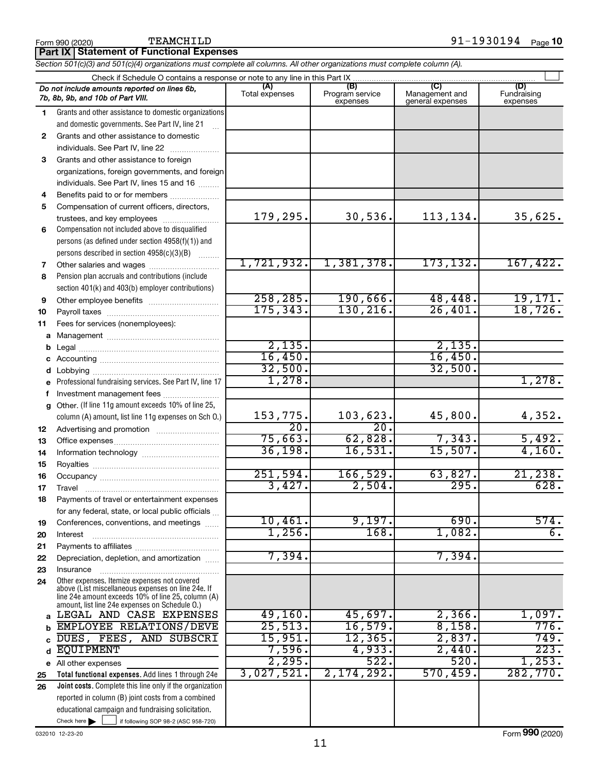| f  | Investment management fees                                                                                                                                                                                 |           |  |
|----|------------------------------------------------------------------------------------------------------------------------------------------------------------------------------------------------------------|-----------|--|
| a  | Other. (If line 11g amount exceeds 10% of line 25,                                                                                                                                                         |           |  |
|    | column (A) amount, list line 11g expenses on Sch 0.)                                                                                                                                                       | 153,775.  |  |
| 12 |                                                                                                                                                                                                            | 20.       |  |
| 13 |                                                                                                                                                                                                            | 75,663.   |  |
| 14 |                                                                                                                                                                                                            | 36, 198.  |  |
| 15 |                                                                                                                                                                                                            |           |  |
| 16 |                                                                                                                                                                                                            | 251,594.  |  |
| 17 | Travel                                                                                                                                                                                                     | 3,427.    |  |
| 18 | Payments of travel or entertainment expenses                                                                                                                                                               |           |  |
|    | for any federal, state, or local public officials                                                                                                                                                          |           |  |
| 19 | Conferences, conventions, and meetings                                                                                                                                                                     | 10,461.   |  |
| 20 | Interest                                                                                                                                                                                                   | 1,256.    |  |
| 21 |                                                                                                                                                                                                            |           |  |
| 22 | Depreciation, depletion, and amortization                                                                                                                                                                  | 7,394.    |  |
| 23 | Insurance                                                                                                                                                                                                  |           |  |
| 24 | Other expenses. Itemize expenses not covered<br>above (List miscellaneous expenses on line 24e. If<br>line 24e amount exceeds 10% of line 25, column (A)<br>amount, list line 24e expenses on Schedule O.) |           |  |
|    | . LEGAL AND CASE EXPENSES                                                                                                                                                                                  | 49.<br>60 |  |

**Part IX Statement of Functional Expenses**

|              | Do not include amounts reported on lines 6b,<br>7b, 8b, 9b, and 10b of Part VIII.                        | (A)<br>Total expenses | (B)<br>Program service<br>expenses | (C)<br>Management and<br>general expenses | (D)<br>Fundraising<br>expenses |  |  |  |  |
|--------------|----------------------------------------------------------------------------------------------------------|-----------------------|------------------------------------|-------------------------------------------|--------------------------------|--|--|--|--|
| 1.           | Grants and other assistance to domestic organizations                                                    |                       |                                    |                                           |                                |  |  |  |  |
|              | and domestic governments. See Part IV, line 21                                                           |                       |                                    |                                           |                                |  |  |  |  |
| $\mathbf{2}$ | Grants and other assistance to domestic                                                                  |                       |                                    |                                           |                                |  |  |  |  |
|              | individuals. See Part IV, line 22                                                                        |                       |                                    |                                           |                                |  |  |  |  |
| 3            | Grants and other assistance to foreign                                                                   |                       |                                    |                                           |                                |  |  |  |  |
|              | organizations, foreign governments, and foreign                                                          |                       |                                    |                                           |                                |  |  |  |  |
|              | individuals. See Part IV, lines 15 and 16                                                                |                       |                                    |                                           |                                |  |  |  |  |
| 4            | Benefits paid to or for members                                                                          |                       |                                    |                                           |                                |  |  |  |  |
| 5            | Compensation of current officers, directors,                                                             |                       |                                    |                                           |                                |  |  |  |  |
|              | trustees, and key employees                                                                              | 179,295.              | 30,536.                            | 113,134.                                  | 35,625.                        |  |  |  |  |
| 6            | Compensation not included above to disqualified                                                          |                       |                                    |                                           |                                |  |  |  |  |
|              | persons (as defined under section 4958(f)(1)) and                                                        |                       |                                    |                                           |                                |  |  |  |  |
|              | persons described in section 4958(c)(3)(B)                                                               |                       |                                    |                                           |                                |  |  |  |  |
| 7            |                                                                                                          | 1,721,932.            | 1,381,378.                         | 173, 132.                                 | 167,422.                       |  |  |  |  |
| 8            | Pension plan accruals and contributions (include                                                         |                       |                                    |                                           |                                |  |  |  |  |
|              | section 401(k) and 403(b) employer contributions)                                                        |                       |                                    |                                           |                                |  |  |  |  |
| 9            | Other employee benefits                                                                                  | 258, 285.             | 190,666.                           | 48,448.                                   | 19,171.                        |  |  |  |  |
| 10           |                                                                                                          | 175, 343.             | 130, 216.                          | 26,401.                                   | 18,726.                        |  |  |  |  |
| 11           | Fees for services (nonemployees):                                                                        |                       |                                    |                                           |                                |  |  |  |  |
| a            |                                                                                                          |                       |                                    |                                           |                                |  |  |  |  |
| b            |                                                                                                          | 2,135.                |                                    | 2,135.                                    |                                |  |  |  |  |
| c            |                                                                                                          | 16,450.               |                                    | 16,450.                                   |                                |  |  |  |  |
| d            |                                                                                                          | 32,500.               |                                    | 32,500.                                   |                                |  |  |  |  |
| e            | Professional fundraising services. See Part IV, line 17                                                  | 1,278.                |                                    |                                           | 1,278.                         |  |  |  |  |
| f            | Investment management fees                                                                               |                       |                                    |                                           |                                |  |  |  |  |
| q            | Other. (If line 11g amount exceeds 10% of line 25,                                                       |                       |                                    |                                           |                                |  |  |  |  |
|              | column (A) amount, list line 11g expenses on Sch O.)                                                     | 153,775.              | 103,623.                           | 45,800.                                   | 4,352.                         |  |  |  |  |
| 12           |                                                                                                          | $\overline{20}$ .     | $\overline{20}$ .                  |                                           |                                |  |  |  |  |
| 13           |                                                                                                          | 75,663.               | 62,828.                            | 7,343.                                    | 5,492.                         |  |  |  |  |
| 14           |                                                                                                          | 36,198.               | 16,531.                            | 15,507.                                   | 4,160.                         |  |  |  |  |
| 15           |                                                                                                          |                       |                                    |                                           |                                |  |  |  |  |
| 16           |                                                                                                          | 251,594.              | 166, 529.                          | 63,827.                                   | 21,238.                        |  |  |  |  |
| 17           |                                                                                                          | 3,427.                | 2,504.                             | 295.                                      | 628.                           |  |  |  |  |
| 18           | Payments of travel or entertainment expenses                                                             |                       |                                    |                                           |                                |  |  |  |  |
|              | for any federal, state, or local public officials                                                        |                       |                                    |                                           |                                |  |  |  |  |
| 19           | Conferences, conventions, and meetings                                                                   | 10,461.               | 9,197.                             | 690.                                      | 574.                           |  |  |  |  |
| 20           | Interest                                                                                                 | 1,256.                | 168.                               | $1,082$ .                                 | $\overline{6}$ .               |  |  |  |  |
| 21           |                                                                                                          |                       |                                    | 7,394.                                    |                                |  |  |  |  |
| 22           | Depreciation, depletion, and amortization                                                                | 7,394.                |                                    |                                           |                                |  |  |  |  |
| 23           | Insurance                                                                                                |                       |                                    |                                           |                                |  |  |  |  |
| 24           | Other expenses. Itemize expenses not covered<br>above (List miscellaneous expenses on line 24e. If       |                       |                                    |                                           |                                |  |  |  |  |
|              | line 24e amount exceeds 10% of line 25, column (A)                                                       |                       |                                    |                                           |                                |  |  |  |  |
|              | amount, list line 24e expenses on Schedule O.)<br>LEGAL AND CASE EXPENSES                                | 49,160.               | 45,697.                            | 2,366.                                    | 1,097.                         |  |  |  |  |
| a            | EMPLOYEE RELATIONS/DEVE                                                                                  | 25,513.               | 16,579.                            |                                           | 776.                           |  |  |  |  |
| b            | DUES, FEES,<br>AND SUBSCRI                                                                               | 15,951.               | 12, 365.                           | 8,158.<br>2,837.                          | 749.                           |  |  |  |  |
| c            | <b>EQUIPMENT</b>                                                                                         | 7,596.                | 4,933.                             | 2,440.                                    | 223.                           |  |  |  |  |
| d            |                                                                                                          | 2,295.                | 522.                               | 520.                                      | 1,253.                         |  |  |  |  |
| е            | All other expenses                                                                                       | 3,027,521.            | 2,174,292.                         | 570,459.                                  | 282,770.                       |  |  |  |  |
| 25           | Total functional expenses. Add lines 1 through 24e                                                       |                       |                                    |                                           |                                |  |  |  |  |
| 26           | <b>Joint costs.</b> Complete this line only if the organization                                          |                       |                                    |                                           |                                |  |  |  |  |
|              | reported in column (B) joint costs from a combined<br>educational campaign and fundraising solicitation. |                       |                                    |                                           |                                |  |  |  |  |
|              | Check here $\blacktriangleright$<br>if following SOP 98-2 (ASC 958-720)                                  |                       |                                    |                                           |                                |  |  |  |  |
|              |                                                                                                          |                       |                                    |                                           |                                |  |  |  |  |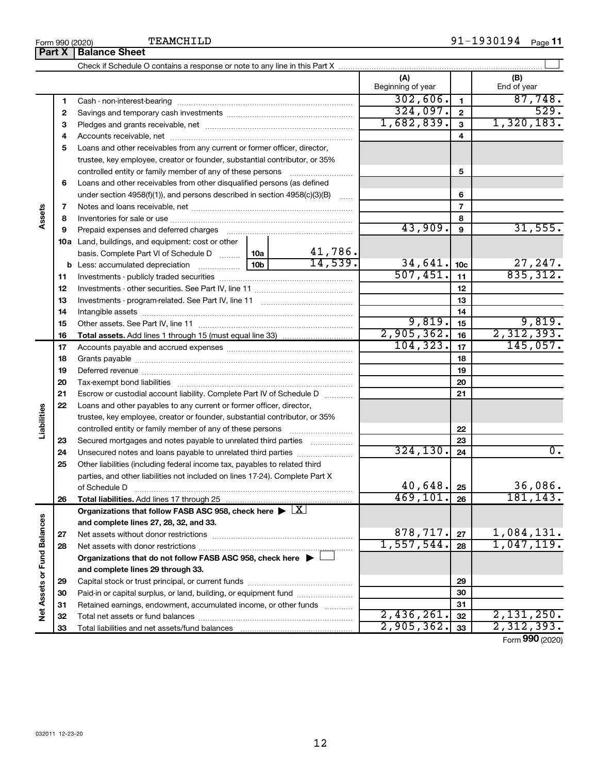|                             | Part X | <b>Balance Sheet</b>                                                                                   |          |                |                          |                 |                          |
|-----------------------------|--------|--------------------------------------------------------------------------------------------------------|----------|----------------|--------------------------|-----------------|--------------------------|
|                             |        |                                                                                                        |          |                |                          |                 |                          |
|                             |        |                                                                                                        |          |                | (A)<br>Beginning of year |                 | (B)<br>End of year       |
|                             | 1      |                                                                                                        |          |                | 302,606.                 | 1               | 87,748.                  |
|                             | 2      |                                                                                                        | 324,097. | $\overline{2}$ | 529.                     |                 |                          |
|                             | 3      |                                                                                                        |          |                | 1,682,839.               | 3               | 1,320,183.               |
|                             | 4      |                                                                                                        |          |                |                          | 4               |                          |
|                             | 5      | Loans and other receivables from any current or former officer, director,                              |          |                |                          |                 |                          |
|                             |        | trustee, key employee, creator or founder, substantial contributor, or 35%                             |          |                |                          |                 |                          |
|                             |        | controlled entity or family member of any of these persons                                             |          |                |                          | 5               |                          |
|                             | 6      | Loans and other receivables from other disqualified persons (as defined                                |          |                |                          |                 |                          |
|                             |        | under section $4958(f)(1)$ , and persons described in section $4958(c)(3)(B)$                          |          |                |                          | 6               |                          |
|                             | 7      |                                                                                                        |          |                |                          | 7               |                          |
| Assets                      | 8      |                                                                                                        |          |                |                          | 8               |                          |
|                             | 9      |                                                                                                        |          |                | 43,909.                  | 9               | 31,555.                  |
|                             |        | <b>10a</b> Land, buildings, and equipment: cost or other                                               |          |                |                          |                 |                          |
|                             |        | basis. Complete Part VI of Schedule D    10a                                                           |          | 41,786.        |                          |                 |                          |
|                             |        |                                                                                                        |          | 14,539.        | 34,641.                  | 10 <sub>c</sub> | 27, 247.                 |
|                             | 11     |                                                                                                        |          |                | 507,451.                 | 11              | 835, 312.                |
|                             | 12     |                                                                                                        |          |                |                          | 12              |                          |
|                             | 13     |                                                                                                        |          |                |                          | 13              |                          |
|                             | 14     |                                                                                                        |          |                |                          | 14              |                          |
|                             | 15     |                                                                                                        | 9,819.   | 15             | 9,819.                   |                 |                          |
|                             | 16     |                                                                                                        |          |                | 2,905,362.               | 16              | 2,312,393.               |
|                             | 17     |                                                                                                        |          |                | 104, 323.                | 17              | 145,057.                 |
|                             | 18     |                                                                                                        |          | 18             |                          |                 |                          |
|                             | 19     |                                                                                                        |          |                |                          | 19              |                          |
|                             | 20     |                                                                                                        |          |                |                          | 20              |                          |
|                             | 21     | Escrow or custodial account liability. Complete Part IV of Schedule D                                  |          |                |                          | 21              |                          |
|                             | 22     | Loans and other payables to any current or former officer, director,                                   |          |                |                          |                 |                          |
|                             |        | trustee, key employee, creator or founder, substantial contributor, or 35%                             |          |                |                          |                 |                          |
| Liabilities                 |        | controlled entity or family member of any of these persons                                             |          |                |                          | 22              |                          |
|                             | 23     | Secured mortgages and notes payable to unrelated third parties                                         |          |                |                          | 23              |                          |
|                             | 24     | Unsecured notes and loans payable to unrelated third parties                                           |          |                | 324, 130.                | 24              | $\overline{0}$ .         |
|                             | 25     | Other liabilities (including federal income tax, payables to related third                             |          |                |                          |                 |                          |
|                             |        | parties, and other liabilities not included on lines 17-24). Complete Part X                           |          |                |                          |                 |                          |
|                             |        | of Schedule D                                                                                          |          |                | 40,648.                  | 25              | 36,086.                  |
|                             | 26     | Total liabilities. Add lines 17 through 25                                                             |          |                | 469, 101.                | 26              | 181,143.                 |
|                             |        | Organizations that follow FASB ASC 958, check here $\blacktriangleright \lfloor \underline{X} \rfloor$ |          |                |                          |                 |                          |
|                             |        | and complete lines 27, 28, 32, and 33.                                                                 |          |                |                          |                 |                          |
|                             | 27     |                                                                                                        |          |                | 878,717.                 | 27              | 1,084,131.<br>1,047,119. |
|                             | 28     |                                                                                                        |          |                | 1,557,544.               | 28              |                          |
|                             |        | Organizations that do not follow FASB ASC 958, check here $\blacktriangleright$                        |          |                |                          |                 |                          |
| Net Assets or Fund Balances |        | and complete lines 29 through 33.                                                                      |          |                |                          |                 |                          |
|                             | 29     |                                                                                                        |          |                |                          | 29              |                          |
|                             | 30     | Paid-in or capital surplus, or land, building, or equipment fund                                       |          |                |                          | 30              |                          |
|                             | 31     | Retained earnings, endowment, accumulated income, or other funds                                       |          |                |                          | 31              |                          |
|                             | 32     |                                                                                                        |          |                | 2,436,261.               | 32              | $2,131,250$ .            |
|                             | 33     |                                                                                                        |          |                | 2,905,362.               | 33              | 2,312,393.               |

12

Form (2020) **990**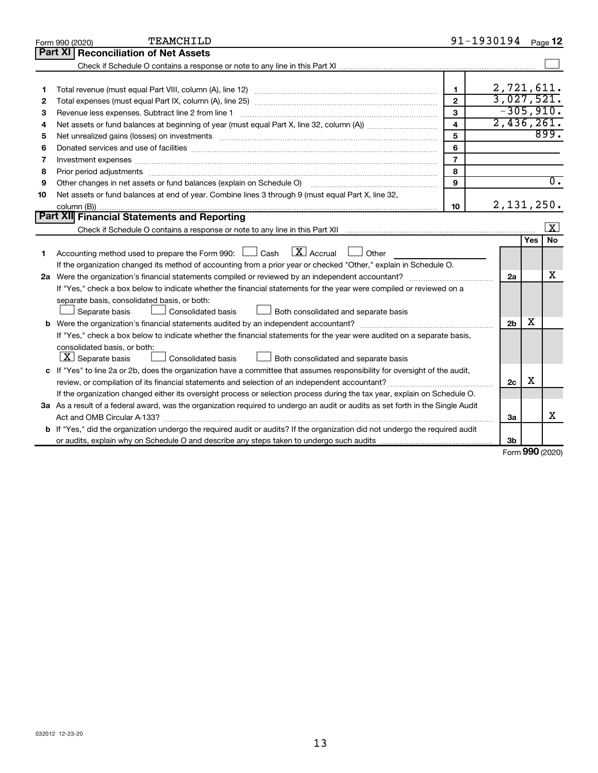|    | <b>TEAMCHILD</b><br>Form 990 (2020)                                                                                             |                | 91-1930194     |     | Page 12                 |
|----|---------------------------------------------------------------------------------------------------------------------------------|----------------|----------------|-----|-------------------------|
|    | Part XI<br><b>Reconciliation of Net Assets</b>                                                                                  |                |                |     |                         |
|    |                                                                                                                                 |                |                |     |                         |
|    |                                                                                                                                 |                |                |     |                         |
| 1  |                                                                                                                                 | 1              | 2,721,611.     |     |                         |
| 2  |                                                                                                                                 | $\mathbf{2}$   | 3,027,521.     |     |                         |
| 3  |                                                                                                                                 | 3              | $-305,910.$    |     |                         |
| 4  |                                                                                                                                 | 4              | 2,436,261.     |     |                         |
| 5  |                                                                                                                                 | 5              |                |     | 899.                    |
| 6  |                                                                                                                                 | 6              |                |     |                         |
| 7  | Investment expenses www.communication.com/www.communication.com/www.communication.com/www.com                                   | $\overline{7}$ |                |     |                         |
| 8  | Prior period adjustments manufactured and content and content and all the manufactured adjustments manufacture                  | 8              |                |     |                         |
| 9  | Other changes in net assets or fund balances (explain on Schedule O)                                                            | 9              |                |     | $\overline{0}$ .        |
| 10 | Net assets or fund balances at end of year. Combine lines 3 through 9 (must equal Part X, line 32,                              |                |                |     |                         |
|    |                                                                                                                                 | 10             | 2,131,250.     |     |                         |
|    | Part XII Financial Statements and Reporting                                                                                     |                |                |     |                         |
|    |                                                                                                                                 |                |                |     | $\overline{\mathbf{x}}$ |
|    |                                                                                                                                 |                |                | Yes | <b>No</b>               |
| 1  | $\boxed{\text{X}}$ Accrual<br>Accounting method used to prepare the Form 990: [130] Cash<br>Other                               |                |                |     |                         |
|    | If the organization changed its method of accounting from a prior year or checked "Other," explain in Schedule O.               |                |                |     |                         |
|    |                                                                                                                                 |                | 2a             |     | x                       |
|    | If "Yes," check a box below to indicate whether the financial statements for the year were compiled or reviewed on a            |                |                |     |                         |
|    | separate basis, consolidated basis, or both:                                                                                    |                |                |     |                         |
|    | Consolidated basis<br>Both consolidated and separate basis<br>Separate basis                                                    |                |                |     |                         |
|    |                                                                                                                                 |                | 2 <sub>b</sub> | х   |                         |
|    | If "Yes," check a box below to indicate whether the financial statements for the year were audited on a separate basis,         |                |                |     |                         |
|    | consolidated basis, or both:                                                                                                    |                |                |     |                         |
|    | $ \mathbf{X} $ Separate basis<br><b>Consolidated basis</b><br>Both consolidated and separate basis                              |                |                |     |                         |
|    | c If "Yes" to line 2a or 2b, does the organization have a committee that assumes responsibility for oversight of the audit,     |                |                |     |                         |
|    |                                                                                                                                 |                | 2c             | х   |                         |
|    | If the organization changed either its oversight process or selection process during the tax year, explain on Schedule O.       |                |                |     |                         |
|    | 3a As a result of a federal award, was the organization required to undergo an audit or audits as set forth in the Single Audit |                |                |     |                         |
|    |                                                                                                                                 |                | За             |     | X                       |
|    | b If "Yes," did the organization undergo the required audit or audits? If the organization did not undergo the required audit   |                |                |     |                         |
|    |                                                                                                                                 |                | 3 <sub>b</sub> |     |                         |

Form (2020) **990**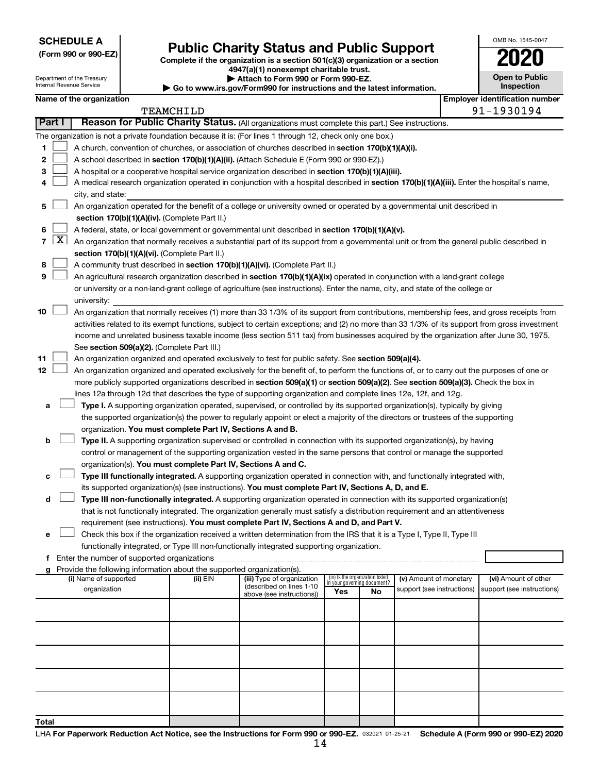| <b>SCHEDULE A</b> |  |
|-------------------|--|
|-------------------|--|

| (Form 990 or 990-EZ) |  |  |  |  |
|----------------------|--|--|--|--|
|----------------------|--|--|--|--|

Department of the Treasury Internal Revenue Service

# **(Form 990 or 990-EZ) Complete if the organization is a section 501(c)(3) organization or a section Public Charity Status and Public Support 2020**

**4947(a)(1) nonexempt charitable trust. | Attach to Form 990 or Form 990-EZ.** 

**| Go to www.irs.gov/Form990 for instructions and the latest information.**

|   | <b>Open to Public</b><br>Inspection |
|---|-------------------------------------|
| r | lentification num                   |

OMB No. 1545-0047

| Name of the organization                                                                                                                          |                                                                                                                                                                                                                                               |                                                       |                                                                |    |                            | <b>Employer identification number</b> |                            |  |  |  |
|---------------------------------------------------------------------------------------------------------------------------------------------------|-----------------------------------------------------------------------------------------------------------------------------------------------------------------------------------------------------------------------------------------------|-------------------------------------------------------|----------------------------------------------------------------|----|----------------------------|---------------------------------------|----------------------------|--|--|--|
| <b>Part I</b>                                                                                                                                     | TEAMCHILD<br>Reason for Public Charity Status. (All organizations must complete this part.) See instructions.                                                                                                                                 |                                                       |                                                                |    |                            |                                       | 91-1930194                 |  |  |  |
|                                                                                                                                                   |                                                                                                                                                                                                                                               |                                                       |                                                                |    |                            |                                       |                            |  |  |  |
| The organization is not a private foundation because it is: (For lines 1 through 12, check only one box.)                                         |                                                                                                                                                                                                                                               |                                                       |                                                                |    |                            |                                       |                            |  |  |  |
| 1.                                                                                                                                                | A church, convention of churches, or association of churches described in section 170(b)(1)(A)(i).                                                                                                                                            |                                                       |                                                                |    |                            |                                       |                            |  |  |  |
| 2                                                                                                                                                 | A school described in section 170(b)(1)(A)(ii). (Attach Schedule E (Form 990 or 990-EZ).)                                                                                                                                                     |                                                       |                                                                |    |                            |                                       |                            |  |  |  |
| з                                                                                                                                                 | A hospital or a cooperative hospital service organization described in section 170(b)(1)(A)(iii).                                                                                                                                             |                                                       |                                                                |    |                            |                                       |                            |  |  |  |
| 4                                                                                                                                                 | A medical research organization operated in conjunction with a hospital described in section 170(b)(1)(A)(iii). Enter the hospital's name,                                                                                                    |                                                       |                                                                |    |                            |                                       |                            |  |  |  |
| city, and state:                                                                                                                                  |                                                                                                                                                                                                                                               |                                                       |                                                                |    |                            |                                       |                            |  |  |  |
| 5                                                                                                                                                 | An organization operated for the benefit of a college or university owned or operated by a governmental unit described in                                                                                                                     |                                                       |                                                                |    |                            |                                       |                            |  |  |  |
|                                                                                                                                                   | section 170(b)(1)(A)(iv). (Complete Part II.)                                                                                                                                                                                                 |                                                       |                                                                |    |                            |                                       |                            |  |  |  |
| 6                                                                                                                                                 | A federal, state, or local government or governmental unit described in section 170(b)(1)(A)(v).                                                                                                                                              |                                                       |                                                                |    |                            |                                       |                            |  |  |  |
| 7 $ X $ An organization that normally receives a substantial part of its support from a governmental unit or from the general public described in |                                                                                                                                                                                                                                               |                                                       |                                                                |    |                            |                                       |                            |  |  |  |
|                                                                                                                                                   | section 170(b)(1)(A)(vi). (Complete Part II.)                                                                                                                                                                                                 |                                                       |                                                                |    |                            |                                       |                            |  |  |  |
| 8                                                                                                                                                 | A community trust described in section 170(b)(1)(A)(vi). (Complete Part II.)                                                                                                                                                                  |                                                       |                                                                |    |                            |                                       |                            |  |  |  |
| 9                                                                                                                                                 | An agricultural research organization described in section 170(b)(1)(A)(ix) operated in conjunction with a land-grant college                                                                                                                 |                                                       |                                                                |    |                            |                                       |                            |  |  |  |
|                                                                                                                                                   | or university or a non-land-grant college of agriculture (see instructions). Enter the name, city, and state of the college or                                                                                                                |                                                       |                                                                |    |                            |                                       |                            |  |  |  |
| university:                                                                                                                                       |                                                                                                                                                                                                                                               |                                                       |                                                                |    |                            |                                       |                            |  |  |  |
| 10                                                                                                                                                | An organization that normally receives (1) more than 33 1/3% of its support from contributions, membership fees, and gross receipts from                                                                                                      |                                                       |                                                                |    |                            |                                       |                            |  |  |  |
|                                                                                                                                                   | activities related to its exempt functions, subject to certain exceptions; and (2) no more than 33 1/3% of its support from gross investment                                                                                                  |                                                       |                                                                |    |                            |                                       |                            |  |  |  |
|                                                                                                                                                   | income and unrelated business taxable income (less section 511 tax) from businesses acquired by the organization after June 30, 1975.                                                                                                         |                                                       |                                                                |    |                            |                                       |                            |  |  |  |
|                                                                                                                                                   | See section 509(a)(2). (Complete Part III.)                                                                                                                                                                                                   |                                                       |                                                                |    |                            |                                       |                            |  |  |  |
| 11                                                                                                                                                | An organization organized and operated exclusively to test for public safety. See section 509(a)(4).                                                                                                                                          |                                                       |                                                                |    |                            |                                       |                            |  |  |  |
| 12                                                                                                                                                | An organization organized and operated exclusively for the benefit of, to perform the functions of, or to carry out the purposes of one or                                                                                                    |                                                       |                                                                |    |                            |                                       |                            |  |  |  |
|                                                                                                                                                   | more publicly supported organizations described in section 509(a)(1) or section 509(a)(2). See section 509(a)(3). Check the box in                                                                                                            |                                                       |                                                                |    |                            |                                       |                            |  |  |  |
|                                                                                                                                                   | lines 12a through 12d that describes the type of supporting organization and complete lines 12e, 12f, and 12g.<br>Type I. A supporting organization operated, supervised, or controlled by its supported organization(s), typically by giving |                                                       |                                                                |    |                            |                                       |                            |  |  |  |
| a                                                                                                                                                 | the supported organization(s) the power to regularly appoint or elect a majority of the directors or trustees of the supporting                                                                                                               |                                                       |                                                                |    |                            |                                       |                            |  |  |  |
|                                                                                                                                                   | organization. You must complete Part IV, Sections A and B.                                                                                                                                                                                    |                                                       |                                                                |    |                            |                                       |                            |  |  |  |
| b                                                                                                                                                 | Type II. A supporting organization supervised or controlled in connection with its supported organization(s), by having                                                                                                                       |                                                       |                                                                |    |                            |                                       |                            |  |  |  |
|                                                                                                                                                   | control or management of the supporting organization vested in the same persons that control or manage the supported                                                                                                                          |                                                       |                                                                |    |                            |                                       |                            |  |  |  |
|                                                                                                                                                   | organization(s). You must complete Part IV, Sections A and C.                                                                                                                                                                                 |                                                       |                                                                |    |                            |                                       |                            |  |  |  |
| c                                                                                                                                                 | Type III functionally integrated. A supporting organization operated in connection with, and functionally integrated with,                                                                                                                    |                                                       |                                                                |    |                            |                                       |                            |  |  |  |
|                                                                                                                                                   | its supported organization(s) (see instructions). You must complete Part IV, Sections A, D, and E.                                                                                                                                            |                                                       |                                                                |    |                            |                                       |                            |  |  |  |
| d                                                                                                                                                 | Type III non-functionally integrated. A supporting organization operated in connection with its supported organization(s)                                                                                                                     |                                                       |                                                                |    |                            |                                       |                            |  |  |  |
|                                                                                                                                                   | that is not functionally integrated. The organization generally must satisfy a distribution requirement and an attentiveness                                                                                                                  |                                                       |                                                                |    |                            |                                       |                            |  |  |  |
|                                                                                                                                                   | requirement (see instructions). You must complete Part IV, Sections A and D, and Part V.                                                                                                                                                      |                                                       |                                                                |    |                            |                                       |                            |  |  |  |
|                                                                                                                                                   | Check this box if the organization received a written determination from the IRS that it is a Type I, Type II, Type III                                                                                                                       |                                                       |                                                                |    |                            |                                       |                            |  |  |  |
|                                                                                                                                                   | functionally integrated, or Type III non-functionally integrated supporting organization.                                                                                                                                                     |                                                       |                                                                |    |                            |                                       |                            |  |  |  |
|                                                                                                                                                   |                                                                                                                                                                                                                                               |                                                       |                                                                |    |                            |                                       |                            |  |  |  |
| Provide the following information about the supported organization(s).                                                                            |                                                                                                                                                                                                                                               |                                                       |                                                                |    |                            |                                       |                            |  |  |  |
| (i) Name of supported                                                                                                                             | (ii) EIN                                                                                                                                                                                                                                      | (iii) Type of organization                            | (iv) Is the organization listed<br>in your governing document? |    | (v) Amount of monetary     |                                       | (vi) Amount of other       |  |  |  |
| organization                                                                                                                                      |                                                                                                                                                                                                                                               | (described on lines 1-10<br>above (see instructions)) | Yes                                                            | No | support (see instructions) |                                       | support (see instructions) |  |  |  |
|                                                                                                                                                   |                                                                                                                                                                                                                                               |                                                       |                                                                |    |                            |                                       |                            |  |  |  |
|                                                                                                                                                   |                                                                                                                                                                                                                                               |                                                       |                                                                |    |                            |                                       |                            |  |  |  |
|                                                                                                                                                   |                                                                                                                                                                                                                                               |                                                       |                                                                |    |                            |                                       |                            |  |  |  |
|                                                                                                                                                   |                                                                                                                                                                                                                                               |                                                       |                                                                |    |                            |                                       |                            |  |  |  |
|                                                                                                                                                   |                                                                                                                                                                                                                                               |                                                       |                                                                |    |                            |                                       |                            |  |  |  |
|                                                                                                                                                   |                                                                                                                                                                                                                                               |                                                       |                                                                |    |                            |                                       |                            |  |  |  |
|                                                                                                                                                   |                                                                                                                                                                                                                                               |                                                       |                                                                |    |                            |                                       |                            |  |  |  |
|                                                                                                                                                   |                                                                                                                                                                                                                                               |                                                       |                                                                |    |                            |                                       |                            |  |  |  |
|                                                                                                                                                   |                                                                                                                                                                                                                                               |                                                       |                                                                |    |                            |                                       |                            |  |  |  |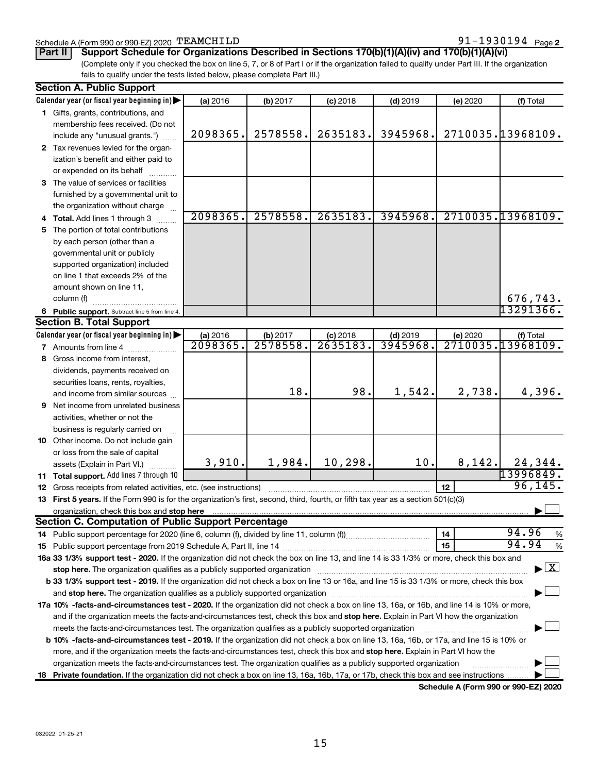# Schedule A (Form 990 or 990-EZ) 2020 TEAMCHILD

(Complete only if you checked the box on line 5, 7, or 8 of Part I or if the organization failed to qualify under Part III. If the organization **Part II** | Support Schedule for Organizations Described in Sections 170(b)(1)(A)(iv) and 170(b)(1)(A)(vi)

fails to qualify under the tests listed below, please complete Part III.)

|     | <b>Section A. Public Support</b>                                                                                                                                                                                               |          |          |            |            |          |                                          |
|-----|--------------------------------------------------------------------------------------------------------------------------------------------------------------------------------------------------------------------------------|----------|----------|------------|------------|----------|------------------------------------------|
|     | Calendar year (or fiscal year beginning in)                                                                                                                                                                                    | (a) 2016 | (b) 2017 | $(c)$ 2018 | $(d)$ 2019 | (e) 2020 | (f) Total                                |
|     | 1 Gifts, grants, contributions, and                                                                                                                                                                                            |          |          |            |            |          |                                          |
|     | membership fees received. (Do not                                                                                                                                                                                              |          |          |            |            |          |                                          |
|     | include any "unusual grants.")                                                                                                                                                                                                 | 2098365. | 2578558. | 2635183.   | 3945968.   |          | 2710035.13968109.                        |
|     | 2 Tax revenues levied for the organ-                                                                                                                                                                                           |          |          |            |            |          |                                          |
|     | ization's benefit and either paid to                                                                                                                                                                                           |          |          |            |            |          |                                          |
|     | or expended on its behalf                                                                                                                                                                                                      |          |          |            |            |          |                                          |
|     | 3 The value of services or facilities                                                                                                                                                                                          |          |          |            |            |          |                                          |
|     | furnished by a governmental unit to                                                                                                                                                                                            |          |          |            |            |          |                                          |
|     | the organization without charge                                                                                                                                                                                                |          |          |            |            |          |                                          |
|     | 4 Total. Add lines 1 through 3                                                                                                                                                                                                 | 2098365. | 2578558. | 2635183.   | 3945968.   |          | 2710035.13968109.                        |
|     |                                                                                                                                                                                                                                |          |          |            |            |          |                                          |
|     | 5 The portion of total contributions                                                                                                                                                                                           |          |          |            |            |          |                                          |
|     | by each person (other than a                                                                                                                                                                                                   |          |          |            |            |          |                                          |
|     | governmental unit or publicly                                                                                                                                                                                                  |          |          |            |            |          |                                          |
|     | supported organization) included                                                                                                                                                                                               |          |          |            |            |          |                                          |
|     | on line 1 that exceeds 2% of the                                                                                                                                                                                               |          |          |            |            |          |                                          |
|     | amount shown on line 11,                                                                                                                                                                                                       |          |          |            |            |          |                                          |
|     | column (f)                                                                                                                                                                                                                     |          |          |            |            |          | 676,743.                                 |
|     | 6 Public support. Subtract line 5 from line 4.                                                                                                                                                                                 |          |          |            |            |          | 13291366.                                |
|     | <b>Section B. Total Support</b>                                                                                                                                                                                                |          |          |            |            |          |                                          |
|     | Calendar year (or fiscal year beginning in)                                                                                                                                                                                    | (a) 2016 | (b) 2017 | $(c)$ 2018 | $(d)$ 2019 | (e) 2020 | (f) Total                                |
|     | 7 Amounts from line 4                                                                                                                                                                                                          | 2098365  | 2578558. | 2635183.   | 3945968    |          | 2710035.13968109.                        |
|     | 8 Gross income from interest,                                                                                                                                                                                                  |          |          |            |            |          |                                          |
|     | dividends, payments received on                                                                                                                                                                                                |          |          |            |            |          |                                          |
|     | securities loans, rents, royalties,                                                                                                                                                                                            |          |          |            |            |          |                                          |
|     | and income from similar sources                                                                                                                                                                                                |          | 18.      | 98.        | 1,542.     | 2,738.   | 4,396.                                   |
|     | 9 Net income from unrelated business                                                                                                                                                                                           |          |          |            |            |          |                                          |
|     | activities, whether or not the                                                                                                                                                                                                 |          |          |            |            |          |                                          |
|     | business is regularly carried on                                                                                                                                                                                               |          |          |            |            |          |                                          |
|     | 10 Other income. Do not include gain                                                                                                                                                                                           |          |          |            |            |          |                                          |
|     | or loss from the sale of capital                                                                                                                                                                                               |          |          |            |            |          |                                          |
|     | assets (Explain in Part VI.)                                                                                                                                                                                                   | 3,910.   | 1,984.   | 10,298.    | 10.        | 8,142.   | 24,344.                                  |
|     | 11 Total support. Add lines 7 through 10                                                                                                                                                                                       |          |          |            |            |          | 13996849.                                |
|     | <b>12</b> Gross receipts from related activities, etc. (see instructions)                                                                                                                                                      |          |          |            |            | 12       | 96, 145.                                 |
|     | 13 First 5 years. If the Form 990 is for the organization's first, second, third, fourth, or fifth tax year as a section 501(c)(3)                                                                                             |          |          |            |            |          |                                          |
|     |                                                                                                                                                                                                                                |          |          |            |            |          |                                          |
|     | <b>Section C. Computation of Public Support Percentage</b>                                                                                                                                                                     |          |          |            |            |          |                                          |
|     |                                                                                                                                                                                                                                |          |          |            |            | 14       | 94.96<br>%                               |
|     |                                                                                                                                                                                                                                |          |          |            |            | 15       | 94.94<br>%                               |
|     | 16a 33 1/3% support test - 2020. If the organization did not check the box on line 13, and line 14 is 33 1/3% or more, check this box and                                                                                      |          |          |            |            |          |                                          |
|     |                                                                                                                                                                                                                                |          |          |            |            |          | $\blacktriangleright$ $\boxed{\text{X}}$ |
|     | b 33 1/3% support test - 2019. If the organization did not check a box on line 13 or 16a, and line 15 is 33 1/3% or more, check this box                                                                                       |          |          |            |            |          |                                          |
|     |                                                                                                                                                                                                                                |          |          |            |            |          |                                          |
|     | and stop here. The organization qualifies as a publicly supported organization manufaction manufacture or manufacture or and a function of the organization manufacture or and a function of the original and state of the ori |          |          |            |            |          |                                          |
|     | 17a 10% -facts-and-circumstances test - 2020. If the organization did not check a box on line 13, 16a, or 16b, and line 14 is 10% or more,                                                                                     |          |          |            |            |          |                                          |
|     | and if the organization meets the facts-and-circumstances test, check this box and stop here. Explain in Part VI how the organization                                                                                          |          |          |            |            |          |                                          |
|     | meets the facts-and-circumstances test. The organization qualifies as a publicly supported organization                                                                                                                        |          |          |            |            |          |                                          |
|     | b 10% -facts-and-circumstances test - 2019. If the organization did not check a box on line 13, 16a, 16b, or 17a, and line 15 is 10% or                                                                                        |          |          |            |            |          |                                          |
|     | more, and if the organization meets the facts-and-circumstances test, check this box and stop here. Explain in Part VI how the                                                                                                 |          |          |            |            |          |                                          |
|     | organization meets the facts-and-circumstances test. The organization qualifies as a publicly supported organization                                                                                                           |          |          |            |            |          |                                          |
| 18. | Private foundation. If the organization did not check a box on line 13, 16a, 16b, 17a, or 17b, check this box and see instructions                                                                                             |          |          |            |            |          |                                          |

**Schedule A (Form 990 or 990-EZ) 2020**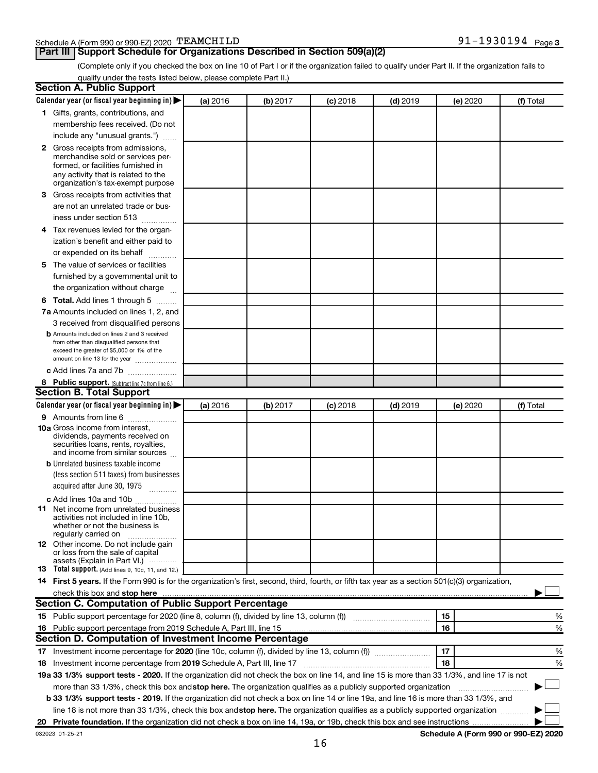# Schedule A (Form 990 or 990-EZ) 2020 TEAMCHILD

#### **Part III | Support Schedule for Organizations Described in Section 509(a)(2)**

(Complete only if you checked the box on line 10 of Part I or if the organization failed to qualify under Part II. If the organization fails to qualify under the tests listed below, please complete Part II.)

| <b>Section A. Public Support</b>                                                                                                                                                                                        |          |          |            |            |          |           |
|-------------------------------------------------------------------------------------------------------------------------------------------------------------------------------------------------------------------------|----------|----------|------------|------------|----------|-----------|
| Calendar year (or fiscal year beginning in)                                                                                                                                                                             | (a) 2016 | (b) 2017 | $(c)$ 2018 | $(d)$ 2019 | (e) 2020 | (f) Total |
| 1 Gifts, grants, contributions, and                                                                                                                                                                                     |          |          |            |            |          |           |
| membership fees received. (Do not                                                                                                                                                                                       |          |          |            |            |          |           |
| include any "unusual grants.")                                                                                                                                                                                          |          |          |            |            |          |           |
| 2 Gross receipts from admissions,                                                                                                                                                                                       |          |          |            |            |          |           |
| merchandise sold or services per-                                                                                                                                                                                       |          |          |            |            |          |           |
| formed, or facilities furnished in                                                                                                                                                                                      |          |          |            |            |          |           |
| any activity that is related to the<br>organization's tax-exempt purpose                                                                                                                                                |          |          |            |            |          |           |
| 3 Gross receipts from activities that                                                                                                                                                                                   |          |          |            |            |          |           |
| are not an unrelated trade or bus-                                                                                                                                                                                      |          |          |            |            |          |           |
| iness under section 513                                                                                                                                                                                                 |          |          |            |            |          |           |
|                                                                                                                                                                                                                         |          |          |            |            |          |           |
| 4 Tax revenues levied for the organ-                                                                                                                                                                                    |          |          |            |            |          |           |
| ization's benefit and either paid to                                                                                                                                                                                    |          |          |            |            |          |           |
| or expended on its behalf                                                                                                                                                                                               |          |          |            |            |          |           |
| 5 The value of services or facilities                                                                                                                                                                                   |          |          |            |            |          |           |
| furnished by a governmental unit to                                                                                                                                                                                     |          |          |            |            |          |           |
| the organization without charge                                                                                                                                                                                         |          |          |            |            |          |           |
| <b>6 Total.</b> Add lines 1 through 5                                                                                                                                                                                   |          |          |            |            |          |           |
| 7a Amounts included on lines 1, 2, and                                                                                                                                                                                  |          |          |            |            |          |           |
| 3 received from disqualified persons                                                                                                                                                                                    |          |          |            |            |          |           |
| <b>b</b> Amounts included on lines 2 and 3 received<br>from other than disqualified persons that                                                                                                                        |          |          |            |            |          |           |
| exceed the greater of \$5,000 or 1% of the                                                                                                                                                                              |          |          |            |            |          |           |
| amount on line 13 for the year                                                                                                                                                                                          |          |          |            |            |          |           |
| c Add lines 7a and 7b                                                                                                                                                                                                   |          |          |            |            |          |           |
| 8 Public support. (Subtract line 7c from line 6.)                                                                                                                                                                       |          |          |            |            |          |           |
| <b>Section B. Total Support</b>                                                                                                                                                                                         |          |          |            |            |          |           |
| Calendar year (or fiscal year beginning in)                                                                                                                                                                             | (a) 2016 | (b) 2017 | (c) 2018   | $(d)$ 2019 | (e) 2020 | (f) Total |
| 9 Amounts from line 6                                                                                                                                                                                                   |          |          |            |            |          |           |
| <b>10a</b> Gross income from interest,                                                                                                                                                                                  |          |          |            |            |          |           |
| dividends, payments received on<br>securities loans, rents, royalties,                                                                                                                                                  |          |          |            |            |          |           |
| and income from similar sources                                                                                                                                                                                         |          |          |            |            |          |           |
| <b>b</b> Unrelated business taxable income                                                                                                                                                                              |          |          |            |            |          |           |
| (less section 511 taxes) from businesses                                                                                                                                                                                |          |          |            |            |          |           |
| acquired after June 30, 1975<br>$\frac{1}{2}$                                                                                                                                                                           |          |          |            |            |          |           |
| c Add lines 10a and 10b                                                                                                                                                                                                 |          |          |            |            |          |           |
| 11 Net income from unrelated business                                                                                                                                                                                   |          |          |            |            |          |           |
| activities not included in line 10b.                                                                                                                                                                                    |          |          |            |            |          |           |
| whether or not the business is<br>regularly carried on                                                                                                                                                                  |          |          |            |            |          |           |
| <b>12</b> Other income. Do not include gain                                                                                                                                                                             |          |          |            |            |          |           |
| or loss from the sale of capital                                                                                                                                                                                        |          |          |            |            |          |           |
| assets (Explain in Part VI.)<br><b>13</b> Total support. (Add lines 9, 10c, 11, and 12.)                                                                                                                                |          |          |            |            |          |           |
| 14 First 5 years. If the Form 990 is for the organization's first, second, third, fourth, or fifth tax year as a section 501(c)(3) organization,                                                                        |          |          |            |            |          |           |
|                                                                                                                                                                                                                         |          |          |            |            |          |           |
| Section C. Computation of Public Support Percentage                                                                                                                                                                     |          |          |            |            |          |           |
|                                                                                                                                                                                                                         |          |          |            |            | 15       | %         |
| 16 Public support percentage from 2019 Schedule A, Part III, line 15                                                                                                                                                    |          |          |            |            | 16       | %         |
| <b>Section D. Computation of Investment Income Percentage</b>                                                                                                                                                           |          |          |            |            |          |           |
|                                                                                                                                                                                                                         |          |          |            |            | 17       | %         |
|                                                                                                                                                                                                                         |          |          |            |            | 18       | %         |
| 18 Investment income percentage from 2019 Schedule A, Part III, line 17<br>19a 33 1/3% support tests - 2020. If the organization did not check the box on line 14, and line 15 is more than 33 1/3%, and line 17 is not |          |          |            |            |          |           |
|                                                                                                                                                                                                                         |          |          |            |            |          |           |
| more than 33 1/3%, check this box and stop here. The organization qualifies as a publicly supported organization                                                                                                        |          |          |            |            |          |           |
| b 33 1/3% support tests - 2019. If the organization did not check a box on line 14 or line 19a, and line 16 is more than 33 1/3%, and                                                                                   |          |          |            |            |          |           |
| line 18 is not more than 33 1/3%, check this box and stop here. The organization qualifies as a publicly supported organization                                                                                         |          |          |            |            |          |           |
|                                                                                                                                                                                                                         |          |          |            |            |          |           |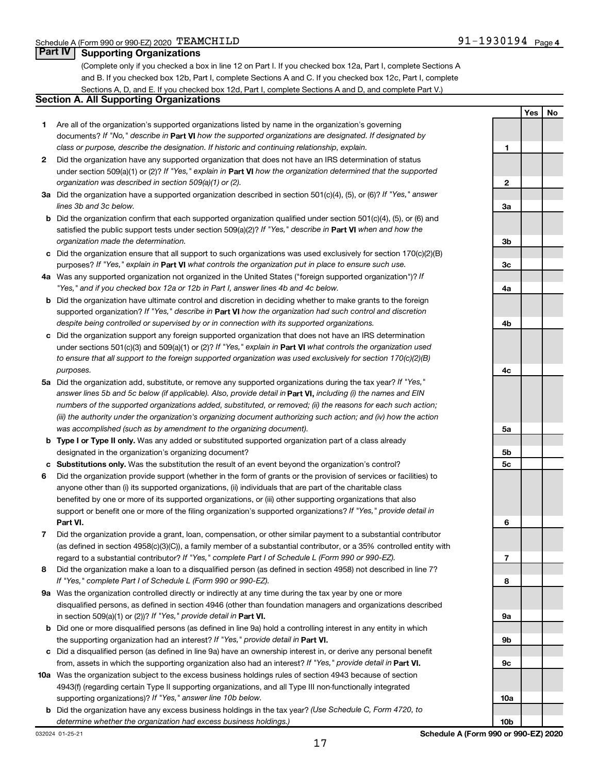**Yes No**

### **Part IV Supporting Organizations**

(Complete only if you checked a box in line 12 on Part I. If you checked box 12a, Part I, complete Sections A and B. If you checked box 12b, Part I, complete Sections A and C. If you checked box 12c, Part I, complete Sections A, D, and E. If you checked box 12d, Part I, complete Sections A and D, and complete Part V.)

### **Section A. All Supporting Organizations**

- **1** Are all of the organization's supported organizations listed by name in the organization's governing documents? If "No," describe in Part VI how the supported organizations are designated. If designated by *class or purpose, describe the designation. If historic and continuing relationship, explain.*
- **2** Did the organization have any supported organization that does not have an IRS determination of status under section 509(a)(1) or (2)? If "Yes," explain in Part **VI** how the organization determined that the supported *organization was described in section 509(a)(1) or (2).*
- **3a** Did the organization have a supported organization described in section 501(c)(4), (5), or (6)? If "Yes," answer *lines 3b and 3c below.*
- **b** Did the organization confirm that each supported organization qualified under section 501(c)(4), (5), or (6) and satisfied the public support tests under section 509(a)(2)? If "Yes," describe in Part VI when and how the *organization made the determination.*
- **c** Did the organization ensure that all support to such organizations was used exclusively for section 170(c)(2)(B) purposes? If "Yes," explain in Part VI what controls the organization put in place to ensure such use.
- **4 a** *If* Was any supported organization not organized in the United States ("foreign supported organization")? *"Yes," and if you checked box 12a or 12b in Part I, answer lines 4b and 4c below.*
- **b** Did the organization have ultimate control and discretion in deciding whether to make grants to the foreign supported organization? If "Yes," describe in Part VI how the organization had such control and discretion *despite being controlled or supervised by or in connection with its supported organizations.*
- **c** Did the organization support any foreign supported organization that does not have an IRS determination under sections 501(c)(3) and 509(a)(1) or (2)? If "Yes," explain in Part VI what controls the organization used *to ensure that all support to the foreign supported organization was used exclusively for section 170(c)(2)(B) purposes.*
- **5a** Did the organization add, substitute, or remove any supported organizations during the tax year? If "Yes," answer lines 5b and 5c below (if applicable). Also, provide detail in **Part VI,** including (i) the names and EIN *numbers of the supported organizations added, substituted, or removed; (ii) the reasons for each such action; (iii) the authority under the organization's organizing document authorizing such action; and (iv) how the action was accomplished (such as by amendment to the organizing document).*
- **b Type I or Type II only.** Was any added or substituted supported organization part of a class already designated in the organization's organizing document?
- **c Substitutions only.**  Was the substitution the result of an event beyond the organization's control?
- **6** Did the organization provide support (whether in the form of grants or the provision of services or facilities) to **Part VI.** support or benefit one or more of the filing organization's supported organizations? If "Yes," provide detail in anyone other than (i) its supported organizations, (ii) individuals that are part of the charitable class benefited by one or more of its supported organizations, or (iii) other supporting organizations that also
- **7** Did the organization provide a grant, loan, compensation, or other similar payment to a substantial contributor regard to a substantial contributor? If "Yes," complete Part I of Schedule L (Form 990 or 990-EZ). (as defined in section 4958(c)(3)(C)), a family member of a substantial contributor, or a 35% controlled entity with
- **8** Did the organization make a loan to a disqualified person (as defined in section 4958) not described in line 7? *If "Yes," complete Part I of Schedule L (Form 990 or 990-EZ).*
- **9 a** Was the organization controlled directly or indirectly at any time during the tax year by one or more in section 509(a)(1) or (2))? If "Yes," provide detail in **Part VI.** disqualified persons, as defined in section 4946 (other than foundation managers and organizations described
- **b** Did one or more disqualified persons (as defined in line 9a) hold a controlling interest in any entity in which the supporting organization had an interest? If "Yes," provide detail in Part VI.
- **c** Did a disqualified person (as defined in line 9a) have an ownership interest in, or derive any personal benefit from, assets in which the supporting organization also had an interest? If "Yes," provide detail in Part VI.
- **10 a** Was the organization subject to the excess business holdings rules of section 4943 because of section supporting organizations)? If "Yes," answer line 10b below. 4943(f) (regarding certain Type II supporting organizations, and all Type III non-functionally integrated
- **b** Did the organization have any excess business holdings in the tax year? (Use Schedule C, Form 4720, to *determine whether the organization had excess business holdings.)*

**1 2 3a 3b 3c 4a 4b 4c 5a 5b 5c 6 7 8 9a 9b 9c 10a**

**10b**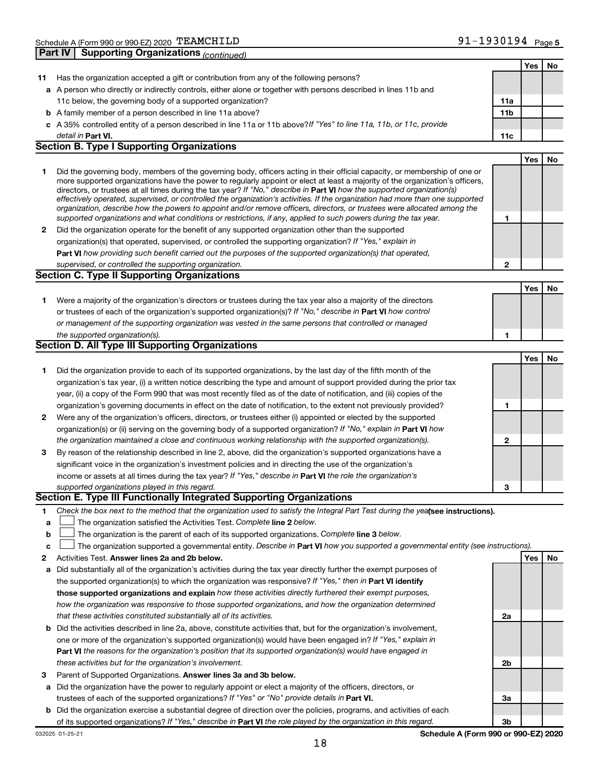|    |                                                                                                                                                                                                                                              |                | Yes | No |
|----|----------------------------------------------------------------------------------------------------------------------------------------------------------------------------------------------------------------------------------------------|----------------|-----|----|
| 11 | Has the organization accepted a gift or contribution from any of the following persons?                                                                                                                                                      |                |     |    |
|    | a A person who directly or indirectly controls, either alone or together with persons described in lines 11b and                                                                                                                             |                |     |    |
|    | 11c below, the governing body of a supported organization?                                                                                                                                                                                   | 11a            |     |    |
|    | <b>b</b> A family member of a person described in line 11a above?                                                                                                                                                                            | 11b            |     |    |
|    | c A 35% controlled entity of a person described in line 11a or 11b above? If "Yes" to line 11a, 11b, or 11c, provide                                                                                                                         |                |     |    |
|    | detail in Part VI.                                                                                                                                                                                                                           | 11c            |     |    |
|    | <b>Section B. Type I Supporting Organizations</b>                                                                                                                                                                                            |                |     |    |
|    |                                                                                                                                                                                                                                              |                | Yes | No |
| 1  | Did the governing body, members of the governing body, officers acting in their official capacity, or membership of one or                                                                                                                   |                |     |    |
|    | more supported organizations have the power to regularly appoint or elect at least a majority of the organization's officers,                                                                                                                |                |     |    |
|    | directors, or trustees at all times during the tax year? If "No," describe in Part VI how the supported organization(s)                                                                                                                      |                |     |    |
|    | effectively operated, supervised, or controlled the organization's activities. If the organization had more than one supported                                                                                                               |                |     |    |
|    | organization, describe how the powers to appoint and/or remove officers, directors, or trustees were allocated among the<br>supported organizations and what conditions or restrictions, if any, applied to such powers during the tax year. | 1              |     |    |
| 2  | Did the organization operate for the benefit of any supported organization other than the supported                                                                                                                                          |                |     |    |
|    | organization(s) that operated, supervised, or controlled the supporting organization? If "Yes," explain in                                                                                                                                   |                |     |    |
|    | Part VI how providing such benefit carried out the purposes of the supported organization(s) that operated,                                                                                                                                  |                |     |    |
|    | supervised, or controlled the supporting organization.                                                                                                                                                                                       | $\overline{2}$ |     |    |
|    | <b>Section C. Type II Supporting Organizations</b>                                                                                                                                                                                           |                |     |    |
|    |                                                                                                                                                                                                                                              |                | Yes | No |
| 1. | Were a majority of the organization's directors or trustees during the tax year also a majority of the directors                                                                                                                             |                |     |    |
|    | or trustees of each of the organization's supported organization(s)? If "No," describe in Part VI how control                                                                                                                                |                |     |    |
|    | or management of the supporting organization was vested in the same persons that controlled or managed                                                                                                                                       |                |     |    |
|    | the supported organization(s).                                                                                                                                                                                                               | 1              |     |    |
|    | <b>Section D. All Type III Supporting Organizations</b>                                                                                                                                                                                      |                |     |    |
|    |                                                                                                                                                                                                                                              |                | Yes |    |
|    |                                                                                                                                                                                                                                              |                |     | No |
| 1  | Did the organization provide to each of its supported organizations, by the last day of the fifth month of the                                                                                                                               |                |     |    |
|    | organization's tax year, (i) a written notice describing the type and amount of support provided during the prior tax                                                                                                                        |                |     |    |
|    | year, (ii) a copy of the Form 990 that was most recently filed as of the date of notification, and (iii) copies of the                                                                                                                       |                |     |    |
|    | organization's governing documents in effect on the date of notification, to the extent not previously provided?                                                                                                                             | 1              |     |    |
| 2  | Were any of the organization's officers, directors, or trustees either (i) appointed or elected by the supported                                                                                                                             |                |     |    |
|    | organization(s) or (ii) serving on the governing body of a supported organization? If "No," explain in Part VI how                                                                                                                           |                |     |    |
|    | the organization maintained a close and continuous working relationship with the supported organization(s).                                                                                                                                  | 2              |     |    |
| 3  | By reason of the relationship described in line 2, above, did the organization's supported organizations have a                                                                                                                              |                |     |    |
|    | significant voice in the organization's investment policies and in directing the use of the organization's                                                                                                                                   |                |     |    |
|    | income or assets at all times during the tax year? If "Yes," describe in Part VI the role the organization's                                                                                                                                 |                |     |    |
|    | supported organizations played in this regard.                                                                                                                                                                                               | 3              |     |    |
|    | Section E. Type III Functionally Integrated Supporting Organizations                                                                                                                                                                         |                |     |    |
| 1. | Check the box next to the method that the organization used to satisfy the Integral Part Test during the yealsee instructions).                                                                                                              |                |     |    |
| а  | The organization satisfied the Activities Test. Complete line 2 below.                                                                                                                                                                       |                |     |    |
| b  | The organization is the parent of each of its supported organizations. Complete line 3 below.                                                                                                                                                |                |     |    |
| c  | The organization supported a governmental entity. Describe in Part VI how you supported a governmental entity (see instructions).                                                                                                            |                |     |    |
| 2  | Activities Test. Answer lines 2a and 2b below.                                                                                                                                                                                               |                | Yes | No |
| а  | Did substantially all of the organization's activities during the tax year directly further the exempt purposes of                                                                                                                           |                |     |    |
|    | the supported organization(s) to which the organization was responsive? If "Yes," then in Part VI identify                                                                                                                                   |                |     |    |
|    | those supported organizations and explain how these activities directly furthered their exempt purposes,                                                                                                                                     |                |     |    |
|    | how the organization was responsive to those supported organizations, and how the organization determined                                                                                                                                    |                |     |    |
|    | that these activities constituted substantially all of its activities.                                                                                                                                                                       | 2a             |     |    |
| b  | Did the activities described in line 2a, above, constitute activities that, but for the organization's involvement,                                                                                                                          |                |     |    |
|    | one or more of the organization's supported organization(s) would have been engaged in? If "Yes," explain in                                                                                                                                 |                |     |    |
|    | Part VI the reasons for the organization's position that its supported organization(s) would have engaged in                                                                                                                                 |                |     |    |
|    | these activities but for the organization's involvement.                                                                                                                                                                                     | 2b             |     |    |
| 3  | Parent of Supported Organizations. Answer lines 3a and 3b below.                                                                                                                                                                             |                |     |    |
| а  | Did the organization have the power to regularly appoint or elect a majority of the officers, directors, or                                                                                                                                  |                |     |    |
|    | trustees of each of the supported organizations? If "Yes" or "No" provide details in Part VI.                                                                                                                                                | За             |     |    |
| b  | Did the organization exercise a substantial degree of direction over the policies, programs, and activities of each                                                                                                                          |                |     |    |
|    | of its supported organizations? If "Yes," describe in Part VI the role played by the organization in this regard.                                                                                                                            | 3 <sub>b</sub> |     |    |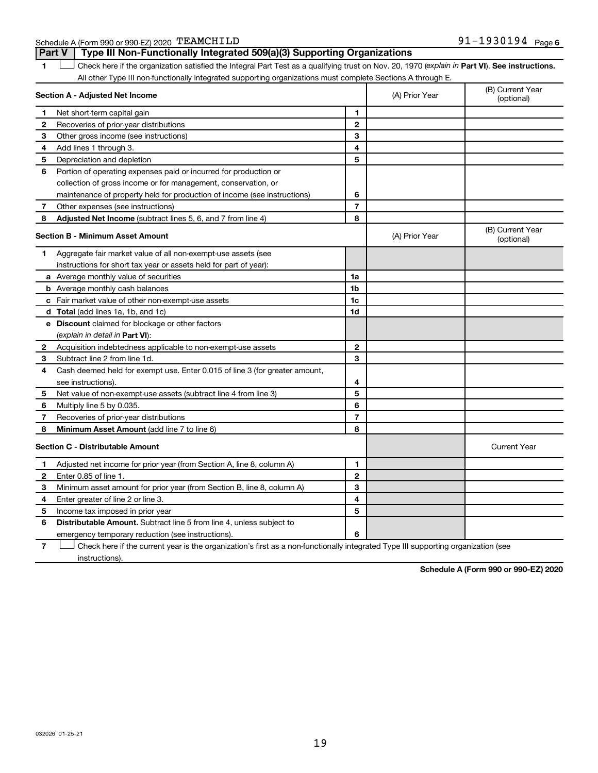Schedule A (Form 990 or 990-EZ) 2020 TEAMCHILD

1 Check here if the organization satisfied the Integral Part Test as a qualifying trust on Nov. 20, 1970 (explain in Part VI). See instructions. **Section A - Adjusted Net Income 1 2 3 4 5 6 7 8 1 2 3 4 5 6 7 Adjusted Net Income** (subtract lines 5, 6, and 7 from line 4) **8 8 Section B - Minimum Asset Amount 1 2 3 4 5 6 7 8 a** Average monthly value of securities **b** Average monthly cash balances **c** Fair market value of other non-exempt-use assets **d Total**  (add lines 1a, 1b, and 1c) **e Discount** claimed for blockage or other factors **1a 1b 1c 1d 2 3 4 5 6 7 8** (explain in detail in Part VI): **Minimum Asset Amount**  (add line 7 to line 6) **Section C - Distributable Amount 1 2 3 4 5 6 1 2 3 4 5 6** Distributable Amount. Subtract line 5 from line 4, unless subject to All other Type III non-functionally integrated supporting organizations must complete Sections A through E. (B) Current Year (A) Prior Year Net short-term capital gain Recoveries of prior-year distributions Other gross income (see instructions) Add lines 1 through 3. Depreciation and depletion Portion of operating expenses paid or incurred for production or collection of gross income or for management, conservation, or maintenance of property held for production of income (see instructions) Other expenses (see instructions) (B) Current Year  $(A)$  Prior Year  $\left\{\n\begin{array}{ccc}\n\end{array}\n\right\}$  (optional) Aggregate fair market value of all non-exempt-use assets (see instructions for short tax year or assets held for part of year): Acquisition indebtedness applicable to non-exempt-use assets Subtract line 2 from line 1d. Cash deemed held for exempt use. Enter 0.015 of line 3 (for greater amount, see instructions). Net value of non-exempt-use assets (subtract line 4 from line 3) Multiply line 5 by 0.035. Recoveries of prior-year distributions Current Year Adjusted net income for prior year (from Section A, line 8, column A) Enter 0.85 of line 1. Minimum asset amount for prior year (from Section B, line 8, column A) Enter greater of line 2 or line 3. Income tax imposed in prior year emergency temporary reduction (see instructions). **Part V** Type III Non-Functionally Integrated 509(a)(3) Supporting Organizations

**7** Check here if the current year is the organization's first as a non-functionally integrated Type III supporting organization (see instructions).

**Schedule A (Form 990 or 990-EZ) 2020**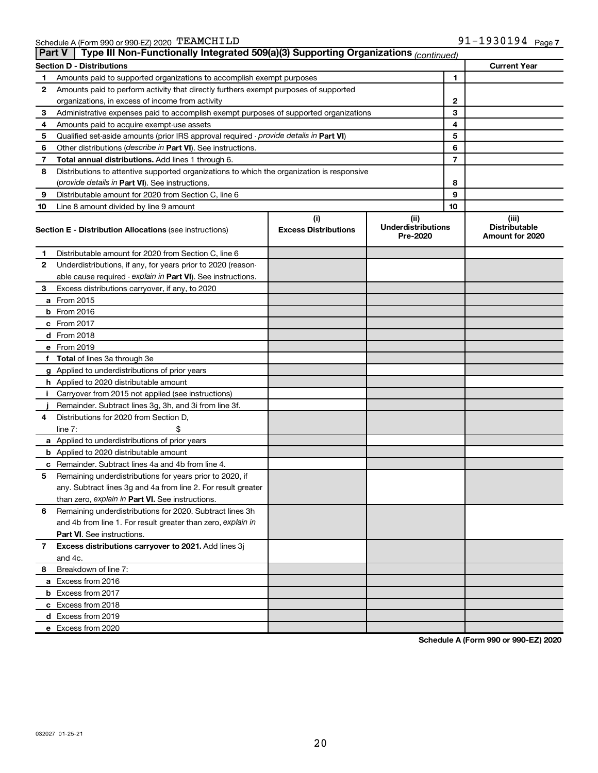| <b>Part V</b> | Type III Non-Functionally Integrated 509(a)(3) Supporting Organizations (continued)        |                             |                                       |                                         |
|---------------|--------------------------------------------------------------------------------------------|-----------------------------|---------------------------------------|-----------------------------------------|
|               | <b>Section D - Distributions</b>                                                           |                             |                                       | <b>Current Year</b>                     |
| 1             | Amounts paid to supported organizations to accomplish exempt purposes                      |                             |                                       |                                         |
| 2             | Amounts paid to perform activity that directly furthers exempt purposes of supported       |                             |                                       |                                         |
|               | organizations, in excess of income from activity                                           | 2                           |                                       |                                         |
| 3             | Administrative expenses paid to accomplish exempt purposes of supported organizations      |                             | 3                                     |                                         |
| 4             | Amounts paid to acquire exempt-use assets                                                  |                             | 4                                     |                                         |
| 5             | Qualified set-aside amounts (prior IRS approval required - provide details in Part VI)     |                             | 5                                     |                                         |
| 6             | Other distributions ( <i>describe in Part VI</i> ). See instructions.                      |                             | 6                                     |                                         |
| 7             | Total annual distributions. Add lines 1 through 6.                                         |                             | $\overline{7}$                        |                                         |
| 8             | Distributions to attentive supported organizations to which the organization is responsive |                             |                                       |                                         |
|               | (provide details in Part VI). See instructions.                                            |                             | 8                                     |                                         |
| 9             | Distributable amount for 2020 from Section C, line 6                                       |                             | 9                                     |                                         |
| 10            | Line 8 amount divided by line 9 amount                                                     |                             | 10                                    |                                         |
|               |                                                                                            | (i)                         | (ii)                                  | (iii)                                   |
|               | <b>Section E - Distribution Allocations (see instructions)</b>                             | <b>Excess Distributions</b> | <b>Underdistributions</b><br>Pre-2020 | <b>Distributable</b><br>Amount for 2020 |
| 1             | Distributable amount for 2020 from Section C, line 6                                       |                             |                                       |                                         |
| 2             | Underdistributions, if any, for years prior to 2020 (reason-                               |                             |                                       |                                         |
|               | able cause required - explain in Part VI). See instructions.                               |                             |                                       |                                         |
| 3             | Excess distributions carryover, if any, to 2020                                            |                             |                                       |                                         |
|               | a From 2015                                                                                |                             |                                       |                                         |
|               | <b>b</b> From 2016                                                                         |                             |                                       |                                         |
|               | c From 2017                                                                                |                             |                                       |                                         |
|               | d From 2018                                                                                |                             |                                       |                                         |
|               | e From 2019                                                                                |                             |                                       |                                         |
|               | f Total of lines 3a through 3e                                                             |                             |                                       |                                         |
|               | g Applied to underdistributions of prior years                                             |                             |                                       |                                         |
|               | <b>h</b> Applied to 2020 distributable amount                                              |                             |                                       |                                         |
| Τ.            | Carryover from 2015 not applied (see instructions)                                         |                             |                                       |                                         |
|               | Remainder. Subtract lines 3g, 3h, and 3i from line 3f.                                     |                             |                                       |                                         |
| 4             | Distributions for 2020 from Section D,                                                     |                             |                                       |                                         |
|               | $line 7$ :                                                                                 |                             |                                       |                                         |
|               | a Applied to underdistributions of prior years                                             |                             |                                       |                                         |
|               | <b>b</b> Applied to 2020 distributable amount                                              |                             |                                       |                                         |
| c             | Remainder. Subtract lines 4a and 4b from line 4.                                           |                             |                                       |                                         |
| 5             | Remaining underdistributions for years prior to 2020, if                                   |                             |                                       |                                         |
|               | any. Subtract lines 3g and 4a from line 2. For result greater                              |                             |                                       |                                         |
|               | than zero, explain in Part VI. See instructions.                                           |                             |                                       |                                         |
| 6             | Remaining underdistributions for 2020. Subtract lines 3h                                   |                             |                                       |                                         |
|               | and 4b from line 1. For result greater than zero, explain in                               |                             |                                       |                                         |
|               | <b>Part VI.</b> See instructions.                                                          |                             |                                       |                                         |
| 7             | Excess distributions carryover to 2021. Add lines 3j                                       |                             |                                       |                                         |
|               | and 4c.                                                                                    |                             |                                       |                                         |
| 8             | Breakdown of line 7:                                                                       |                             |                                       |                                         |
|               | a Excess from 2016                                                                         |                             |                                       |                                         |
|               | <b>b</b> Excess from 2017                                                                  |                             |                                       |                                         |
|               | c Excess from 2018                                                                         |                             |                                       |                                         |
|               | d Excess from 2019                                                                         |                             |                                       |                                         |
|               | e Excess from 2020                                                                         |                             |                                       |                                         |

**Schedule A (Form 990 or 990-EZ) 2020**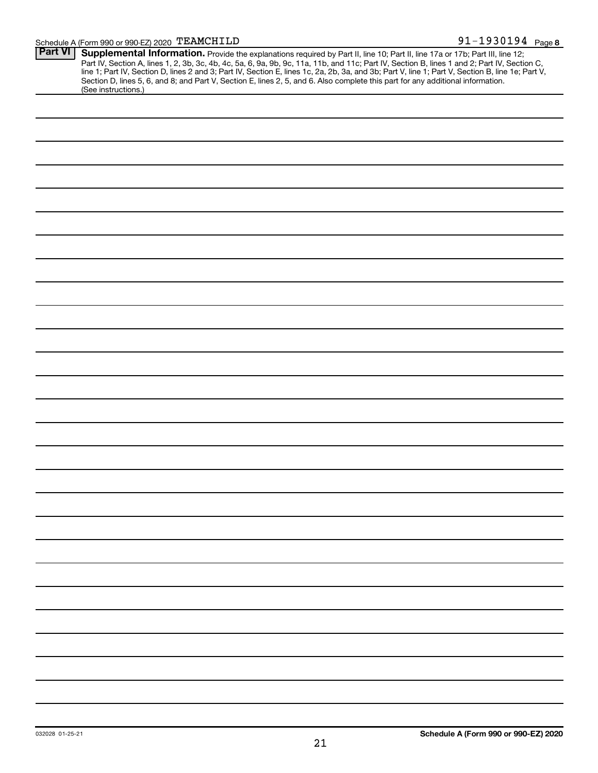| <b>Part VI</b> | Supplemental Information. Provide the explanations required by Part II, line 10; Part II, line 17a or 17b; Part III, line 12;                                                                                                 |
|----------------|-------------------------------------------------------------------------------------------------------------------------------------------------------------------------------------------------------------------------------|
|                |                                                                                                                                                                                                                               |
|                | Part IV, Section A, lines 1, 2, 3b, 3c, 4b, 4c, 5a, 6, 9a, 9b, 9c, 11a, 11b, and 11c; Part IV, Section B, lines 1 and 2; Part IV, Section C, line 1; Part IV, Section D, lines 2 and 3; Part IV, Section E, lines 1c, 2a, 2b, |
|                | Section D, lines 5, 6, and 8; and Part V, Section E, lines 2, 5, and 6. Also complete this part for any additional information.                                                                                               |
|                | (See instructions.)                                                                                                                                                                                                           |
|                |                                                                                                                                                                                                                               |
|                |                                                                                                                                                                                                                               |
|                |                                                                                                                                                                                                                               |
|                |                                                                                                                                                                                                                               |
|                |                                                                                                                                                                                                                               |
|                |                                                                                                                                                                                                                               |
|                |                                                                                                                                                                                                                               |
|                |                                                                                                                                                                                                                               |
|                |                                                                                                                                                                                                                               |
|                |                                                                                                                                                                                                                               |
|                |                                                                                                                                                                                                                               |
|                |                                                                                                                                                                                                                               |
|                |                                                                                                                                                                                                                               |
|                |                                                                                                                                                                                                                               |
|                |                                                                                                                                                                                                                               |
|                |                                                                                                                                                                                                                               |
|                |                                                                                                                                                                                                                               |
|                |                                                                                                                                                                                                                               |
|                |                                                                                                                                                                                                                               |
|                |                                                                                                                                                                                                                               |
|                |                                                                                                                                                                                                                               |
|                |                                                                                                                                                                                                                               |
|                |                                                                                                                                                                                                                               |
|                |                                                                                                                                                                                                                               |
|                |                                                                                                                                                                                                                               |
|                |                                                                                                                                                                                                                               |
|                |                                                                                                                                                                                                                               |
|                |                                                                                                                                                                                                                               |
|                |                                                                                                                                                                                                                               |
|                |                                                                                                                                                                                                                               |
|                |                                                                                                                                                                                                                               |
|                |                                                                                                                                                                                                                               |
|                |                                                                                                                                                                                                                               |
|                |                                                                                                                                                                                                                               |
|                |                                                                                                                                                                                                                               |
|                |                                                                                                                                                                                                                               |
|                |                                                                                                                                                                                                                               |
|                |                                                                                                                                                                                                                               |
|                |                                                                                                                                                                                                                               |
|                |                                                                                                                                                                                                                               |
|                |                                                                                                                                                                                                                               |
|                |                                                                                                                                                                                                                               |
|                |                                                                                                                                                                                                                               |
|                |                                                                                                                                                                                                                               |
|                |                                                                                                                                                                                                                               |
|                |                                                                                                                                                                                                                               |
|                |                                                                                                                                                                                                                               |
|                |                                                                                                                                                                                                                               |
|                |                                                                                                                                                                                                                               |
|                |                                                                                                                                                                                                                               |
|                |                                                                                                                                                                                                                               |
|                |                                                                                                                                                                                                                               |
|                |                                                                                                                                                                                                                               |
|                |                                                                                                                                                                                                                               |
|                |                                                                                                                                                                                                                               |
|                |                                                                                                                                                                                                                               |
|                |                                                                                                                                                                                                                               |
|                |                                                                                                                                                                                                                               |
|                |                                                                                                                                                                                                                               |
|                |                                                                                                                                                                                                                               |
|                |                                                                                                                                                                                                                               |
|                |                                                                                                                                                                                                                               |
|                |                                                                                                                                                                                                                               |
|                |                                                                                                                                                                                                                               |
|                |                                                                                                                                                                                                                               |
|                |                                                                                                                                                                                                                               |
|                |                                                                                                                                                                                                                               |
|                |                                                                                                                                                                                                                               |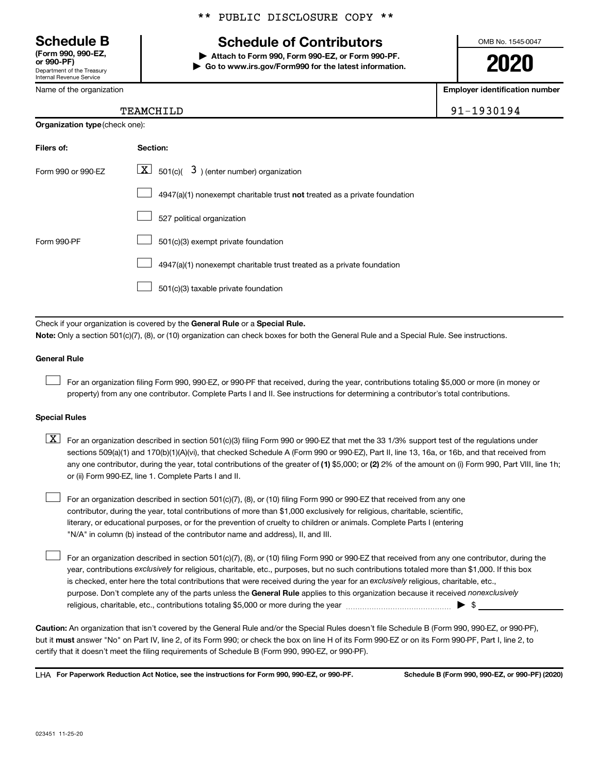Department of the Treasury Internal Revenue Service **(Form 990, 990-EZ,**

Name of the organization

### \*\* PUBLIC DISCLOSURE COPY \*\*

# **Schedule B Schedule of Contributors**

**or 990-PF) | Attach to Form 990, Form 990-EZ, or Form 990-PF. | Go to www.irs.gov/Form990 for the latest information.** OMB No. 1545-0047

**2020**

**Employer identification number**

| <b>TEAMCHILD</b> | 91-1930194 |
|------------------|------------|
|                  |            |

| <b>Organization type (check one):</b> |                                                                                    |  |  |
|---------------------------------------|------------------------------------------------------------------------------------|--|--|
| Filers of:                            | Section:                                                                           |  |  |
| Form 990 or 990-EZ                    | $ \mathbf{X} $ 501(c)( 3) (enter number) organization                              |  |  |
|                                       | $4947(a)(1)$ nonexempt charitable trust <b>not</b> treated as a private foundation |  |  |
|                                       | 527 political organization                                                         |  |  |
| Form 990-PF                           | 501(c)(3) exempt private foundation                                                |  |  |
|                                       | 4947(a)(1) nonexempt charitable trust treated as a private foundation              |  |  |
|                                       | 501(c)(3) taxable private foundation                                               |  |  |

Check if your organization is covered by the General Rule or a Special Rule.

**Note:**  Only a section 501(c)(7), (8), or (10) organization can check boxes for both the General Rule and a Special Rule. See instructions.

#### **General Rule**

 $\mathcal{L}^{\text{eff}}$ 

 $\mathcal{L}^{\text{eff}}$ 

For an organization filing Form 990, 990-EZ, or 990-PF that received, during the year, contributions totaling \$5,000 or more (in money or property) from any one contributor. Complete Parts I and II. See instructions for determining a contributor's total contributions.

#### **Special Rules**

any one contributor, during the year, total contributions of the greater of (1) \$5,000; or (2) 2% of the amount on (i) Form 990, Part VIII, line 1h;  $\boxed{\text{X}}$  For an organization described in section 501(c)(3) filing Form 990 or 990-EZ that met the 33 1/3% support test of the regulations under sections 509(a)(1) and 170(b)(1)(A)(vi), that checked Schedule A (Form 990 or 990-EZ), Part II, line 13, 16a, or 16b, and that received from or (ii) Form 990-EZ, line 1. Complete Parts I and II.

For an organization described in section 501(c)(7), (8), or (10) filing Form 990 or 990-EZ that received from any one contributor, during the year, total contributions of more than \$1,000 exclusively for religious, charitable, scientific, literary, or educational purposes, or for the prevention of cruelty to children or animals. Complete Parts I (entering "N/A" in column (b) instead of the contributor name and address), II, and III.  $\mathcal{L}^{\text{eff}}$ 

purpose. Don't complete any of the parts unless the General Rule applies to this organization because it received nonexclusively year, contributions exclusively for religious, charitable, etc., purposes, but no such contributions totaled more than \$1,000. If this box is checked, enter here the total contributions that were received during the year for an exclusively religious, charitable, etc., For an organization described in section 501(c)(7), (8), or (10) filing Form 990 or 990-EZ that received from any one contributor, during the religious, charitable, etc., contributions totaling \$5,000 or more during the year  $~\ldots\ldots\ldots\ldots\ldots\ldots\ldots\ldots\blacktriangleright~$ \$

**Caution:**  An organization that isn't covered by the General Rule and/or the Special Rules doesn't file Schedule B (Form 990, 990-EZ, or 990-PF),  **must** but it answer "No" on Part IV, line 2, of its Form 990; or check the box on line H of its Form 990-EZ or on its Form 990-PF, Part I, line 2, to certify that it doesn't meet the filing requirements of Schedule B (Form 990, 990-EZ, or 990-PF).

LHA For Paperwork Reduction Act Notice, see the instructions for Form 990, 990-EZ, or 990-PF. Schedule B (Form 990, 990-EZ, or 990-PF) (2020)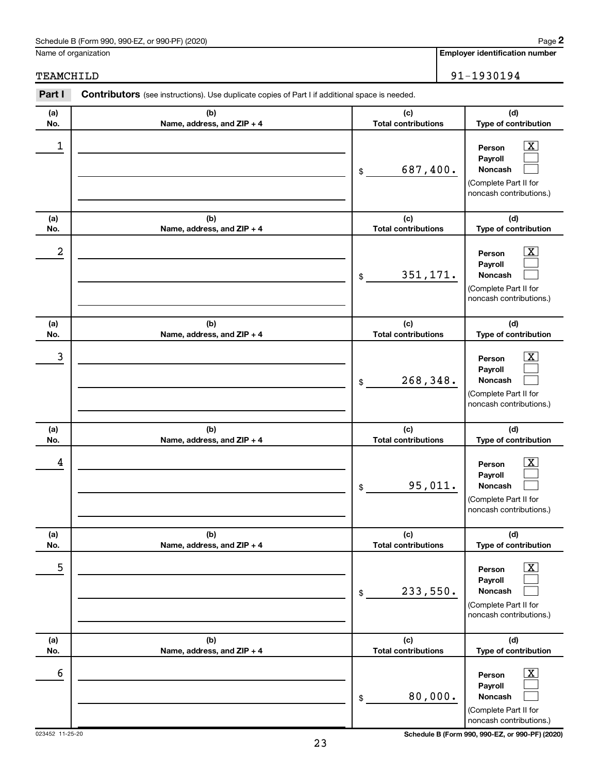#### Schedule B (Form 990, 990-EZ, or 990-PF) (2020)

Name of organization

**Employer identification number**

TEAMCHILD 91-1930194

| Part I     | Contributors (see instructions). Use duplicate copies of Part I if additional space is needed. |                                                                                                                             |
|------------|------------------------------------------------------------------------------------------------|-----------------------------------------------------------------------------------------------------------------------------|
| (a)<br>No. | (b)<br>Name, address, and ZIP + 4                                                              | (d)<br>(c)<br><b>Total contributions</b><br>Type of contribution                                                            |
| 1          |                                                                                                | $\overline{\text{X}}$<br>Person<br>Payroll<br>687,400.<br>Noncash<br>\$<br>(Complete Part II for<br>noncash contributions.) |
| (a)<br>No. | (b)<br>Name, address, and ZIP + 4                                                              | (c)<br>(d)<br><b>Total contributions</b><br>Type of contribution                                                            |
| 2          |                                                                                                | $\overline{\text{X}}$<br>Person<br>Payroll<br>351,171.<br>Noncash<br>\$<br>(Complete Part II for<br>noncash contributions.) |
| (a)<br>No. | (b)<br>Name, address, and ZIP + 4                                                              | (c)<br>(d)<br><b>Total contributions</b><br>Type of contribution                                                            |
| 3          |                                                                                                | $\overline{\text{X}}$<br>Person<br>Payroll<br>268,348.<br>Noncash<br>\$<br>(Complete Part II for<br>noncash contributions.) |
| (a)<br>No. | (b)<br>Name, address, and ZIP + 4                                                              | (c)<br>(d)<br><b>Total contributions</b><br>Type of contribution                                                            |
| 4          |                                                                                                | <u>x</u><br>Person<br>Payroll<br>95,011.<br>Noncash<br>\$<br>(Complete Part II for<br>noncash contributions.)               |
| (a)<br>No. | (b)<br>Name, address, and ZIP + 4                                                              | (d)<br>(c)<br><b>Total contributions</b><br>Type of contribution                                                            |
| 5          |                                                                                                | $\overline{\text{X}}$<br>Person<br>Payroll<br>233,550.<br>Noncash<br>\$<br>(Complete Part II for<br>noncash contributions.) |
| (a)<br>No. | (b)<br>Name, address, and ZIP + 4                                                              | (c)<br>(d)<br><b>Total contributions</b><br>Type of contribution                                                            |
| 6          |                                                                                                | $\overline{\text{X}}$<br>Person<br>Payroll<br>80,000.<br>Noncash<br>\$<br>(Complete Part II for<br>noncash contributions.)  |

023452 11-25-20 **Schedule B (Form 990, 990-EZ, or 990-PF) (2020)**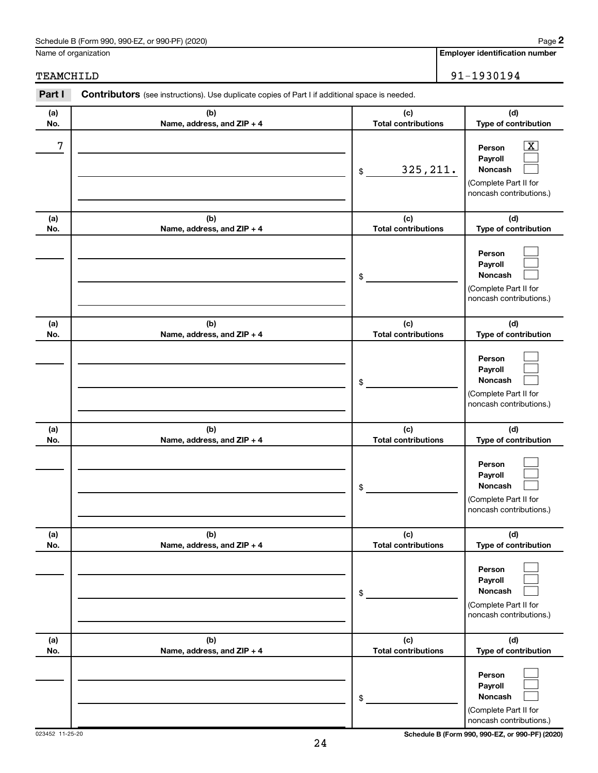#### Schedule B (Form 990, 990-EZ, or 990-PF) (2020)

**(b) Name, address, and ZIP + 4**

Part I Contributors (see instructions). Use duplicate copies of Part I if additional space is needed.

**(b) Name, address, and ZIP + 4**

**(b) Name, address, and ZIP + 4**

Name of organization

**(d) Type of contribution**

> $\boxed{\textbf{X}}$  $\sim$  $\sim$

**(d) Type of contribution**

(Complete Part II for noncash contributions.)

**Person Payroll Noncash**

**(c) Total contributions**

**(c) Total contributions**

325,211.

\$

#### TEAMCHILD 91-1930194

**(a) No.**

**(a) No.**

**(a) No.**

**(a) No.**

**(a) No.**

**(a) No.**

|                            | \$                         | Person<br>Payroll<br>Noncash<br>(Complete Part II for<br>noncash contributions.)               |
|----------------------------|----------------------------|------------------------------------------------------------------------------------------------|
| (b)                        | (c)                        | (d)                                                                                            |
| Name, address, and ZIP + 4 | <b>Total contributions</b> | Type of contribution                                                                           |
|                            | \$                         | Person<br>Payroll<br><b>Noncash</b><br>(Complete Part II for<br>noncash contributions.)        |
| (b)                        | (c)                        | (d)                                                                                            |
| Name, address, and ZIP + 4 | <b>Total contributions</b> | Type of contribution                                                                           |
|                            | \$                         | Person<br><b>Payroll</b><br><b>Noncash</b><br>(Complete Part II for<br>noncash contributions.) |
| (b)                        | (c)                        | (d)                                                                                            |
| Name, address, and ZIP + 4 | <b>Total contributions</b> | Type of contribution                                                                           |

 $7$   $|$  Person  $\overline{\text{X}}$ 

**(c) Total contributions**

\$

|  | Person<br>Payroll<br><b>Noncash</b> |
|--|-------------------------------------|
|  | Complete Part II for                |
|  | noncash contributions.)             |

**Person Payroll Noncash**

**(d) Type of contribution**

 $\sim$  $\sim$  $\sim$ 

(Complete Part II for noncash contributions.)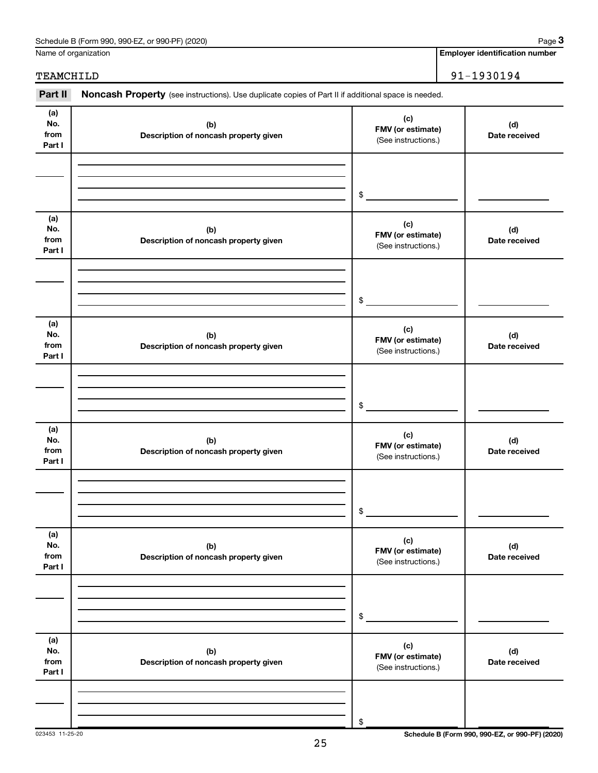| Schedule B (Form 990, 990-EZ, or 990-PF) (2020) | Paɑe |
|-------------------------------------------------|------|
|-------------------------------------------------|------|

Name of organization

# TEAMCHILD 91-1930194

Part II Noncash Property (see instructions). Use duplicate copies of Part II if additional space is needed.

| (a)<br>No.<br>from<br>Part I | (b)<br>Description of noncash property given | (c)<br>FMV (or estimate)<br>(See instructions.) | (d)<br>Date received |
|------------------------------|----------------------------------------------|-------------------------------------------------|----------------------|
|                              |                                              | \$                                              |                      |
| (a)<br>No.<br>from<br>Part I | (b)<br>Description of noncash property given | (c)<br>FMV (or estimate)<br>(See instructions.) | (d)<br>Date received |
|                              |                                              | \$                                              |                      |
| (a)<br>No.<br>from<br>Part I | (b)<br>Description of noncash property given | (c)<br>FMV (or estimate)<br>(See instructions.) | (d)<br>Date received |
|                              |                                              | \$                                              |                      |
| (a)<br>No.<br>from<br>Part I | (b)<br>Description of noncash property given | (c)<br>FMV (or estimate)<br>(See instructions.) | (d)<br>Date received |
|                              |                                              | $\$$                                            |                      |
| (a)<br>No.<br>from<br>Part I | (b)<br>Description of noncash property given | (c)<br>FMV (or estimate)<br>(See instructions.) | (d)<br>Date received |
|                              |                                              | $\,$                                            |                      |
| (a)<br>No.<br>from<br>Part I | (b)<br>Description of noncash property given | (c)<br>FMV (or estimate)<br>(See instructions.) | (d)<br>Date received |
|                              |                                              | \$                                              |                      |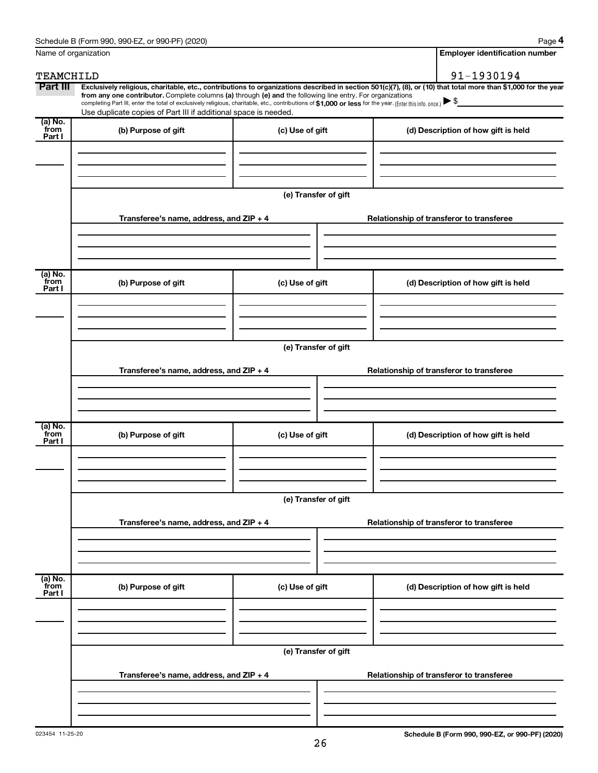| Name of organization      |                                                                                                                                                                                                                                                                                                                                                                    |                      | <b>Employer identification number</b>                                                                                                                          |  |
|---------------------------|--------------------------------------------------------------------------------------------------------------------------------------------------------------------------------------------------------------------------------------------------------------------------------------------------------------------------------------------------------------------|----------------------|----------------------------------------------------------------------------------------------------------------------------------------------------------------|--|
| TEAMCHILD                 |                                                                                                                                                                                                                                                                                                                                                                    |                      | 91-1930194                                                                                                                                                     |  |
| Part III                  | from any one contributor. Complete columns (a) through (e) and the following line entry. For organizations<br>completing Part III, enter the total of exclusively religious, charitable, etc., contributions of \$1,000 or less for the year. (Enter this info. once.) $\blacktriangleright$ \$<br>Use duplicate copies of Part III if additional space is needed. |                      | Exclusively religious, charitable, etc., contributions to organizations described in section 501(c)(7), (8), or (10) that total more than \$1,000 for the year |  |
| (a) No.                   |                                                                                                                                                                                                                                                                                                                                                                    |                      |                                                                                                                                                                |  |
| from<br>Part I            | (b) Purpose of gift                                                                                                                                                                                                                                                                                                                                                | (c) Use of gift      | (d) Description of how gift is held                                                                                                                            |  |
|                           |                                                                                                                                                                                                                                                                                                                                                                    | (e) Transfer of gift |                                                                                                                                                                |  |
|                           | Transferee's name, address, and $ZIP + 4$                                                                                                                                                                                                                                                                                                                          |                      | Relationship of transferor to transferee                                                                                                                       |  |
| (a) No.<br>from<br>Part I | (b) Purpose of gift                                                                                                                                                                                                                                                                                                                                                | (c) Use of gift      | (d) Description of how gift is held                                                                                                                            |  |
|                           | Transferee's name, address, and $ZIP + 4$                                                                                                                                                                                                                                                                                                                          | (e) Transfer of gift | Relationship of transferor to transferee                                                                                                                       |  |
|                           |                                                                                                                                                                                                                                                                                                                                                                    |                      |                                                                                                                                                                |  |
| (a) No.<br>from<br>Part I | (b) Purpose of gift                                                                                                                                                                                                                                                                                                                                                | (c) Use of gift      | (d) Description of how gift is held                                                                                                                            |  |
|                           |                                                                                                                                                                                                                                                                                                                                                                    | (e) Transfer of gift |                                                                                                                                                                |  |
|                           | Transferee's name, address, and ZIP + 4                                                                                                                                                                                                                                                                                                                            |                      | Relationship of transferor to transferee                                                                                                                       |  |
| (a) No.<br>from<br>Part I | (b) Purpose of gift                                                                                                                                                                                                                                                                                                                                                | (c) Use of gift      | (d) Description of how gift is held                                                                                                                            |  |
|                           |                                                                                                                                                                                                                                                                                                                                                                    |                      |                                                                                                                                                                |  |
|                           | (e) Transfer of gift                                                                                                                                                                                                                                                                                                                                               |                      |                                                                                                                                                                |  |
|                           | Transferee's name, address, and $ZIP + 4$                                                                                                                                                                                                                                                                                                                          |                      | Relationship of transferor to transferee                                                                                                                       |  |
|                           |                                                                                                                                                                                                                                                                                                                                                                    |                      |                                                                                                                                                                |  |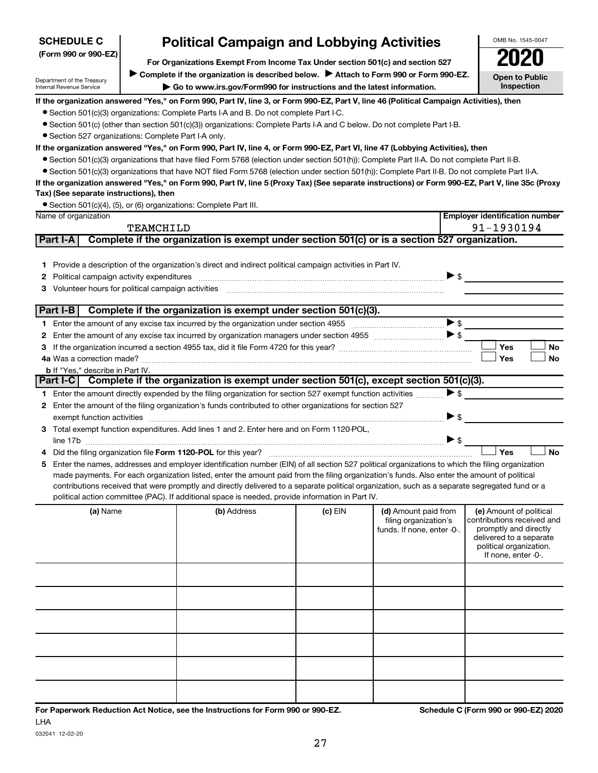| <b>SCHEDULE C</b>    | <b>Political Campaign and Lobbying Activities</b>                             | OMB No. 1545-004 |
|----------------------|-------------------------------------------------------------------------------|------------------|
| (Form 990 or 990-EZ) |                                                                               | 2020             |
|                      | For Organizations Exempt From Income Tax Under section 501(c) and section 527 |                  |

Department of the Treasury - -,<br>Internal Revenue Service

Complete if the organization is described below. <br>
> Attach to Form 990 or Form 990-EZ. **| Go to www.irs.gov/Form990 for instructions and the latest information.**

**Open to Public Inspection**

OMB No. 1545-0047

**If the organization answered "Yes," on Form 990, Part IV, line 3, or Form 990-EZ, Part V, line 46 (Political Campaign Activities), then**

- Section 501(c)(3) organizations: Complete Parts I-A and B. Do not complete Part I-C.
- Section 501(c) (other than section 501(c)(3)) organizations: Complete Parts I-A and C below. Do not complete Part I-B.
- Section 527 organizations: Complete Part I-A only.

#### **If the organization answered "Yes," on Form 990, Part IV, line 4, or Form 990-EZ, Part VI, line 47 (Lobbying Activities), then**

- Section 501(c)(3) organizations that have filed Form 5768 (election under section 501(h)): Complete Part II-A. Do not complete Part II-B.
- Section 501(c)(3) organizations that have NOT filed Form 5768 (election under section 501(h)): Complete Part II-B. Do not complete Part II-A.

**If the organization answered "Yes," on Form 990, Part IV, line 5 (Proxy Tax) (See separate instructions) or Form 990-EZ, Part V, line 35c (Proxy Tax) (See separate instructions), then**

• Section 501(c)(4), (5), or (6) organizations: Complete Part III.

| Name of organization<br><b>TEAMCHILD</b>                                                                                                                                                                                                                                                                                                                                                                                                                                                                                                               |                                                                                               |           |                                                                             | <b>Employer identification number</b><br>91-1930194                                                                                                         |
|--------------------------------------------------------------------------------------------------------------------------------------------------------------------------------------------------------------------------------------------------------------------------------------------------------------------------------------------------------------------------------------------------------------------------------------------------------------------------------------------------------------------------------------------------------|-----------------------------------------------------------------------------------------------|-----------|-----------------------------------------------------------------------------|-------------------------------------------------------------------------------------------------------------------------------------------------------------|
| Part I-A                                                                                                                                                                                                                                                                                                                                                                                                                                                                                                                                               | Complete if the organization is exempt under section 501(c) or is a section 527 organization. |           |                                                                             |                                                                                                                                                             |
| 1 Provide a description of the organization's direct and indirect political campaign activities in Part IV.<br>2 Political campaign activity expenditures material content content and the state of \$                                                                                                                                                                                                                                                                                                                                                 |                                                                                               |           |                                                                             |                                                                                                                                                             |
| Part I-B                                                                                                                                                                                                                                                                                                                                                                                                                                                                                                                                               | Complete if the organization is exempt under section 501(c)(3).                               |           |                                                                             |                                                                                                                                                             |
|                                                                                                                                                                                                                                                                                                                                                                                                                                                                                                                                                        |                                                                                               |           |                                                                             |                                                                                                                                                             |
|                                                                                                                                                                                                                                                                                                                                                                                                                                                                                                                                                        |                                                                                               |           |                                                                             |                                                                                                                                                             |
|                                                                                                                                                                                                                                                                                                                                                                                                                                                                                                                                                        |                                                                                               |           |                                                                             | Yes<br>No                                                                                                                                                   |
|                                                                                                                                                                                                                                                                                                                                                                                                                                                                                                                                                        |                                                                                               |           |                                                                             | Yes<br><b>No</b>                                                                                                                                            |
| <b>b</b> If "Yes," describe in Part IV.                                                                                                                                                                                                                                                                                                                                                                                                                                                                                                                | Complete if the organization is exempt under section 501(c), except section 501(c)(3).        |           |                                                                             |                                                                                                                                                             |
| Part I-C<br>1 Enter the amount directly expended by the filing organization for section 527 exempt function activities                                                                                                                                                                                                                                                                                                                                                                                                                                 |                                                                                               |           |                                                                             | $\blacktriangleright$ \$                                                                                                                                    |
| 2 Enter the amount of the filing organization's funds contributed to other organizations for section 527                                                                                                                                                                                                                                                                                                                                                                                                                                               |                                                                                               |           |                                                                             |                                                                                                                                                             |
|                                                                                                                                                                                                                                                                                                                                                                                                                                                                                                                                                        |                                                                                               |           |                                                                             | $\triangleright$ \$                                                                                                                                         |
| 3 Total exempt function expenditures. Add lines 1 and 2. Enter here and on Form 1120-POL,                                                                                                                                                                                                                                                                                                                                                                                                                                                              |                                                                                               |           |                                                                             |                                                                                                                                                             |
| line 17b $\ldots$                                                                                                                                                                                                                                                                                                                                                                                                                                                                                                                                      |                                                                                               |           |                                                                             |                                                                                                                                                             |
|                                                                                                                                                                                                                                                                                                                                                                                                                                                                                                                                                        |                                                                                               |           |                                                                             | Yes<br><b>No</b>                                                                                                                                            |
| 5 Enter the names, addresses and employer identification number (EIN) of all section 527 political organizations to which the filing organization<br>made payments. For each organization listed, enter the amount paid from the filing organization's funds. Also enter the amount of political<br>contributions received that were promptly and directly delivered to a separate political organization, such as a separate segregated fund or a<br>political action committee (PAC). If additional space is needed, provide information in Part IV. |                                                                                               |           |                                                                             |                                                                                                                                                             |
| (a) Name                                                                                                                                                                                                                                                                                                                                                                                                                                                                                                                                               | (b) Address                                                                                   | $(c)$ EIN | (d) Amount paid from<br>filing organization's<br>funds. If none, enter -0-. | (e) Amount of political<br>contributions received and<br>promptly and directly<br>delivered to a separate<br>political organization.<br>If none, enter -0-. |
|                                                                                                                                                                                                                                                                                                                                                                                                                                                                                                                                                        |                                                                                               |           |                                                                             |                                                                                                                                                             |
|                                                                                                                                                                                                                                                                                                                                                                                                                                                                                                                                                        |                                                                                               |           |                                                                             |                                                                                                                                                             |
|                                                                                                                                                                                                                                                                                                                                                                                                                                                                                                                                                        |                                                                                               |           |                                                                             |                                                                                                                                                             |
|                                                                                                                                                                                                                                                                                                                                                                                                                                                                                                                                                        |                                                                                               |           |                                                                             |                                                                                                                                                             |
|                                                                                                                                                                                                                                                                                                                                                                                                                                                                                                                                                        |                                                                                               |           |                                                                             |                                                                                                                                                             |
|                                                                                                                                                                                                                                                                                                                                                                                                                                                                                                                                                        |                                                                                               |           |                                                                             |                                                                                                                                                             |

032041 12-02-20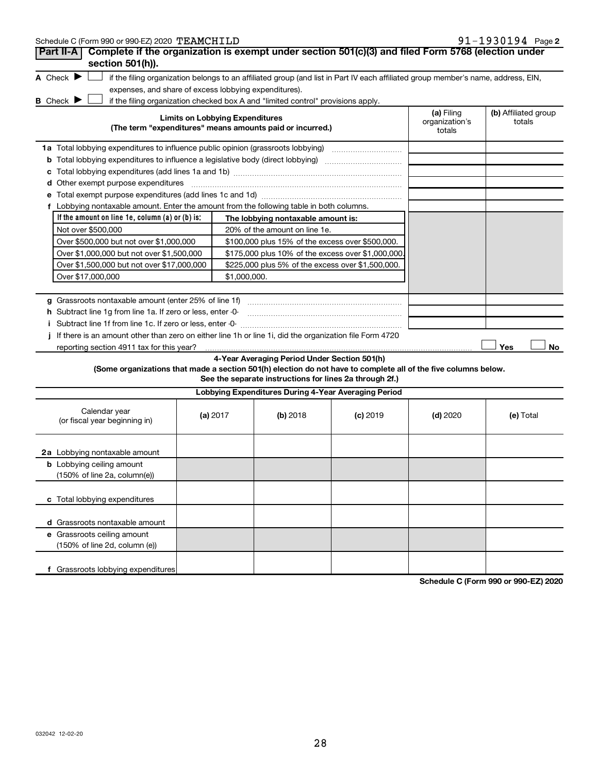| Schedule C (Form 990 or 990-EZ) 2020 TEAMCHILD                                                                                                                     |                                        |                                                         |            |                                        | 91-1930194 Page 2              |
|--------------------------------------------------------------------------------------------------------------------------------------------------------------------|----------------------------------------|---------------------------------------------------------|------------|----------------------------------------|--------------------------------|
| Complete if the organization is exempt under section 501(c)(3) and filed Form 5768 (election under<br>Part II-A                                                    |                                        |                                                         |            |                                        |                                |
| section 501(h)).                                                                                                                                                   |                                        |                                                         |            |                                        |                                |
| A Check $\blacktriangleright$<br>if the filing organization belongs to an affiliated group (and list in Part IV each affiliated group member's name, address, EIN, |                                        |                                                         |            |                                        |                                |
| expenses, and share of excess lobbying expenditures).                                                                                                              |                                        |                                                         |            |                                        |                                |
| <b>B</b> Check ▶<br>if the filing organization checked box A and "limited control" provisions apply.                                                               |                                        |                                                         |            |                                        |                                |
| (The term "expenditures" means amounts paid or incurred.)                                                                                                          | <b>Limits on Lobbying Expenditures</b> |                                                         |            | (a) Filing<br>organization's<br>totals | (b) Affiliated group<br>totals |
| 1a Total lobbying expenditures to influence public opinion (grassroots lobbying) [[[[[[[[[[[[[[[[[[[[[[[[[[[[                                                      |                                        |                                                         |            |                                        |                                |
|                                                                                                                                                                    |                                        |                                                         |            |                                        |                                |
| с                                                                                                                                                                  |                                        |                                                         |            |                                        |                                |
| Other exempt purpose expenditures<br>d                                                                                                                             |                                        |                                                         |            |                                        |                                |
|                                                                                                                                                                    |                                        |                                                         |            |                                        |                                |
| f Lobbying nontaxable amount. Enter the amount from the following table in both columns.                                                                           |                                        |                                                         |            |                                        |                                |
| If the amount on line 1e, column (a) or (b) is:                                                                                                                    |                                        | The lobbying nontaxable amount is:                      |            |                                        |                                |
| Not over \$500,000                                                                                                                                                 |                                        | 20% of the amount on line 1e.                           |            |                                        |                                |
| Over \$500,000 but not over \$1,000,000                                                                                                                            |                                        | \$100,000 plus 15% of the excess over \$500,000.        |            |                                        |                                |
| Over \$1,000,000 but not over \$1,500,000                                                                                                                          |                                        | \$175,000 plus 10% of the excess over \$1,000,000       |            |                                        |                                |
| Over \$1,500,000 but not over \$17,000,000                                                                                                                         |                                        | \$225,000 plus 5% of the excess over \$1,500,000.       |            |                                        |                                |
| Over \$17,000,000                                                                                                                                                  | \$1,000,000.                           |                                                         |            |                                        |                                |
|                                                                                                                                                                    |                                        |                                                         |            |                                        |                                |
|                                                                                                                                                                    |                                        |                                                         |            |                                        |                                |
| h Subtract line 1g from line 1a. If zero or less, enter -0-                                                                                                        |                                        |                                                         |            |                                        |                                |
|                                                                                                                                                                    |                                        |                                                         |            |                                        |                                |
| If there is an amount other than zero on either line 1h or line 1i, did the organization file Form 4720                                                            |                                        |                                                         |            |                                        |                                |
| reporting section 4911 tax for this year?                                                                                                                          |                                        |                                                         |            |                                        | Yes<br>No                      |
|                                                                                                                                                                    |                                        | 4-Year Averaging Period Under Section 501(h)            |            |                                        |                                |
| (Some organizations that made a section 501(h) election do not have to complete all of the five columns below.                                                     |                                        | See the separate instructions for lines 2a through 2f.) |            |                                        |                                |
|                                                                                                                                                                    |                                        | Lobbying Expenditures During 4-Year Averaging Period    |            |                                        |                                |
| Calendar year<br>(or fiscal year beginning in)                                                                                                                     | (a) 2017                               | (b) 2018                                                | $(c)$ 2019 | $(d)$ 2020                             | (e) Total                      |
| 2a Lobbying nontaxable amount                                                                                                                                      |                                        |                                                         |            |                                        |                                |
| <b>b</b> Lobbying ceiling amount                                                                                                                                   |                                        |                                                         |            |                                        |                                |
| (150% of line 2a, column(e))                                                                                                                                       |                                        |                                                         |            |                                        |                                |
| c Total lobbying expenditures                                                                                                                                      |                                        |                                                         |            |                                        |                                |
|                                                                                                                                                                    |                                        |                                                         |            |                                        |                                |
| d Grassroots nontaxable amount                                                                                                                                     |                                        |                                                         |            |                                        |                                |
| e Grassroots ceiling amount                                                                                                                                        |                                        |                                                         |            |                                        |                                |
| (150% of line 2d, column (e))                                                                                                                                      |                                        |                                                         |            |                                        |                                |
|                                                                                                                                                                    |                                        |                                                         |            |                                        |                                |
| f Grassroots lobbying expenditures                                                                                                                                 |                                        |                                                         |            |                                        |                                |

**Schedule C (Form 990 or 990-EZ) 2020**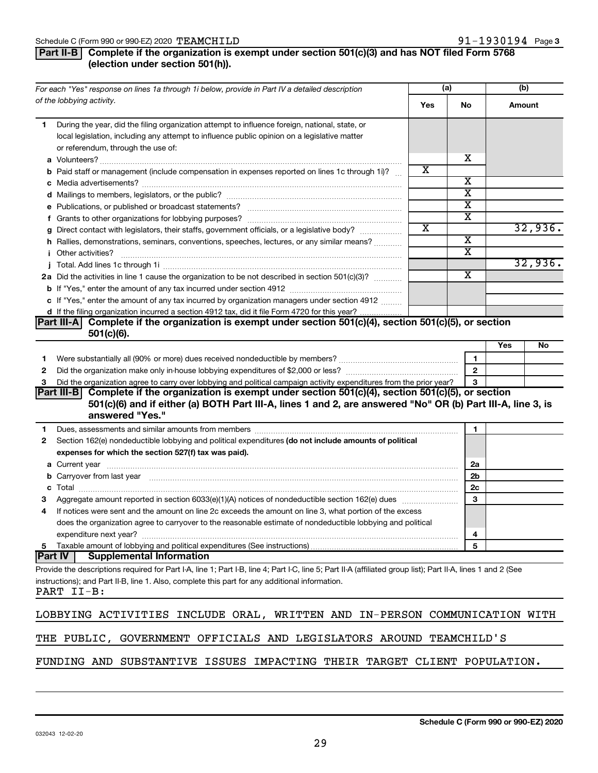### **Part II-B** Complete if the organization is exempt under section 501(c)(3) and has NOT filed Form 5768 **(election under section 501(h)).**

| For each "Yes" response on lines 1a through 1i below, provide in Part IV a detailed description                                                                                                                                            |                         | (a)                     | (b)    |         |
|--------------------------------------------------------------------------------------------------------------------------------------------------------------------------------------------------------------------------------------------|-------------------------|-------------------------|--------|---------|
| of the lobbying activity.                                                                                                                                                                                                                  | Yes                     | No.                     | Amount |         |
| During the year, did the filing organization attempt to influence foreign, national, state, or<br>1.<br>local legislation, including any attempt to influence public opinion on a legislative matter<br>or referendum, through the use of: |                         |                         |        |         |
|                                                                                                                                                                                                                                            |                         | x                       |        |         |
| <b>b</b> Paid staff or management (include compensation in expenses reported on lines 1c through 1i)?                                                                                                                                      | $\overline{\textbf{X}}$ |                         |        |         |
|                                                                                                                                                                                                                                            |                         | х<br>X                  |        |         |
|                                                                                                                                                                                                                                            |                         | $\overline{\textbf{x}}$ |        |         |
|                                                                                                                                                                                                                                            |                         | $\overline{\textbf{x}}$ |        |         |
|                                                                                                                                                                                                                                            | $\overline{\textbf{x}}$ |                         |        | 32,936. |
| g Direct contact with legislators, their staffs, government officials, or a legislative body?                                                                                                                                              |                         | $\overline{\textbf{x}}$ |        |         |
| h Rallies, demonstrations, seminars, conventions, speeches, lectures, or any similar means?                                                                                                                                                |                         | X                       |        |         |
| <i>i</i> Other activities?                                                                                                                                                                                                                 |                         |                         |        | 32,936. |
| 2a Did the activities in line 1 cause the organization to be not described in section 501(c)(3)?                                                                                                                                           |                         | $\overline{\text{x}}$   |        |         |
|                                                                                                                                                                                                                                            |                         |                         |        |         |
| c If "Yes," enter the amount of any tax incurred by organization managers under section 4912                                                                                                                                               |                         |                         |        |         |
| d If the filing organization incurred a section 4912 tax, did it file Form 4720 for this year?                                                                                                                                             |                         |                         |        |         |
| Part III-A Complete if the organization is exempt under section 501(c)(4), section 501(c)(5), or section                                                                                                                                   |                         |                         |        |         |
| $501(c)(6)$ .                                                                                                                                                                                                                              |                         |                         |        |         |
|                                                                                                                                                                                                                                            |                         |                         | Yes    | No      |
| 1                                                                                                                                                                                                                                          |                         | $\mathbf{1}$            |        |         |
| 2                                                                                                                                                                                                                                          |                         | $\mathbf{2}$            |        |         |
| Did the organization agree to carry over lobbying and political campaign activity expenditures from the prior year?<br>З                                                                                                                   |                         | 3                       |        |         |
| Part III-B Complete if the organization is exempt under section $501(c)(4)$ , section $501(c)(5)$ , or section                                                                                                                             |                         |                         |        |         |
| 501(c)(6) and if either (a) BOTH Part III-A, lines 1 and 2, are answered "No" OR (b) Part III-A, line 3, is<br>answered "Yes."                                                                                                             |                         |                         |        |         |
| Dues, assessments and similar amounts from members [111] www.community.community.community.community.community<br>1                                                                                                                        |                         | 1                       |        |         |
| Section 162(e) nondeductible lobbying and political expenditures (do not include amounts of political<br>2<br>expenses for which the section 527(f) tax was paid).                                                                         |                         |                         |        |         |
|                                                                                                                                                                                                                                            |                         | 2a                      |        |         |
| b Carryover from last year [11] manufactured and the contract of the contract of the contract of the contract of the contract of the contract of the contract of the contract of the contract of the contract of the contract              |                         | 2 <sub>b</sub>          |        |         |
|                                                                                                                                                                                                                                            |                         | 2c                      |        |         |
| з                                                                                                                                                                                                                                          |                         | 3                       |        |         |
| If notices were sent and the amount on line 2c exceeds the amount on line 3, what portion of the excess<br>4                                                                                                                               |                         |                         |        |         |
| does the organization agree to carryover to the reasonable estimate of nondeductible lobbying and political                                                                                                                                |                         |                         |        |         |
| expenditure next year?                                                                                                                                                                                                                     |                         | 4                       |        |         |
| Taxable amount of lobbying and political expenditures (See instructions)<br>5                                                                                                                                                              |                         | 5                       |        |         |
| Part IV<br><b>Supplemental Information</b>                                                                                                                                                                                                 |                         |                         |        |         |
| Provide the descriptions required for Part I-A, line 1; Part I-B, line 4; Part I-C, line 5; Part II-A (affiliated group list); Part II-A, lines 1 and 2 (See                                                                               |                         |                         |        |         |
| instructions); and Part II-B, line 1. Also, complete this part for any additional information.<br>$PART$ $II-B$ :                                                                                                                          |                         |                         |        |         |
| LOBBYING ACTIVITIES INCLUDE ORAL, WRITTEN AND IN-PERSON COMMUNICATION WITH                                                                                                                                                                 |                         |                         |        |         |
| THE PUBLIC, GOVERNMENT OFFICIALS AND LEGISLATORS AROUND TEAMCHILD'S                                                                                                                                                                        |                         |                         |        |         |
| FUNDING AND SUBSTANTIVE ISSUES IMPACTING THEIR TARGET CLIENT POPULATION.                                                                                                                                                                   |                         |                         |        |         |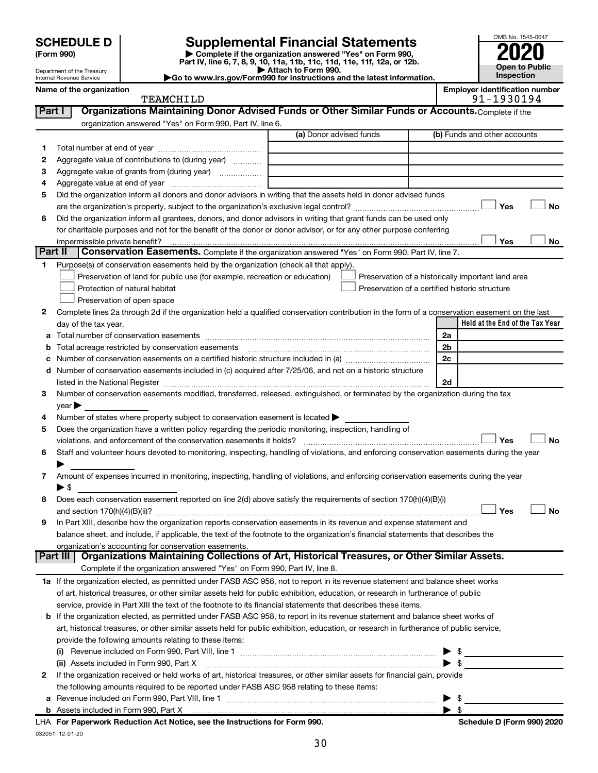Department of the Treasury Internal Revenue Service

| (Form 990) |  |
|------------|--|
|------------|--|

# **SCHEDULE D Supplemental Financial Statements**<br>(Form 990) **2020**<br>**2020**

**(Form 990) | Complete if the organization answered "Yes" on Form 990, Part IV, line 6, 7, 8, 9, 10, 11a, 11b, 11c, 11d, 11e, 11f, 12a, or 12b.**

**| Attach to Form 990. |Go to www.irs.gov/Form990 for instructions and the latest information.**



**Name of the organization is a set of the organization is a set of the organization is a set of the organization is a set of the organization is a set of the organization is a set of the organization is a set of the organi** 

TEAMCHILD 91-1930194

| Part I  | Organizations Maintaining Donor Advised Funds or Other Similar Funds or Accounts. Complete if the                                              |                         |                                                    |
|---------|------------------------------------------------------------------------------------------------------------------------------------------------|-------------------------|----------------------------------------------------|
|         | organization answered "Yes" on Form 990, Part IV, line 6.                                                                                      |                         |                                                    |
|         |                                                                                                                                                | (a) Donor advised funds | (b) Funds and other accounts                       |
| 1       |                                                                                                                                                |                         |                                                    |
| 2       | Aggregate value of contributions to (during year)                                                                                              |                         |                                                    |
| з       | Aggregate value of grants from (during year)                                                                                                   |                         |                                                    |
| 4       |                                                                                                                                                |                         |                                                    |
| 5       | Did the organization inform all donors and donor advisors in writing that the assets held in donor advised funds                               |                         |                                                    |
|         |                                                                                                                                                |                         | Yes<br>No                                          |
| 6       | Did the organization inform all grantees, donors, and donor advisors in writing that grant funds can be used only                              |                         |                                                    |
|         | for charitable purposes and not for the benefit of the donor or donor advisor, or for any other purpose conferring                             |                         |                                                    |
|         | impermissible private benefit?                                                                                                                 |                         | Yes<br>No                                          |
| Part II | <b>Conservation Easements.</b> Complete if the organization answered "Yes" on Form 990, Part IV, line 7.                                       |                         |                                                    |
| 1       | Purpose(s) of conservation easements held by the organization (check all that apply).                                                          |                         |                                                    |
|         | Preservation of land for public use (for example, recreation or education)                                                                     |                         | Preservation of a historically important land area |
|         | Protection of natural habitat                                                                                                                  |                         | Preservation of a certified historic structure     |
|         | Preservation of open space                                                                                                                     |                         |                                                    |
| 2       | Complete lines 2a through 2d if the organization held a qualified conservation contribution in the form of a conservation easement on the last |                         |                                                    |
|         | day of the tax year.                                                                                                                           |                         | Held at the End of the Tax Year                    |
|         |                                                                                                                                                |                         | 2a                                                 |
| b       |                                                                                                                                                |                         | 2b                                                 |
|         |                                                                                                                                                |                         | 2c                                                 |
| d       | Number of conservation easements included in (c) acquired after 7/25/06, and not on a historic structure                                       |                         |                                                    |
|         | listed in the National Register [111] Martin March 1999 (120) And The National Assembly District Inc.                                          |                         | 2d                                                 |
| 3       | Number of conservation easements modified, transferred, released, extinguished, or terminated by the organization during the tax               |                         |                                                    |
|         | $year \triangleright$                                                                                                                          |                         |                                                    |
| 4       | Number of states where property subject to conservation easement is located >                                                                  |                         |                                                    |
| 5       | Does the organization have a written policy regarding the periodic monitoring, inspection, handling of                                         |                         |                                                    |
|         | violations, and enforcement of the conservation easements it holds?                                                                            |                         | Yes<br>No                                          |
| 6       | Staff and volunteer hours devoted to monitoring, inspecting, handling of violations, and enforcing conservation easements during the year      |                         |                                                    |
|         |                                                                                                                                                |                         |                                                    |
| 7       | Amount of expenses incurred in monitoring, inspecting, handling of violations, and enforcing conservation easements during the year            |                         |                                                    |
|         | $\blacktriangleright$ S                                                                                                                        |                         |                                                    |
| 8       | Does each conservation easement reported on line 2(d) above satisfy the requirements of section 170(h)(4)(B)(i)                                |                         | Yes<br>No                                          |
| 9       | In Part XIII, describe how the organization reports conservation easements in its revenue and expense statement and                            |                         |                                                    |
|         | balance sheet, and include, if applicable, the text of the footnote to the organization's financial statements that describes the              |                         |                                                    |
|         | organization's accounting for conservation easements.                                                                                          |                         |                                                    |
|         | Organizations Maintaining Collections of Art, Historical Treasures, or Other Similar Assets.<br>Part III                                       |                         |                                                    |
|         | Complete if the organization answered "Yes" on Form 990, Part IV, line 8.                                                                      |                         |                                                    |
|         | 1a If the organization elected, as permitted under FASB ASC 958, not to report in its revenue statement and balance sheet works                |                         |                                                    |
|         | of art, historical treasures, or other similar assets held for public exhibition, education, or research in furtherance of public              |                         |                                                    |
|         | service, provide in Part XIII the text of the footnote to its financial statements that describes these items.                                 |                         |                                                    |
|         | <b>b</b> If the organization elected, as permitted under FASB ASC 958, to report in its revenue statement and balance sheet works of           |                         |                                                    |
|         | art, historical treasures, or other similar assets held for public exhibition, education, or research in furtherance of public service,        |                         |                                                    |
|         | provide the following amounts relating to these items:                                                                                         |                         |                                                    |
|         |                                                                                                                                                |                         | \$                                                 |
|         | (ii) Assets included in Form 990, Part X                                                                                                       |                         | $\mathsf{\$}$                                      |
| 2       | If the organization received or held works of art, historical treasures, or other similar assets for financial gain, provide                   |                         |                                                    |
|         | the following amounts required to be reported under FASB ASC 958 relating to these items:                                                      |                         |                                                    |
|         |                                                                                                                                                |                         | \$<br>▶                                            |
|         |                                                                                                                                                |                         | $\blacktriangleright$ s                            |
|         | $1\,\mathrm{HA}$ For Dangrwork Reduction Act Notice, see the Instructions for Form 990                                                         |                         | Schodule D (Form 990) 2020                         |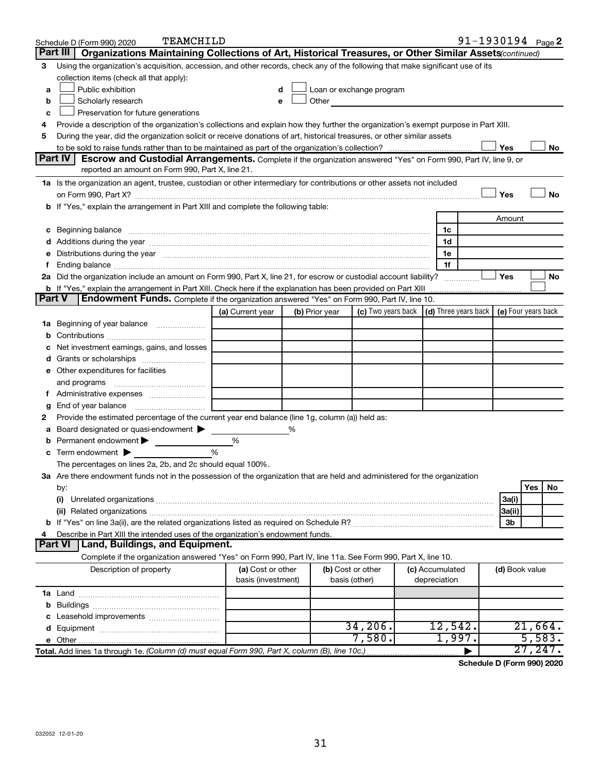|    | TEAMCHILD<br>Schedule D (Form 990) 2020                                                                                              |                                         |                |                                                                                                                                                                                                                               |                    |                                 | 91-1930194 Page 2                            |            |    |
|----|--------------------------------------------------------------------------------------------------------------------------------------|-----------------------------------------|----------------|-------------------------------------------------------------------------------------------------------------------------------------------------------------------------------------------------------------------------------|--------------------|---------------------------------|----------------------------------------------|------------|----|
|    | Part III<br>Organizations Maintaining Collections of Art, Historical Treasures, or Other Similar Assets (continued)                  |                                         |                |                                                                                                                                                                                                                               |                    |                                 |                                              |            |    |
| з  | Using the organization's acquisition, accession, and other records, check any of the following that make significant use of its      |                                         |                |                                                                                                                                                                                                                               |                    |                                 |                                              |            |    |
|    | collection items (check all that apply):                                                                                             |                                         |                |                                                                                                                                                                                                                               |                    |                                 |                                              |            |    |
| a  | Public exhibition                                                                                                                    | d                                       |                | Loan or exchange program                                                                                                                                                                                                      |                    |                                 |                                              |            |    |
| b  | Scholarly research                                                                                                                   | e                                       |                | Other and the contract of the contract of the contract of the contract of the contract of the contract of the contract of the contract of the contract of the contract of the contract of the contract of the contract of the |                    |                                 |                                              |            |    |
| с  | Preservation for future generations                                                                                                  |                                         |                |                                                                                                                                                                                                                               |                    |                                 |                                              |            |    |
| 4  | Provide a description of the organization's collections and explain how they further the organization's exempt purpose in Part XIII. |                                         |                |                                                                                                                                                                                                                               |                    |                                 |                                              |            |    |
| 5  | During the year, did the organization solicit or receive donations of art, historical treasures, or other similar assets             |                                         |                |                                                                                                                                                                                                                               |                    |                                 |                                              |            |    |
|    |                                                                                                                                      |                                         |                |                                                                                                                                                                                                                               |                    |                                 | Yes                                          |            | No |
|    | Part IV<br><b>Escrow and Custodial Arrangements.</b> Complete if the organization answered "Yes" on Form 990, Part IV, line 9, or    |                                         |                |                                                                                                                                                                                                                               |                    |                                 |                                              |            |    |
|    | reported an amount on Form 990, Part X, line 21.                                                                                     |                                         |                |                                                                                                                                                                                                                               |                    |                                 |                                              |            |    |
|    | 1a Is the organization an agent, trustee, custodian or other intermediary for contributions or other assets not included             |                                         |                |                                                                                                                                                                                                                               |                    |                                 |                                              |            |    |
|    |                                                                                                                                      |                                         |                |                                                                                                                                                                                                                               |                    |                                 | Yes                                          |            | No |
|    | b If "Yes," explain the arrangement in Part XIII and complete the following table:                                                   |                                         |                |                                                                                                                                                                                                                               |                    |                                 |                                              |            |    |
|    |                                                                                                                                      |                                         |                |                                                                                                                                                                                                                               |                    |                                 | Amount                                       |            |    |
| c  | Beginning balance measurements and contain the contract of the contract of the contract of the contract of the                       |                                         |                |                                                                                                                                                                                                                               |                    | 1c                              |                                              |            |    |
|    |                                                                                                                                      |                                         |                |                                                                                                                                                                                                                               |                    | 1d                              |                                              |            |    |
|    | Distributions during the year measurement contains and the year measurement of the year measurement of the set                       |                                         |                |                                                                                                                                                                                                                               |                    | 1e                              |                                              |            |    |
| Ť. |                                                                                                                                      |                                         |                |                                                                                                                                                                                                                               |                    | 1f                              |                                              |            |    |
|    | 2a Did the organization include an amount on Form 990, Part X, line 21, for escrow or custodial account liability?                   |                                         |                |                                                                                                                                                                                                                               |                    | .                               | Yes                                          |            | No |
|    | <b>b</b> If "Yes," explain the arrangement in Part XIII. Check here if the explanation has been provided on Part XIII                |                                         |                |                                                                                                                                                                                                                               |                    |                                 |                                              |            |    |
|    | Endowment Funds. Complete if the organization answered "Yes" on Form 990, Part IV, line 10.<br>Part V                                |                                         |                |                                                                                                                                                                                                                               |                    |                                 |                                              |            |    |
|    |                                                                                                                                      | (a) Current year                        | (b) Prior year |                                                                                                                                                                                                                               | (c) Two years back |                                 | (d) Three years back $ $ (e) Four years back |            |    |
| ٦а | Beginning of year balance                                                                                                            |                                         |                |                                                                                                                                                                                                                               |                    |                                 |                                              |            |    |
| b  |                                                                                                                                      |                                         |                |                                                                                                                                                                                                                               |                    |                                 |                                              |            |    |
|    | Net investment earnings, gains, and losses                                                                                           |                                         |                |                                                                                                                                                                                                                               |                    |                                 |                                              |            |    |
| d  |                                                                                                                                      |                                         |                |                                                                                                                                                                                                                               |                    |                                 |                                              |            |    |
|    | e Other expenditures for facilities                                                                                                  |                                         |                |                                                                                                                                                                                                                               |                    |                                 |                                              |            |    |
|    | and programs                                                                                                                         |                                         |                |                                                                                                                                                                                                                               |                    |                                 |                                              |            |    |
|    |                                                                                                                                      |                                         |                |                                                                                                                                                                                                                               |                    |                                 |                                              |            |    |
| g  |                                                                                                                                      |                                         |                |                                                                                                                                                                                                                               |                    |                                 |                                              |            |    |
|    | Provide the estimated percentage of the current year end balance (line 1g, column (a)) held as:                                      |                                         |                |                                                                                                                                                                                                                               |                    |                                 |                                              |            |    |
| а  | Board designated or quasi-endowment                                                                                                  |                                         | ℅              |                                                                                                                                                                                                                               |                    |                                 |                                              |            |    |
|    | Permanent endowment >                                                                                                                | %                                       |                |                                                                                                                                                                                                                               |                    |                                 |                                              |            |    |
| с  | Term endowment $\blacktriangleright$                                                                                                 | %                                       |                |                                                                                                                                                                                                                               |                    |                                 |                                              |            |    |
|    | The percentages on lines 2a, 2b, and 2c should equal 100%.                                                                           |                                         |                |                                                                                                                                                                                                                               |                    |                                 |                                              |            |    |
|    | 3a Are there endowment funds not in the possession of the organization that are held and administered for the organization           |                                         |                |                                                                                                                                                                                                                               |                    |                                 |                                              |            |    |
|    | by:                                                                                                                                  |                                         |                |                                                                                                                                                                                                                               |                    |                                 |                                              | <b>Yes</b> | No |
|    | (i)                                                                                                                                  |                                         |                |                                                                                                                                                                                                                               |                    |                                 | 3a(i)                                        |            |    |
|    |                                                                                                                                      |                                         |                |                                                                                                                                                                                                                               |                    |                                 | 3a(ii)                                       |            |    |
|    |                                                                                                                                      |                                         |                |                                                                                                                                                                                                                               |                    |                                 | 3b                                           |            |    |
|    | Describe in Part XIII the intended uses of the organization's endowment funds.<br>Land, Buildings, and Equipment.<br>Part VI         |                                         |                |                                                                                                                                                                                                                               |                    |                                 |                                              |            |    |
|    | Complete if the organization answered "Yes" on Form 990, Part IV, line 11a. See Form 990, Part X, line 10.                           |                                         |                |                                                                                                                                                                                                                               |                    |                                 |                                              |            |    |
|    |                                                                                                                                      |                                         |                |                                                                                                                                                                                                                               |                    |                                 |                                              |            |    |
|    | Description of property                                                                                                              | (a) Cost or other<br>basis (investment) |                | (b) Cost or other<br>basis (other)                                                                                                                                                                                            |                    | (c) Accumulated<br>depreciation | (d) Book value                               |            |    |
|    |                                                                                                                                      |                                         |                |                                                                                                                                                                                                                               |                    |                                 |                                              |            |    |
|    |                                                                                                                                      |                                         |                |                                                                                                                                                                                                                               |                    |                                 |                                              |            |    |
| b  |                                                                                                                                      |                                         |                |                                                                                                                                                                                                                               |                    |                                 |                                              |            |    |
|    |                                                                                                                                      |                                         |                |                                                                                                                                                                                                                               | 34,206.            | 12,542.                         |                                              | 21,664.    |    |
|    |                                                                                                                                      |                                         |                |                                                                                                                                                                                                                               | 7,580.             | 1,997.                          |                                              | 5,583.     |    |
|    | Total. Add lines 1a through 1e. (Column (d) must equal Form 990, Part X, column (B), line 10c.)                                      |                                         |                |                                                                                                                                                                                                                               |                    |                                 |                                              | 27,247.    |    |
|    |                                                                                                                                      |                                         |                |                                                                                                                                                                                                                               |                    |                                 |                                              |            |    |

**Schedule D (Form 990) 2020**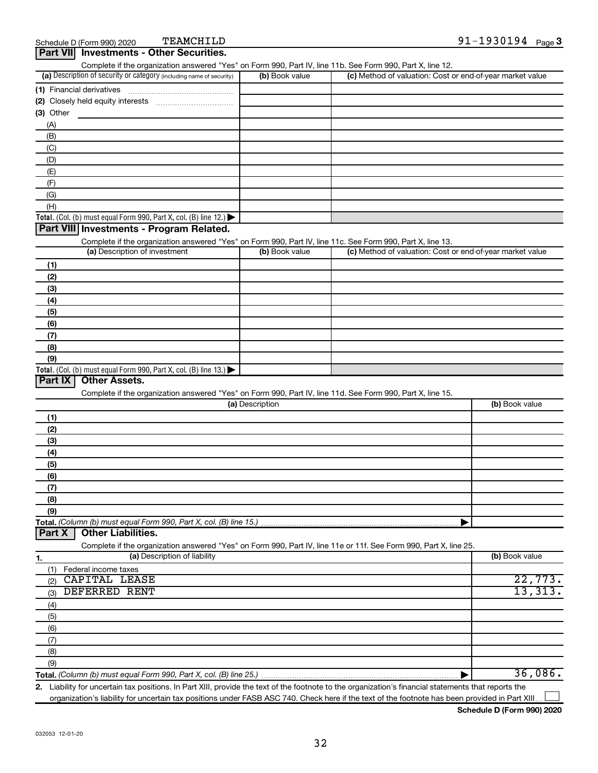**Part VII** Investments - Other Securities.

(a) Description of security or category (including name of security)  $\vert$  (b) Book value  $\vert$  (c)

Complete if the organization answered "Yes" on Form 990, Part IV, line 11b. See Form 990, Part X, line 12.

(b) Book value (c) Method of valuation: Cost or end-of-year market value

| (3) Other                                                                                                                                   |                 |                                                           |                |
|---------------------------------------------------------------------------------------------------------------------------------------------|-----------------|-----------------------------------------------------------|----------------|
| (A)                                                                                                                                         |                 |                                                           |                |
| (B)                                                                                                                                         |                 |                                                           |                |
| (C)                                                                                                                                         |                 |                                                           |                |
| (D)                                                                                                                                         |                 |                                                           |                |
| (E)                                                                                                                                         |                 |                                                           |                |
| (F)                                                                                                                                         |                 |                                                           |                |
| (G)                                                                                                                                         |                 |                                                           |                |
| (H)                                                                                                                                         |                 |                                                           |                |
| Total. (Col. (b) must equal Form 990, Part X, col. (B) line 12.) $\blacktriangleright$                                                      |                 |                                                           |                |
| Part VIII Investments - Program Related.                                                                                                    |                 |                                                           |                |
|                                                                                                                                             |                 |                                                           |                |
| Complete if the organization answered "Yes" on Form 990, Part IV, line 11c. See Form 990, Part X, line 13.<br>(a) Description of investment | (b) Book value  | (c) Method of valuation: Cost or end-of-year market value |                |
|                                                                                                                                             |                 |                                                           |                |
| (1)                                                                                                                                         |                 |                                                           |                |
| (2)                                                                                                                                         |                 |                                                           |                |
| (3)                                                                                                                                         |                 |                                                           |                |
| (4)                                                                                                                                         |                 |                                                           |                |
| (5)                                                                                                                                         |                 |                                                           |                |
| (6)                                                                                                                                         |                 |                                                           |                |
| (7)                                                                                                                                         |                 |                                                           |                |
| (8)                                                                                                                                         |                 |                                                           |                |
| (9)                                                                                                                                         |                 |                                                           |                |
| Total. (Col. (b) must equal Form 990, Part X, col. (B) line 13.)                                                                            |                 |                                                           |                |
| Part IX<br><b>Other Assets.</b>                                                                                                             |                 |                                                           |                |
| Complete if the organization answered "Yes" on Form 990, Part IV, line 11d. See Form 990, Part X, line 15.                                  |                 |                                                           |                |
|                                                                                                                                             | (a) Description |                                                           | (b) Book value |
| (1)                                                                                                                                         |                 |                                                           |                |
| (2)                                                                                                                                         |                 |                                                           |                |
|                                                                                                                                             |                 |                                                           |                |
| (3)                                                                                                                                         |                 |                                                           |                |
| (4)                                                                                                                                         |                 |                                                           |                |
| (5)                                                                                                                                         |                 |                                                           |                |
| (6)                                                                                                                                         |                 |                                                           |                |
| (7)                                                                                                                                         |                 |                                                           |                |
| (8)                                                                                                                                         |                 |                                                           |                |
| (9)                                                                                                                                         |                 |                                                           |                |
| Total. (Column (b) must equal Form 990, Part X, col. (B) line 15.)                                                                          |                 |                                                           |                |
| <b>Other Liabilities.</b><br>Part X                                                                                                         |                 |                                                           |                |
| Complete if the organization answered "Yes" on Form 990, Part IV, line 11e or 11f. See Form 990, Part X, line 25.                           |                 |                                                           |                |
| (a) Description of liability<br>1.                                                                                                          |                 |                                                           | (b) Book value |
| Federal income taxes<br>(1)                                                                                                                 |                 |                                                           |                |
| CAPITAL LEASE<br>(2)                                                                                                                        |                 |                                                           | 22,773.        |
| DEFERRED RENT<br>(3)                                                                                                                        |                 |                                                           | 13,313.        |
| (4)                                                                                                                                         |                 |                                                           |                |
| (5)                                                                                                                                         |                 |                                                           |                |
|                                                                                                                                             |                 |                                                           |                |
| (6)                                                                                                                                         |                 |                                                           |                |
| (7)                                                                                                                                         |                 |                                                           |                |
| (8)                                                                                                                                         |                 |                                                           |                |
| (9)                                                                                                                                         |                 |                                                           |                |
|                                                                                                                                             |                 |                                                           | 36,086.        |

**Total.**  *(Column (b) must equal Form 990, Part X, col. (B) line 25.)* |

**2.** Liability for uncertain tax positions. In Part XIII, provide the text of the footnote to the organization's financial statements that reports the organization's liability for uncertain tax positions under FASB ASC 740. Check here if the text of the footnote has been provided in Part XIII.  $\mathbf{r}$ 

**Schedule D (Form 990) 2020**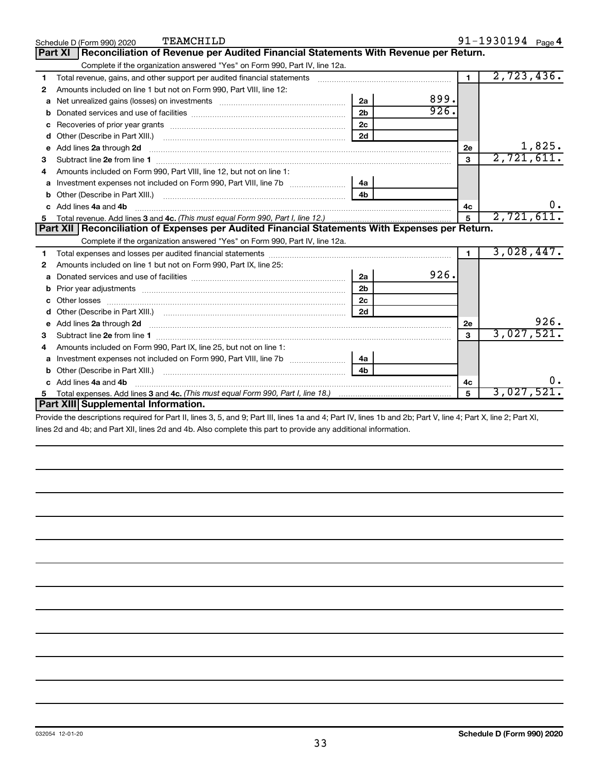|    | TEAMCHILD<br>Schedule D (Form 990) 2020                                                                                                                                                                                             |                |      |                | 91-1930194 $_{Page 4}$ |
|----|-------------------------------------------------------------------------------------------------------------------------------------------------------------------------------------------------------------------------------------|----------------|------|----------------|------------------------|
|    | Reconciliation of Revenue per Audited Financial Statements With Revenue per Return.<br>Part XI                                                                                                                                      |                |      |                |                        |
|    | Complete if the organization answered "Yes" on Form 990, Part IV, line 12a.                                                                                                                                                         |                |      |                |                        |
| 1  | Total revenue, gains, and other support per audited financial statements [[[[[[[[[[[[[[[[[[[[[[[[[]]]]]]]]]]]                                                                                                                       |                |      | $\blacksquare$ | 2,723,436.             |
| 2  | Amounts included on line 1 but not on Form 990, Part VIII, line 12:                                                                                                                                                                 |                |      |                |                        |
| a  | Net unrealized gains (losses) on investments [111] [12] matter and the unrealized gains (losses) on investments                                                                                                                     | 2a             | 899. |                |                        |
|    |                                                                                                                                                                                                                                     | 2 <sub>b</sub> | 926. |                |                        |
| c  | Recoveries of prior year grants [11,111] Recoveries of prior year grants [11] Recoveries of prior year grants                                                                                                                       | 2 <sub>c</sub> |      |                |                        |
| d  |                                                                                                                                                                                                                                     | 2d             |      |                |                        |
| е  | Add lines 2a through 2d                                                                                                                                                                                                             |                |      | 2e             | 1,825.                 |
| 3  |                                                                                                                                                                                                                                     |                |      | 3              | 2,721,611.             |
| 4  | Amounts included on Form 990, Part VIII, line 12, but not on line 1:                                                                                                                                                                |                |      |                |                        |
|    | Investment expenses not included on Form 990, Part VIII, line 7b [11, 11, 12, 13, 13]                                                                                                                                               | 4a             |      |                |                        |
| b  |                                                                                                                                                                                                                                     | 4 <sub>h</sub> |      |                |                        |
| c. | Add lines 4a and 4b                                                                                                                                                                                                                 |                |      | 4c             | 0.                     |
|    |                                                                                                                                                                                                                                     |                |      | 5              | 2,721,611.             |
|    |                                                                                                                                                                                                                                     |                |      |                |                        |
|    | Part XII   Reconciliation of Expenses per Audited Financial Statements With Expenses per Return.                                                                                                                                    |                |      |                |                        |
|    | Complete if the organization answered "Yes" on Form 990, Part IV, line 12a.                                                                                                                                                         |                |      |                |                        |
| 1  |                                                                                                                                                                                                                                     |                |      | $\blacksquare$ | 3,028,447.             |
| 2  | Amounts included on line 1 but not on Form 990, Part IX, line 25:                                                                                                                                                                   |                |      |                |                        |
| a  |                                                                                                                                                                                                                                     | 2a             | 926. |                |                        |
| b  |                                                                                                                                                                                                                                     | 2 <sub>b</sub> |      |                |                        |
|    |                                                                                                                                                                                                                                     | 2c             |      |                |                        |
| d  |                                                                                                                                                                                                                                     | 2d             |      |                |                        |
| e  | Add lines 2a through 2d <b>contract and all anomalisation</b> and all and anomalisation of the contract of the contract of the contract of the contract of the contract of the contract of the contract of the contract of the cont |                |      | 2е             | 926.                   |
| з  |                                                                                                                                                                                                                                     |                |      | $\mathbf{a}$   | 3,027,521.             |
| 4  | Amounts included on Form 990, Part IX, line 25, but not on line 1:                                                                                                                                                                  |                |      |                |                        |
| a  |                                                                                                                                                                                                                                     | 4a             |      |                |                        |
| b  |                                                                                                                                                                                                                                     | 4 <sub>h</sub> |      |                |                        |
| c  | Add lines 4a and 4b                                                                                                                                                                                                                 |                |      | 4c             |                        |
|    | Part XIII Supplemental Information.                                                                                                                                                                                                 |                |      | 5              | 3,027,521.             |

Provide the descriptions required for Part II, lines 3, 5, and 9; Part III, lines 1a and 4; Part IV, lines 1b and 2b; Part V, line 4; Part X, line 2; Part XI, lines 2d and 4b; and Part XII, lines 2d and 4b. Also complete this part to provide any additional information.